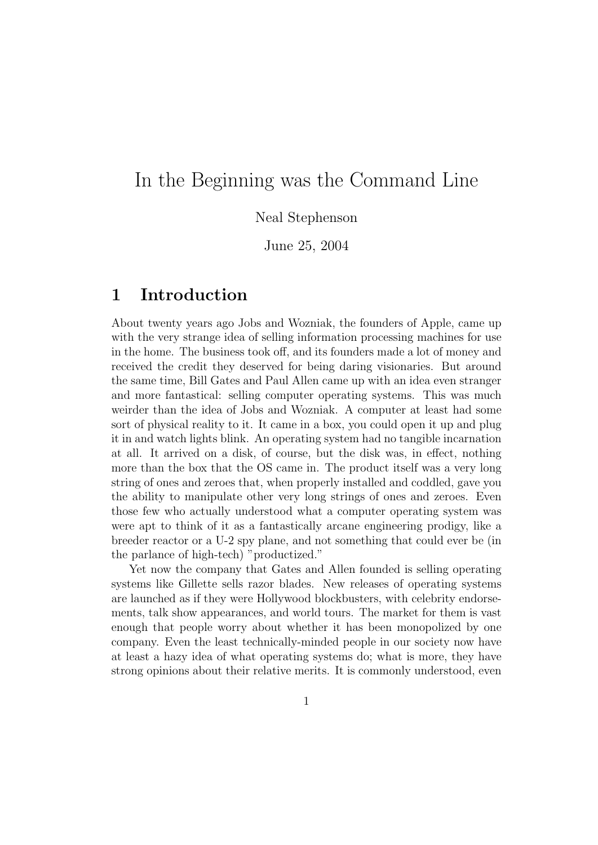# In the Beginning was the Command Line

Neal Stephenson

June 25, 2004

# 1 Introduction

About twenty years ago Jobs and Wozniak, the founders of Apple, came up with the very strange idea of selling information processing machines for use in the home. The business took off, and its founders made a lot of money and received the credit they deserved for being daring visionaries. But around the same time, Bill Gates and Paul Allen came up with an idea even stranger and more fantastical: selling computer operating systems. This was much weirder than the idea of Jobs and Wozniak. A computer at least had some sort of physical reality to it. It came in a box, you could open it up and plug it in and watch lights blink. An operating system had no tangible incarnation at all. It arrived on a disk, of course, but the disk was, in effect, nothing more than the box that the OS came in. The product itself was a very long string of ones and zeroes that, when properly installed and coddled, gave you the ability to manipulate other very long strings of ones and zeroes. Even those few who actually understood what a computer operating system was were apt to think of it as a fantastically arcane engineering prodigy, like a breeder reactor or a U-2 spy plane, and not something that could ever be (in the parlance of high-tech) "productized."

Yet now the company that Gates and Allen founded is selling operating systems like Gillette sells razor blades. New releases of operating systems are launched as if they were Hollywood blockbusters, with celebrity endorsements, talk show appearances, and world tours. The market for them is vast enough that people worry about whether it has been monopolized by one company. Even the least technically-minded people in our society now have at least a hazy idea of what operating systems do; what is more, they have strong opinions about their relative merits. It is commonly understood, even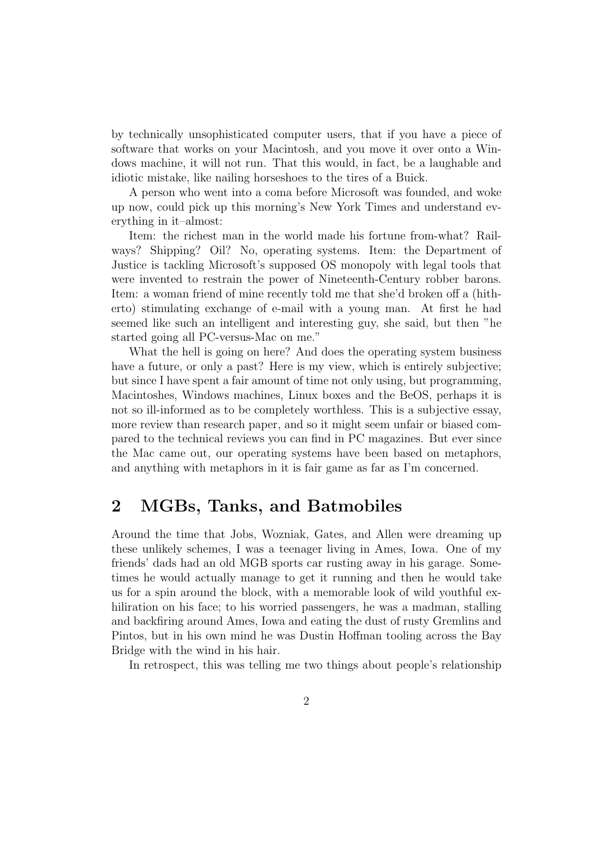by technically unsophisticated computer users, that if you have a piece of software that works on your Macintosh, and you move it over onto a Windows machine, it will not run. That this would, in fact, be a laughable and idiotic mistake, like nailing horseshoes to the tires of a Buick.

A person who went into a coma before Microsoft was founded, and woke up now, could pick up this morning's New York Times and understand everything in it–almost:

Item: the richest man in the world made his fortune from-what? Railways? Shipping? Oil? No, operating systems. Item: the Department of Justice is tackling Microsoft's supposed OS monopoly with legal tools that were invented to restrain the power of Nineteenth-Century robber barons. Item: a woman friend of mine recently told me that she'd broken off a (hitherto) stimulating exchange of e-mail with a young man. At first he had seemed like such an intelligent and interesting guy, she said, but then "he started going all PC-versus-Mac on me."

What the hell is going on here? And does the operating system business have a future, or only a past? Here is my view, which is entirely subjective; but since I have spent a fair amount of time not only using, but programming, Macintoshes, Windows machines, Linux boxes and the BeOS, perhaps it is not so ill-informed as to be completely worthless. This is a subjective essay, more review than research paper, and so it might seem unfair or biased compared to the technical reviews you can find in PC magazines. But ever since the Mac came out, our operating systems have been based on metaphors, and anything with metaphors in it is fair game as far as I'm concerned.

# 2 MGBs, Tanks, and Batmobiles

Around the time that Jobs, Wozniak, Gates, and Allen were dreaming up these unlikely schemes, I was a teenager living in Ames, Iowa. One of my friends' dads had an old MGB sports car rusting away in his garage. Sometimes he would actually manage to get it running and then he would take us for a spin around the block, with a memorable look of wild youthful exhiliration on his face; to his worried passengers, he was a madman, stalling and backfiring around Ames, Iowa and eating the dust of rusty Gremlins and Pintos, but in his own mind he was Dustin Hoffman tooling across the Bay Bridge with the wind in his hair.

In retrospect, this was telling me two things about people's relationship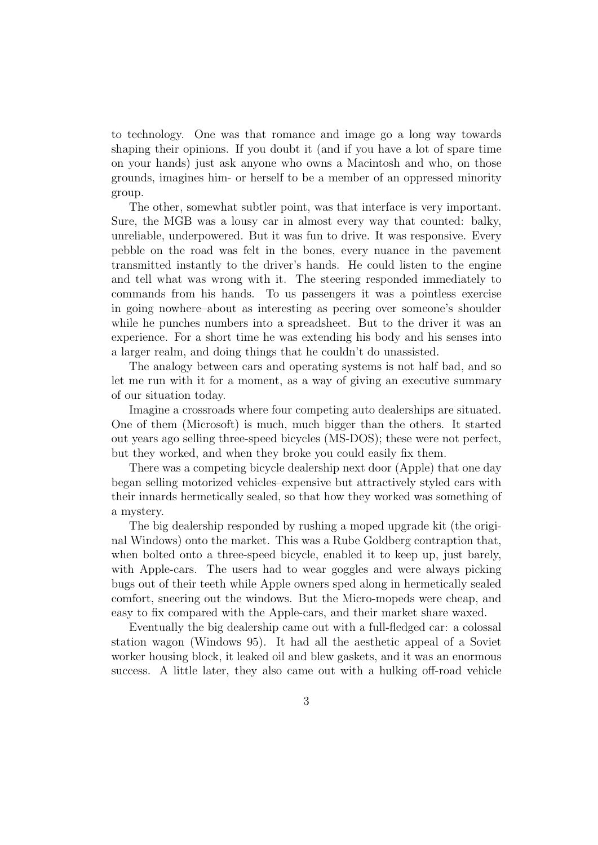to technology. One was that romance and image go a long way towards shaping their opinions. If you doubt it (and if you have a lot of spare time on your hands) just ask anyone who owns a Macintosh and who, on those grounds, imagines him- or herself to be a member of an oppressed minority group.

The other, somewhat subtler point, was that interface is very important. Sure, the MGB was a lousy car in almost every way that counted: balky, unreliable, underpowered. But it was fun to drive. It was responsive. Every pebble on the road was felt in the bones, every nuance in the pavement transmitted instantly to the driver's hands. He could listen to the engine and tell what was wrong with it. The steering responded immediately to commands from his hands. To us passengers it was a pointless exercise in going nowhere–about as interesting as peering over someone's shoulder while he punches numbers into a spreadsheet. But to the driver it was an experience. For a short time he was extending his body and his senses into a larger realm, and doing things that he couldn't do unassisted.

The analogy between cars and operating systems is not half bad, and so let me run with it for a moment, as a way of giving an executive summary of our situation today.

Imagine a crossroads where four competing auto dealerships are situated. One of them (Microsoft) is much, much bigger than the others. It started out years ago selling three-speed bicycles (MS-DOS); these were not perfect, but they worked, and when they broke you could easily fix them.

There was a competing bicycle dealership next door (Apple) that one day began selling motorized vehicles–expensive but attractively styled cars with their innards hermetically sealed, so that how they worked was something of a mystery.

The big dealership responded by rushing a moped upgrade kit (the original Windows) onto the market. This was a Rube Goldberg contraption that, when bolted onto a three-speed bicycle, enabled it to keep up, just barely, with Apple-cars. The users had to wear goggles and were always picking bugs out of their teeth while Apple owners sped along in hermetically sealed comfort, sneering out the windows. But the Micro-mopeds were cheap, and easy to fix compared with the Apple-cars, and their market share waxed.

Eventually the big dealership came out with a full-fledged car: a colossal station wagon (Windows 95). It had all the aesthetic appeal of a Soviet worker housing block, it leaked oil and blew gaskets, and it was an enormous success. A little later, they also came out with a hulking off-road vehicle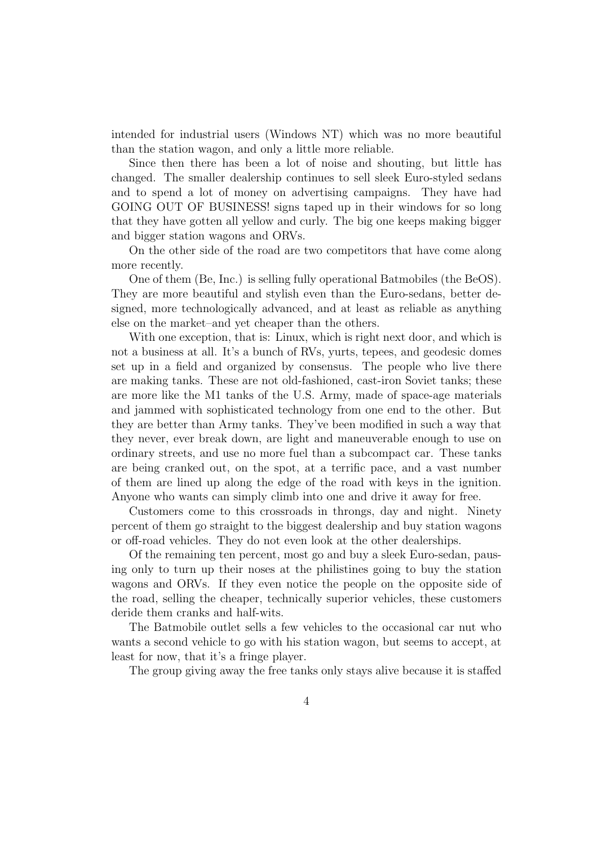intended for industrial users (Windows NT) which was no more beautiful than the station wagon, and only a little more reliable.

Since then there has been a lot of noise and shouting, but little has changed. The smaller dealership continues to sell sleek Euro-styled sedans and to spend a lot of money on advertising campaigns. They have had GOING OUT OF BUSINESS! signs taped up in their windows for so long that they have gotten all yellow and curly. The big one keeps making bigger and bigger station wagons and ORVs.

On the other side of the road are two competitors that have come along more recently.

One of them (Be, Inc.) is selling fully operational Batmobiles (the BeOS). They are more beautiful and stylish even than the Euro-sedans, better designed, more technologically advanced, and at least as reliable as anything else on the market–and yet cheaper than the others.

With one exception, that is: Linux, which is right next door, and which is not a business at all. It's a bunch of RVs, yurts, tepees, and geodesic domes set up in a field and organized by consensus. The people who live there are making tanks. These are not old-fashioned, cast-iron Soviet tanks; these are more like the M1 tanks of the U.S. Army, made of space-age materials and jammed with sophisticated technology from one end to the other. But they are better than Army tanks. They've been modified in such a way that they never, ever break down, are light and maneuverable enough to use on ordinary streets, and use no more fuel than a subcompact car. These tanks are being cranked out, on the spot, at a terrific pace, and a vast number of them are lined up along the edge of the road with keys in the ignition. Anyone who wants can simply climb into one and drive it away for free.

Customers come to this crossroads in throngs, day and night. Ninety percent of them go straight to the biggest dealership and buy station wagons or off-road vehicles. They do not even look at the other dealerships.

Of the remaining ten percent, most go and buy a sleek Euro-sedan, pausing only to turn up their noses at the philistines going to buy the station wagons and ORVs. If they even notice the people on the opposite side of the road, selling the cheaper, technically superior vehicles, these customers deride them cranks and half-wits.

The Batmobile outlet sells a few vehicles to the occasional car nut who wants a second vehicle to go with his station wagon, but seems to accept, at least for now, that it's a fringe player.

The group giving away the free tanks only stays alive because it is staffed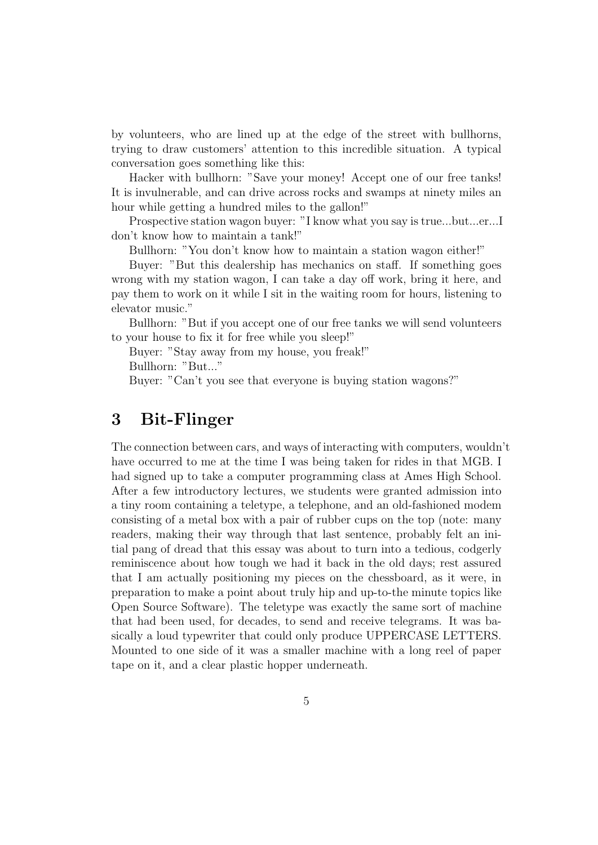by volunteers, who are lined up at the edge of the street with bullhorns, trying to draw customers' attention to this incredible situation. A typical conversation goes something like this:

Hacker with bullhorn: "Save your money! Accept one of our free tanks! It is invulnerable, and can drive across rocks and swamps at ninety miles an hour while getting a hundred miles to the gallon!"

Prospective station wagon buyer: "I know what you say is true...but...er...I don't know how to maintain a tank!"

Bullhorn: "You don't know how to maintain a station wagon either!"

Buyer: "But this dealership has mechanics on staff. If something goes wrong with my station wagon, I can take a day off work, bring it here, and pay them to work on it while I sit in the waiting room for hours, listening to elevator music."

Bullhorn: "But if you accept one of our free tanks we will send volunteers to your house to fix it for free while you sleep!"

Buyer: "Stay away from my house, you freak!"

Bullhorn: "But..."

Buyer: "Can't you see that everyone is buying station wagons?"

# 3 Bit-Flinger

The connection between cars, and ways of interacting with computers, wouldn't have occurred to me at the time I was being taken for rides in that MGB. I had signed up to take a computer programming class at Ames High School. After a few introductory lectures, we students were granted admission into a tiny room containing a teletype, a telephone, and an old-fashioned modem consisting of a metal box with a pair of rubber cups on the top (note: many readers, making their way through that last sentence, probably felt an initial pang of dread that this essay was about to turn into a tedious, codgerly reminiscence about how tough we had it back in the old days; rest assured that I am actually positioning my pieces on the chessboard, as it were, in preparation to make a point about truly hip and up-to-the minute topics like Open Source Software). The teletype was exactly the same sort of machine that had been used, for decades, to send and receive telegrams. It was basically a loud typewriter that could only produce UPPERCASE LETTERS. Mounted to one side of it was a smaller machine with a long reel of paper tape on it, and a clear plastic hopper underneath.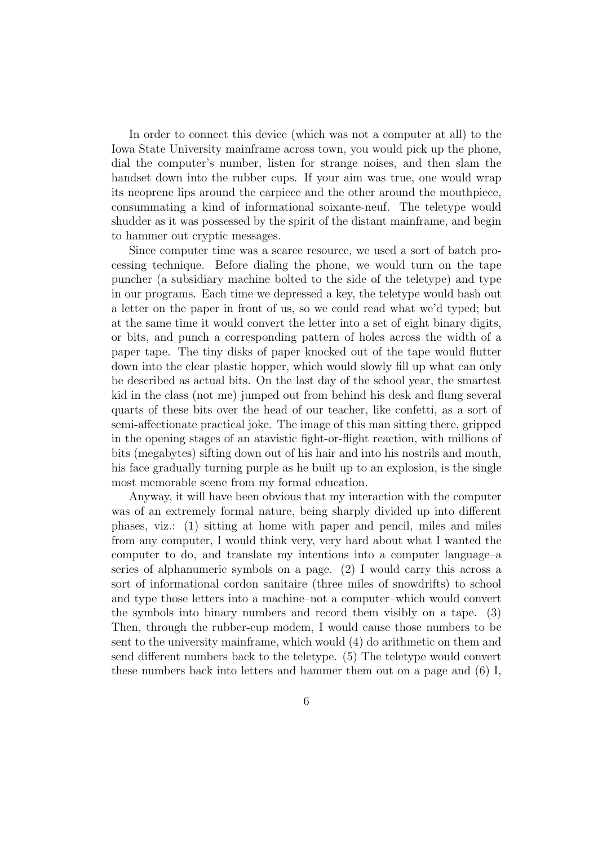In order to connect this device (which was not a computer at all) to the Iowa State University mainframe across town, you would pick up the phone, dial the computer's number, listen for strange noises, and then slam the handset down into the rubber cups. If your aim was true, one would wrap its neoprene lips around the earpiece and the other around the mouthpiece, consummating a kind of informational soixante-neuf. The teletype would shudder as it was possessed by the spirit of the distant mainframe, and begin to hammer out cryptic messages.

Since computer time was a scarce resource, we used a sort of batch processing technique. Before dialing the phone, we would turn on the tape puncher (a subsidiary machine bolted to the side of the teletype) and type in our programs. Each time we depressed a key, the teletype would bash out a letter on the paper in front of us, so we could read what we'd typed; but at the same time it would convert the letter into a set of eight binary digits, or bits, and punch a corresponding pattern of holes across the width of a paper tape. The tiny disks of paper knocked out of the tape would flutter down into the clear plastic hopper, which would slowly fill up what can only be described as actual bits. On the last day of the school year, the smartest kid in the class (not me) jumped out from behind his desk and flung several quarts of these bits over the head of our teacher, like confetti, as a sort of semi-affectionate practical joke. The image of this man sitting there, gripped in the opening stages of an atavistic fight-or-flight reaction, with millions of bits (megabytes) sifting down out of his hair and into his nostrils and mouth, his face gradually turning purple as he built up to an explosion, is the single most memorable scene from my formal education.

Anyway, it will have been obvious that my interaction with the computer was of an extremely formal nature, being sharply divided up into different phases, viz.: (1) sitting at home with paper and pencil, miles and miles from any computer, I would think very, very hard about what I wanted the computer to do, and translate my intentions into a computer language–a series of alphanumeric symbols on a page. (2) I would carry this across a sort of informational cordon sanitaire (three miles of snowdrifts) to school and type those letters into a machine–not a computer–which would convert the symbols into binary numbers and record them visibly on a tape. (3) Then, through the rubber-cup modem, I would cause those numbers to be sent to the university mainframe, which would (4) do arithmetic on them and send different numbers back to the teletype. (5) The teletype would convert these numbers back into letters and hammer them out on a page and (6) I,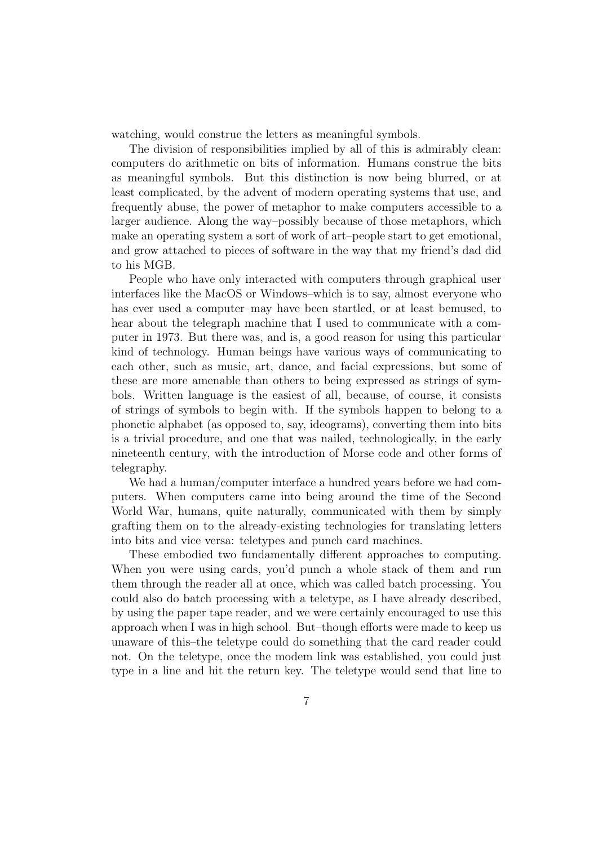watching, would construe the letters as meaningful symbols.

The division of responsibilities implied by all of this is admirably clean: computers do arithmetic on bits of information. Humans construe the bits as meaningful symbols. But this distinction is now being blurred, or at least complicated, by the advent of modern operating systems that use, and frequently abuse, the power of metaphor to make computers accessible to a larger audience. Along the way–possibly because of those metaphors, which make an operating system a sort of work of art–people start to get emotional, and grow attached to pieces of software in the way that my friend's dad did to his MGB.

People who have only interacted with computers through graphical user interfaces like the MacOS or Windows–which is to say, almost everyone who has ever used a computer–may have been startled, or at least bemused, to hear about the telegraph machine that I used to communicate with a computer in 1973. But there was, and is, a good reason for using this particular kind of technology. Human beings have various ways of communicating to each other, such as music, art, dance, and facial expressions, but some of these are more amenable than others to being expressed as strings of symbols. Written language is the easiest of all, because, of course, it consists of strings of symbols to begin with. If the symbols happen to belong to a phonetic alphabet (as opposed to, say, ideograms), converting them into bits is a trivial procedure, and one that was nailed, technologically, in the early nineteenth century, with the introduction of Morse code and other forms of telegraphy.

We had a human/computer interface a hundred years before we had computers. When computers came into being around the time of the Second World War, humans, quite naturally, communicated with them by simply grafting them on to the already-existing technologies for translating letters into bits and vice versa: teletypes and punch card machines.

These embodied two fundamentally different approaches to computing. When you were using cards, you'd punch a whole stack of them and run them through the reader all at once, which was called batch processing. You could also do batch processing with a teletype, as I have already described, by using the paper tape reader, and we were certainly encouraged to use this approach when I was in high school. But–though efforts were made to keep us unaware of this–the teletype could do something that the card reader could not. On the teletype, once the modem link was established, you could just type in a line and hit the return key. The teletype would send that line to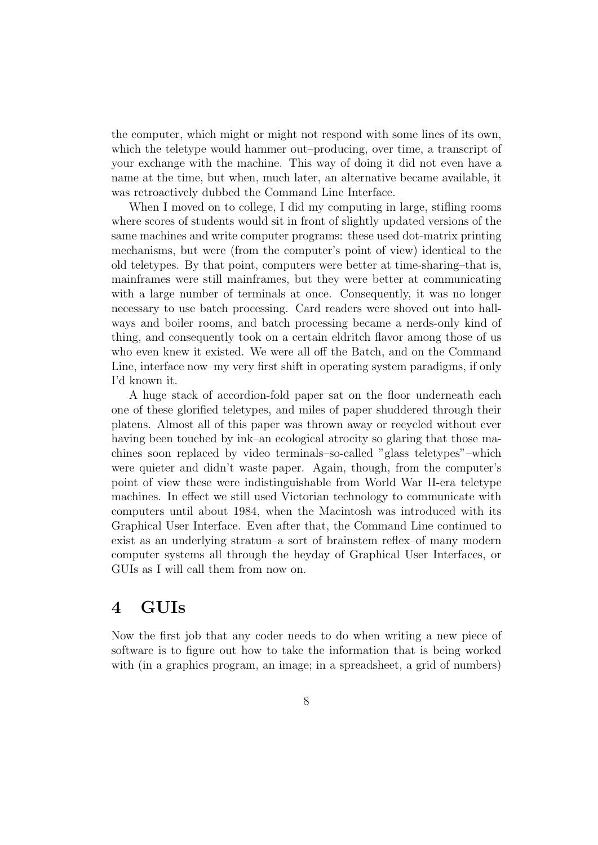the computer, which might or might not respond with some lines of its own, which the teletype would hammer out–producing, over time, a transcript of your exchange with the machine. This way of doing it did not even have a name at the time, but when, much later, an alternative became available, it was retroactively dubbed the Command Line Interface.

When I moved on to college, I did my computing in large, stifling rooms where scores of students would sit in front of slightly updated versions of the same machines and write computer programs: these used dot-matrix printing mechanisms, but were (from the computer's point of view) identical to the old teletypes. By that point, computers were better at time-sharing–that is, mainframes were still mainframes, but they were better at communicating with a large number of terminals at once. Consequently, it was no longer necessary to use batch processing. Card readers were shoved out into hallways and boiler rooms, and batch processing became a nerds-only kind of thing, and consequently took on a certain eldritch flavor among those of us who even knew it existed. We were all off the Batch, and on the Command Line, interface now–my very first shift in operating system paradigms, if only I'd known it.

A huge stack of accordion-fold paper sat on the floor underneath each one of these glorified teletypes, and miles of paper shuddered through their platens. Almost all of this paper was thrown away or recycled without ever having been touched by ink–an ecological atrocity so glaring that those machines soon replaced by video terminals–so-called "glass teletypes"–which were quieter and didn't waste paper. Again, though, from the computer's point of view these were indistinguishable from World War II-era teletype machines. In effect we still used Victorian technology to communicate with computers until about 1984, when the Macintosh was introduced with its Graphical User Interface. Even after that, the Command Line continued to exist as an underlying stratum–a sort of brainstem reflex–of many modern computer systems all through the heyday of Graphical User Interfaces, or GUIs as I will call them from now on.

#### 4 GUIs

Now the first job that any coder needs to do when writing a new piece of software is to figure out how to take the information that is being worked with (in a graphics program, an image; in a spreadsheet, a grid of numbers)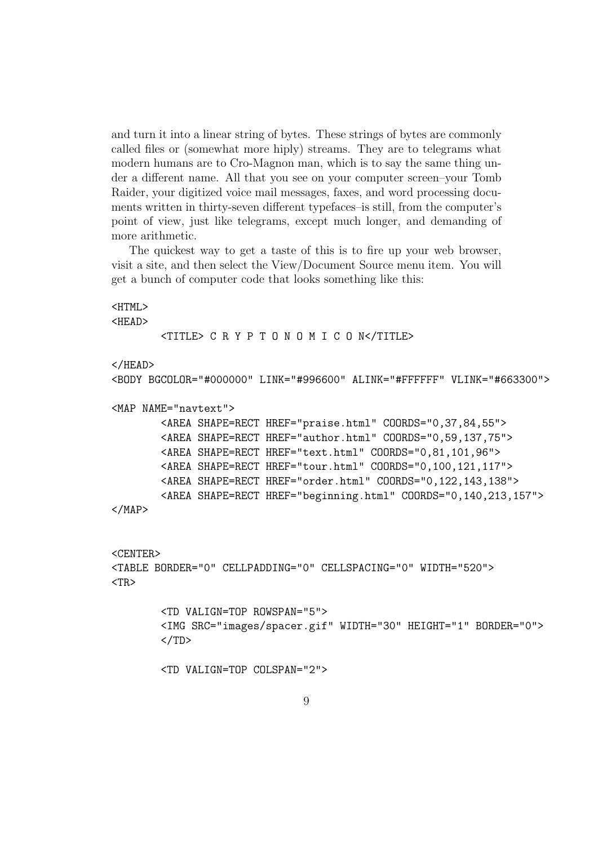and turn it into a linear string of bytes. These strings of bytes are commonly called files or (somewhat more hiply) streams. They are to telegrams what modern humans are to Cro-Magnon man, which is to say the same thing under a different name. All that you see on your computer screen–your Tomb Raider, your digitized voice mail messages, faxes, and word processing documents written in thirty-seven different typefaces–is still, from the computer's point of view, just like telegrams, except much longer, and demanding of more arithmetic.

The quickest way to get a taste of this is to fire up your web browser, visit a site, and then select the View/Document Source menu item. You will get a bunch of computer code that looks something like this:

```
<HTML>
<HEAD>
       <TITLE> C R Y P T O N O M I C O N</TITLE>
</HEAD>
<BODY BGCOLOR="#000000" LINK="#996600" ALINK="#FFFFFF" VLINK="#663300">
<MAP NAME="navtext">
        <AREA SHAPE=RECT HREF="praise.html" COORDS="0,37,84,55">
        <AREA SHAPE=RECT HREF="author.html" COORDS="0,59,137,75">
        <AREA SHAPE=RECT HREF="text.html" COORDS="0,81,101,96">
        <AREA SHAPE=RECT HREF="tour.html" COORDS="0,100,121,117">
        <AREA SHAPE=RECT HREF="order.html" COORDS="0,122,143,138">
        <AREA SHAPE=RECT HREF="beginning.html" COORDS="0,140,213,157">
</MAP>
```

```
<CENTER>
<TABLE BORDER="0" CELLPADDING="0" CELLSPACING="0" WIDTH="520">
<TR>
```
<IMG SRC="images/spacer.gif" WIDTH="30" HEIGHT="1" BORDER="0">  $<$ /TD $>$ 

```
<TD VALIGN=TOP ROWSPAN="5">
```

```
<TD VALIGN=TOP COLSPAN="2">
```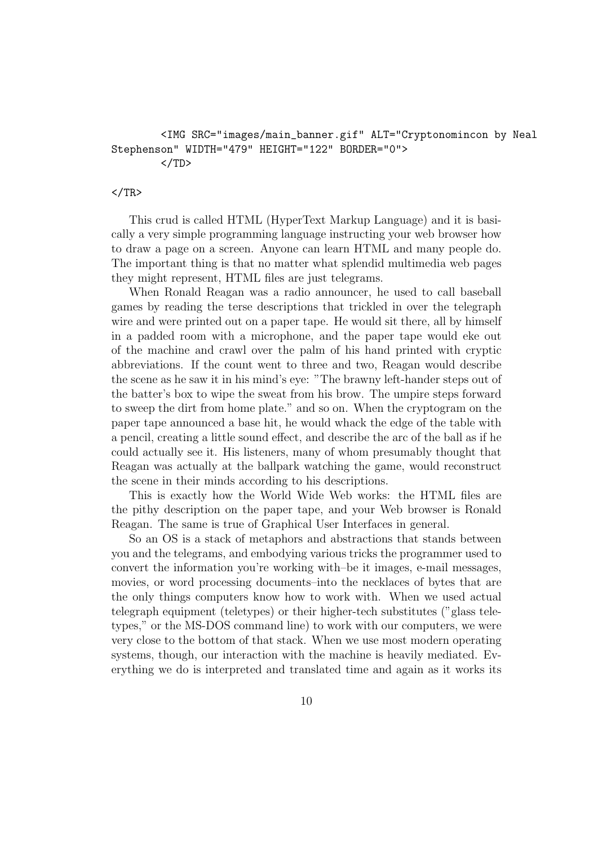```
<IMG SRC="images/main_banner.gif" ALT="Cryptonomincon by Neal
Stephenson" WIDTH="479" HEIGHT="122" BORDER="0">
        </TD>
```
#### $<$ /TR>

This crud is called HTML (HyperText Markup Language) and it is basically a very simple programming language instructing your web browser how to draw a page on a screen. Anyone can learn HTML and many people do. The important thing is that no matter what splendid multimedia web pages they might represent, HTML files are just telegrams.

When Ronald Reagan was a radio announcer, he used to call baseball games by reading the terse descriptions that trickled in over the telegraph wire and were printed out on a paper tape. He would sit there, all by himself in a padded room with a microphone, and the paper tape would eke out of the machine and crawl over the palm of his hand printed with cryptic abbreviations. If the count went to three and two, Reagan would describe the scene as he saw it in his mind's eye: "The brawny left-hander steps out of the batter's box to wipe the sweat from his brow. The umpire steps forward to sweep the dirt from home plate." and so on. When the cryptogram on the paper tape announced a base hit, he would whack the edge of the table with a pencil, creating a little sound effect, and describe the arc of the ball as if he could actually see it. His listeners, many of whom presumably thought that Reagan was actually at the ballpark watching the game, would reconstruct the scene in their minds according to his descriptions.

This is exactly how the World Wide Web works: the HTML files are the pithy description on the paper tape, and your Web browser is Ronald Reagan. The same is true of Graphical User Interfaces in general.

So an OS is a stack of metaphors and abstractions that stands between you and the telegrams, and embodying various tricks the programmer used to convert the information you're working with–be it images, e-mail messages, movies, or word processing documents–into the necklaces of bytes that are the only things computers know how to work with. When we used actual telegraph equipment (teletypes) or their higher-tech substitutes ("glass teletypes," or the MS-DOS command line) to work with our computers, we were very close to the bottom of that stack. When we use most modern operating systems, though, our interaction with the machine is heavily mediated. Everything we do is interpreted and translated time and again as it works its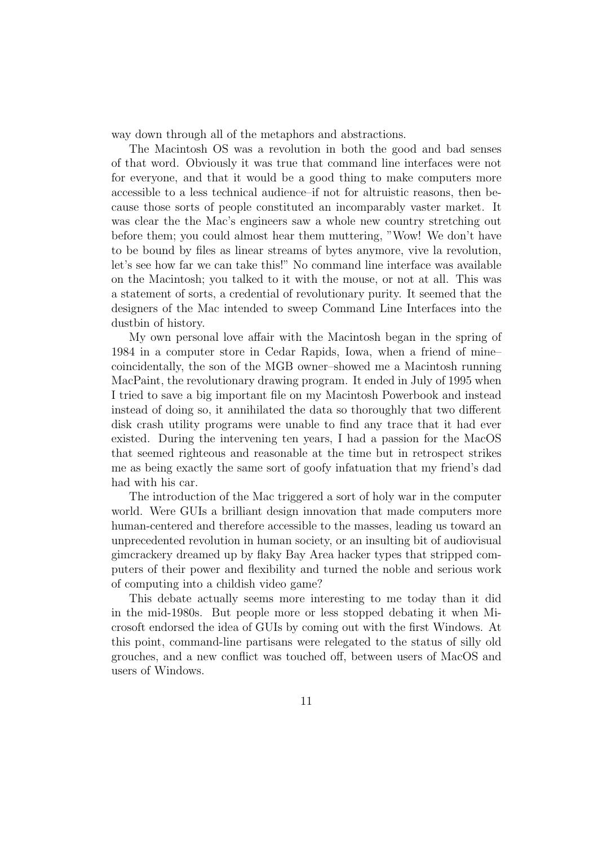way down through all of the metaphors and abstractions.

The Macintosh OS was a revolution in both the good and bad senses of that word. Obviously it was true that command line interfaces were not for everyone, and that it would be a good thing to make computers more accessible to a less technical audience–if not for altruistic reasons, then because those sorts of people constituted an incomparably vaster market. It was clear the the Mac's engineers saw a whole new country stretching out before them; you could almost hear them muttering, "Wow! We don't have to be bound by files as linear streams of bytes anymore, vive la revolution, let's see how far we can take this!" No command line interface was available on the Macintosh; you talked to it with the mouse, or not at all. This was a statement of sorts, a credential of revolutionary purity. It seemed that the designers of the Mac intended to sweep Command Line Interfaces into the dustbin of history.

My own personal love affair with the Macintosh began in the spring of 1984 in a computer store in Cedar Rapids, Iowa, when a friend of mine– coincidentally, the son of the MGB owner–showed me a Macintosh running MacPaint, the revolutionary drawing program. It ended in July of 1995 when I tried to save a big important file on my Macintosh Powerbook and instead instead of doing so, it annihilated the data so thoroughly that two different disk crash utility programs were unable to find any trace that it had ever existed. During the intervening ten years, I had a passion for the MacOS that seemed righteous and reasonable at the time but in retrospect strikes me as being exactly the same sort of goofy infatuation that my friend's dad had with his car.

The introduction of the Mac triggered a sort of holy war in the computer world. Were GUIs a brilliant design innovation that made computers more human-centered and therefore accessible to the masses, leading us toward an unprecedented revolution in human society, or an insulting bit of audiovisual gimcrackery dreamed up by flaky Bay Area hacker types that stripped computers of their power and flexibility and turned the noble and serious work of computing into a childish video game?

This debate actually seems more interesting to me today than it did in the mid-1980s. But people more or less stopped debating it when Microsoft endorsed the idea of GUIs by coming out with the first Windows. At this point, command-line partisans were relegated to the status of silly old grouches, and a new conflict was touched off, between users of MacOS and users of Windows.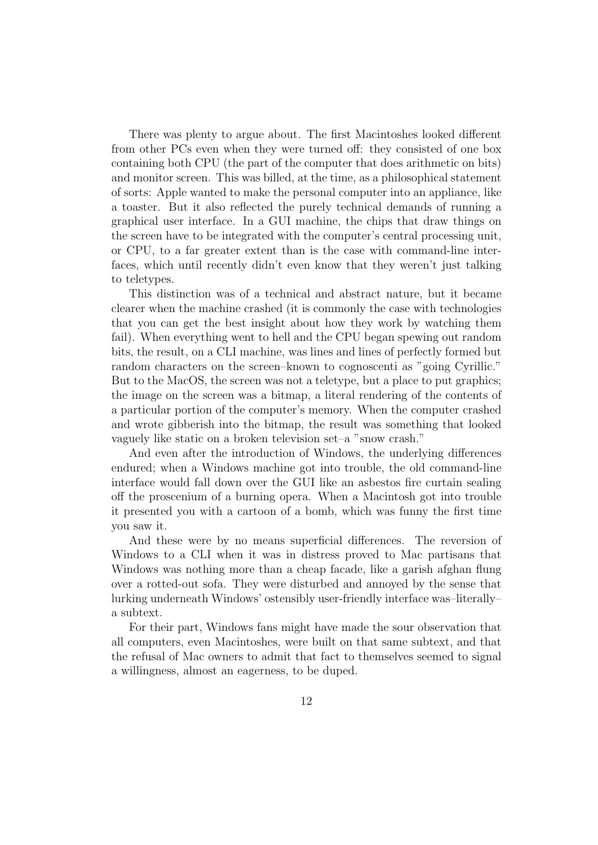There was plenty to argue about. The first Macintoshes looked different from other PCs even when they were turned off: they consisted of one box containing both CPU (the part of the computer that does arithmetic on bits) and monitor screen. This was billed, at the time, as a philosophical statement of sorts: Apple wanted to make the personal computer into an appliance, like a toaster. But it also reflected the purely technical demands of running a graphical user interface. In a GUI machine, the chips that draw things on the screen have to be integrated with the computer's central processing unit, or CPU, to a far greater extent than is the case with command-line interfaces, which until recently didn't even know that they weren't just talking to teletypes.

This distinction was of a technical and abstract nature, but it became clearer when the machine crashed (it is commonly the case with technologies that you can get the best insight about how they work by watching them fail). When everything went to hell and the CPU began spewing out random bits, the result, on a CLI machine, was lines and lines of perfectly formed but random characters on the screen–known to cognoscenti as "going Cyrillic." But to the MacOS, the screen was not a teletype, but a place to put graphics; the image on the screen was a bitmap, a literal rendering of the contents of a particular portion of the computer's memory. When the computer crashed and wrote gibberish into the bitmap, the result was something that looked vaguely like static on a broken television set–a "snow crash."

And even after the introduction of Windows, the underlying differences endured; when a Windows machine got into trouble, the old command-line interface would fall down over the GUI like an asbestos fire curtain sealing off the proscenium of a burning opera. When a Macintosh got into trouble it presented you with a cartoon of a bomb, which was funny the first time you saw it.

And these were by no means superficial differences. The reversion of Windows to a CLI when it was in distress proved to Mac partisans that Windows was nothing more than a cheap facade, like a garish afghan flung over a rotted-out sofa. They were disturbed and annoyed by the sense that lurking underneath Windows' ostensibly user-friendly interface was–literally– a subtext.

For their part, Windows fans might have made the sour observation that all computers, even Macintoshes, were built on that same subtext, and that the refusal of Mac owners to admit that fact to themselves seemed to signal a willingness, almost an eagerness, to be duped.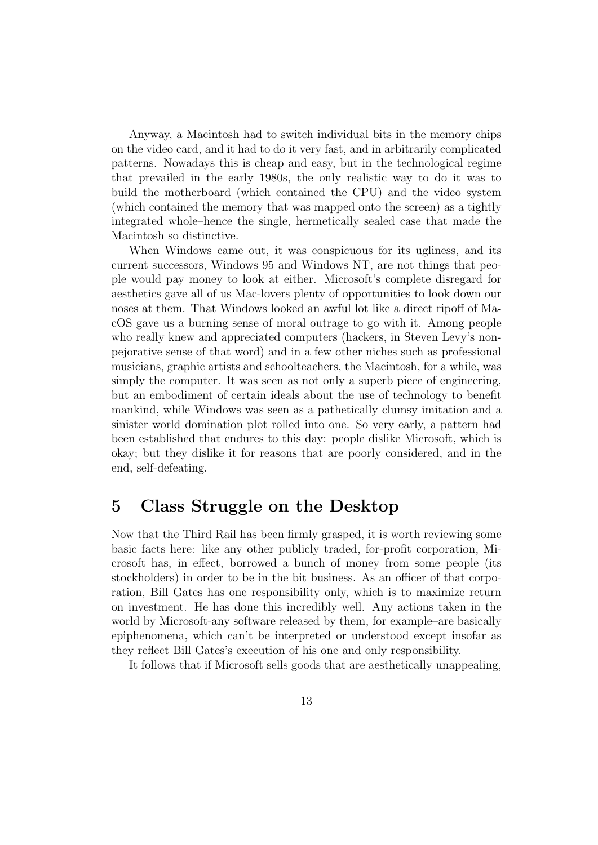Anyway, a Macintosh had to switch individual bits in the memory chips on the video card, and it had to do it very fast, and in arbitrarily complicated patterns. Nowadays this is cheap and easy, but in the technological regime that prevailed in the early 1980s, the only realistic way to do it was to build the motherboard (which contained the CPU) and the video system (which contained the memory that was mapped onto the screen) as a tightly integrated whole–hence the single, hermetically sealed case that made the Macintosh so distinctive.

When Windows came out, it was conspicuous for its ugliness, and its current successors, Windows 95 and Windows NT, are not things that people would pay money to look at either. Microsoft's complete disregard for aesthetics gave all of us Mac-lovers plenty of opportunities to look down our noses at them. That Windows looked an awful lot like a direct ripoff of MacOS gave us a burning sense of moral outrage to go with it. Among people who really knew and appreciated computers (hackers, in Steven Levy's nonpejorative sense of that word) and in a few other niches such as professional musicians, graphic artists and schoolteachers, the Macintosh, for a while, was simply the computer. It was seen as not only a superb piece of engineering, but an embodiment of certain ideals about the use of technology to benefit mankind, while Windows was seen as a pathetically clumsy imitation and a sinister world domination plot rolled into one. So very early, a pattern had been established that endures to this day: people dislike Microsoft, which is okay; but they dislike it for reasons that are poorly considered, and in the end, self-defeating.

### 5 Class Struggle on the Desktop

Now that the Third Rail has been firmly grasped, it is worth reviewing some basic facts here: like any other publicly traded, for-profit corporation, Microsoft has, in effect, borrowed a bunch of money from some people (its stockholders) in order to be in the bit business. As an officer of that corporation, Bill Gates has one responsibility only, which is to maximize return on investment. He has done this incredibly well. Any actions taken in the world by Microsoft-any software released by them, for example–are basically epiphenomena, which can't be interpreted or understood except insofar as they reflect Bill Gates's execution of his one and only responsibility.

It follows that if Microsoft sells goods that are aesthetically unappealing,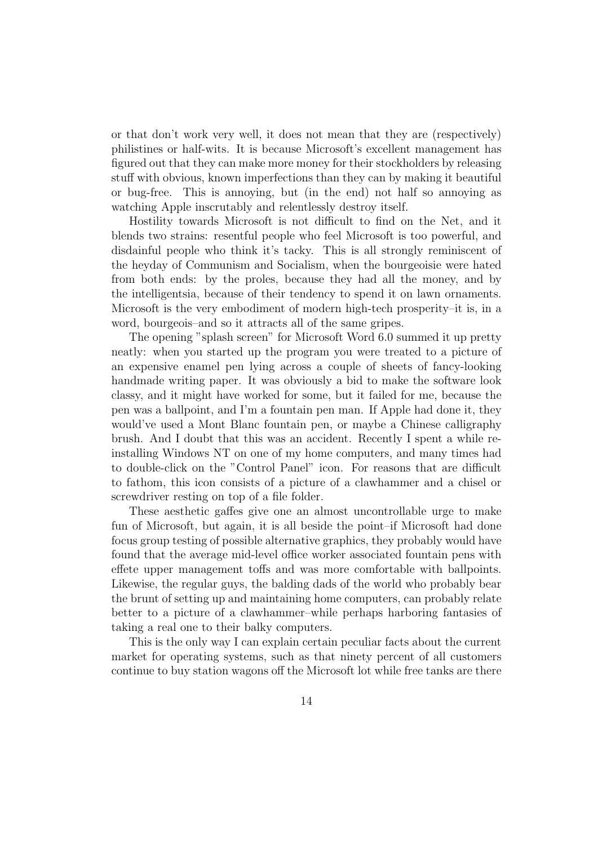or that don't work very well, it does not mean that they are (respectively) philistines or half-wits. It is because Microsoft's excellent management has figured out that they can make more money for their stockholders by releasing stuff with obvious, known imperfections than they can by making it beautiful or bug-free. This is annoying, but (in the end) not half so annoying as watching Apple inscrutably and relentlessly destroy itself.

Hostility towards Microsoft is not difficult to find on the Net, and it blends two strains: resentful people who feel Microsoft is too powerful, and disdainful people who think it's tacky. This is all strongly reminiscent of the heyday of Communism and Socialism, when the bourgeoisie were hated from both ends: by the proles, because they had all the money, and by the intelligentsia, because of their tendency to spend it on lawn ornaments. Microsoft is the very embodiment of modern high-tech prosperity–it is, in a word, bourgeois–and so it attracts all of the same gripes.

The opening "splash screen" for Microsoft Word 6.0 summed it up pretty neatly: when you started up the program you were treated to a picture of an expensive enamel pen lying across a couple of sheets of fancy-looking handmade writing paper. It was obviously a bid to make the software look classy, and it might have worked for some, but it failed for me, because the pen was a ballpoint, and I'm a fountain pen man. If Apple had done it, they would've used a Mont Blanc fountain pen, or maybe a Chinese calligraphy brush. And I doubt that this was an accident. Recently I spent a while reinstalling Windows NT on one of my home computers, and many times had to double-click on the "Control Panel" icon. For reasons that are difficult to fathom, this icon consists of a picture of a clawhammer and a chisel or screwdriver resting on top of a file folder.

These aesthetic gaffes give one an almost uncontrollable urge to make fun of Microsoft, but again, it is all beside the point–if Microsoft had done focus group testing of possible alternative graphics, they probably would have found that the average mid-level office worker associated fountain pens with effete upper management toffs and was more comfortable with ballpoints. Likewise, the regular guys, the balding dads of the world who probably bear the brunt of setting up and maintaining home computers, can probably relate better to a picture of a clawhammer–while perhaps harboring fantasies of taking a real one to their balky computers.

This is the only way I can explain certain peculiar facts about the current market for operating systems, such as that ninety percent of all customers continue to buy station wagons off the Microsoft lot while free tanks are there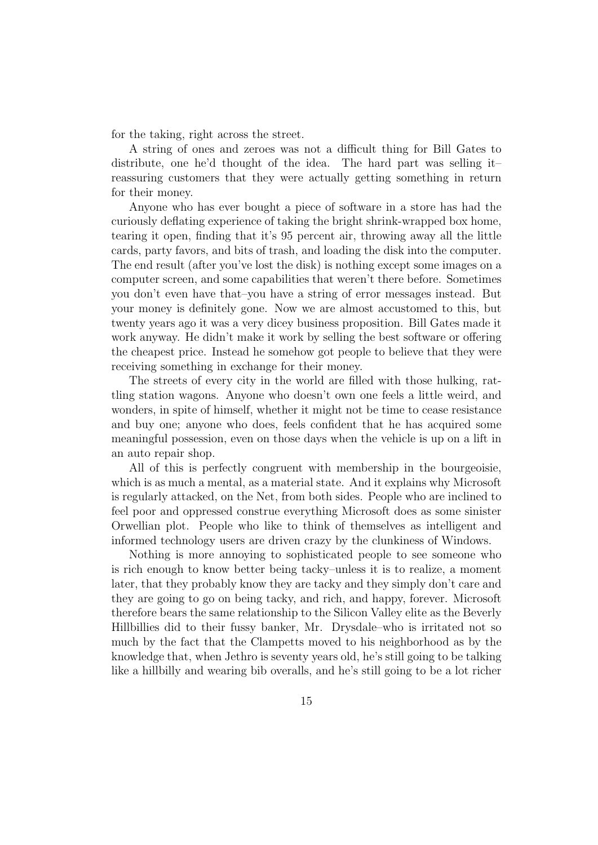for the taking, right across the street.

A string of ones and zeroes was not a difficult thing for Bill Gates to distribute, one he'd thought of the idea. The hard part was selling it– reassuring customers that they were actually getting something in return for their money.

Anyone who has ever bought a piece of software in a store has had the curiously deflating experience of taking the bright shrink-wrapped box home, tearing it open, finding that it's 95 percent air, throwing away all the little cards, party favors, and bits of trash, and loading the disk into the computer. The end result (after you've lost the disk) is nothing except some images on a computer screen, and some capabilities that weren't there before. Sometimes you don't even have that–you have a string of error messages instead. But your money is definitely gone. Now we are almost accustomed to this, but twenty years ago it was a very dicey business proposition. Bill Gates made it work anyway. He didn't make it work by selling the best software or offering the cheapest price. Instead he somehow got people to believe that they were receiving something in exchange for their money.

The streets of every city in the world are filled with those hulking, rattling station wagons. Anyone who doesn't own one feels a little weird, and wonders, in spite of himself, whether it might not be time to cease resistance and buy one; anyone who does, feels confident that he has acquired some meaningful possession, even on those days when the vehicle is up on a lift in an auto repair shop.

All of this is perfectly congruent with membership in the bourgeoisie, which is as much a mental, as a material state. And it explains why Microsoft is regularly attacked, on the Net, from both sides. People who are inclined to feel poor and oppressed construe everything Microsoft does as some sinister Orwellian plot. People who like to think of themselves as intelligent and informed technology users are driven crazy by the clunkiness of Windows.

Nothing is more annoying to sophisticated people to see someone who is rich enough to know better being tacky–unless it is to realize, a moment later, that they probably know they are tacky and they simply don't care and they are going to go on being tacky, and rich, and happy, forever. Microsoft therefore bears the same relationship to the Silicon Valley elite as the Beverly Hillbillies did to their fussy banker, Mr. Drysdale–who is irritated not so much by the fact that the Clampetts moved to his neighborhood as by the knowledge that, when Jethro is seventy years old, he's still going to be talking like a hillbilly and wearing bib overalls, and he's still going to be a lot richer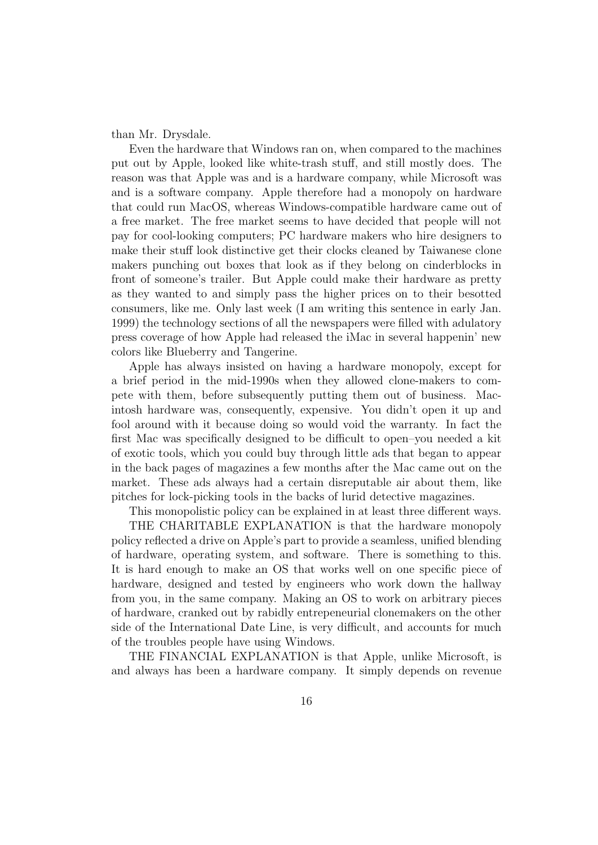than Mr. Drysdale.

Even the hardware that Windows ran on, when compared to the machines put out by Apple, looked like white-trash stuff, and still mostly does. The reason was that Apple was and is a hardware company, while Microsoft was and is a software company. Apple therefore had a monopoly on hardware that could run MacOS, whereas Windows-compatible hardware came out of a free market. The free market seems to have decided that people will not pay for cool-looking computers; PC hardware makers who hire designers to make their stuff look distinctive get their clocks cleaned by Taiwanese clone makers punching out boxes that look as if they belong on cinderblocks in front of someone's trailer. But Apple could make their hardware as pretty as they wanted to and simply pass the higher prices on to their besotted consumers, like me. Only last week (I am writing this sentence in early Jan. 1999) the technology sections of all the newspapers were filled with adulatory press coverage of how Apple had released the iMac in several happenin' new colors like Blueberry and Tangerine.

Apple has always insisted on having a hardware monopoly, except for a brief period in the mid-1990s when they allowed clone-makers to compete with them, before subsequently putting them out of business. Macintosh hardware was, consequently, expensive. You didn't open it up and fool around with it because doing so would void the warranty. In fact the first Mac was specifically designed to be difficult to open–you needed a kit of exotic tools, which you could buy through little ads that began to appear in the back pages of magazines a few months after the Mac came out on the market. These ads always had a certain disreputable air about them, like pitches for lock-picking tools in the backs of lurid detective magazines.

This monopolistic policy can be explained in at least three different ways.

THE CHARITABLE EXPLANATION is that the hardware monopoly policy reflected a drive on Apple's part to provide a seamless, unified blending of hardware, operating system, and software. There is something to this. It is hard enough to make an OS that works well on one specific piece of hardware, designed and tested by engineers who work down the hallway from you, in the same company. Making an OS to work on arbitrary pieces of hardware, cranked out by rabidly entrepeneurial clonemakers on the other side of the International Date Line, is very difficult, and accounts for much of the troubles people have using Windows.

THE FINANCIAL EXPLANATION is that Apple, unlike Microsoft, is and always has been a hardware company. It simply depends on revenue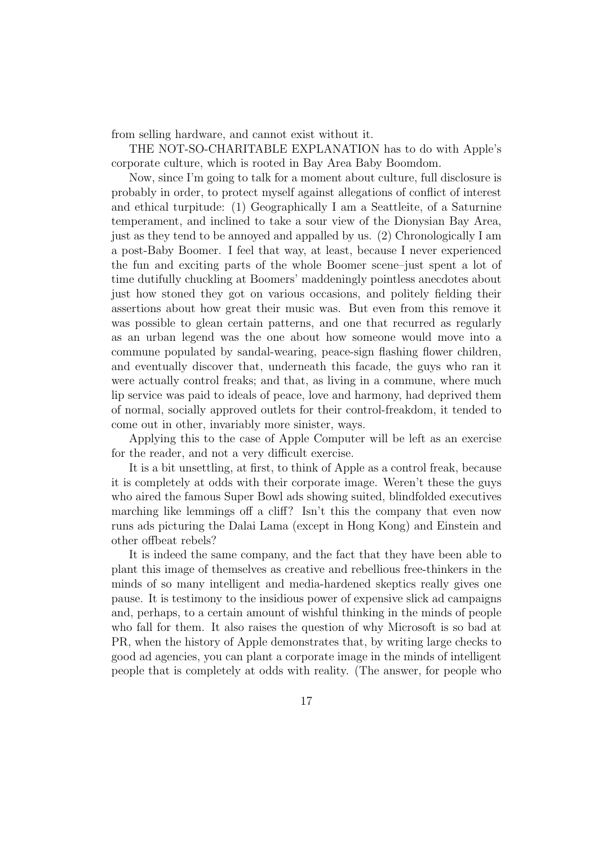from selling hardware, and cannot exist without it.

THE NOT-SO-CHARITABLE EXPLANATION has to do with Apple's corporate culture, which is rooted in Bay Area Baby Boomdom.

Now, since I'm going to talk for a moment about culture, full disclosure is probably in order, to protect myself against allegations of conflict of interest and ethical turpitude: (1) Geographically I am a Seattleite, of a Saturnine temperament, and inclined to take a sour view of the Dionysian Bay Area, just as they tend to be annoyed and appalled by us. (2) Chronologically I am a post-Baby Boomer. I feel that way, at least, because I never experienced the fun and exciting parts of the whole Boomer scene–just spent a lot of time dutifully chuckling at Boomers' maddeningly pointless anecdotes about just how stoned they got on various occasions, and politely fielding their assertions about how great their music was. But even from this remove it was possible to glean certain patterns, and one that recurred as regularly as an urban legend was the one about how someone would move into a commune populated by sandal-wearing, peace-sign flashing flower children, and eventually discover that, underneath this facade, the guys who ran it were actually control freaks; and that, as living in a commune, where much lip service was paid to ideals of peace, love and harmony, had deprived them of normal, socially approved outlets for their control-freakdom, it tended to come out in other, invariably more sinister, ways.

Applying this to the case of Apple Computer will be left as an exercise for the reader, and not a very difficult exercise.

It is a bit unsettling, at first, to think of Apple as a control freak, because it is completely at odds with their corporate image. Weren't these the guys who aired the famous Super Bowl ads showing suited, blindfolded executives marching like lemmings off a cliff? Isn't this the company that even now runs ads picturing the Dalai Lama (except in Hong Kong) and Einstein and other offbeat rebels?

It is indeed the same company, and the fact that they have been able to plant this image of themselves as creative and rebellious free-thinkers in the minds of so many intelligent and media-hardened skeptics really gives one pause. It is testimony to the insidious power of expensive slick ad campaigns and, perhaps, to a certain amount of wishful thinking in the minds of people who fall for them. It also raises the question of why Microsoft is so bad at PR, when the history of Apple demonstrates that, by writing large checks to good ad agencies, you can plant a corporate image in the minds of intelligent people that is completely at odds with reality. (The answer, for people who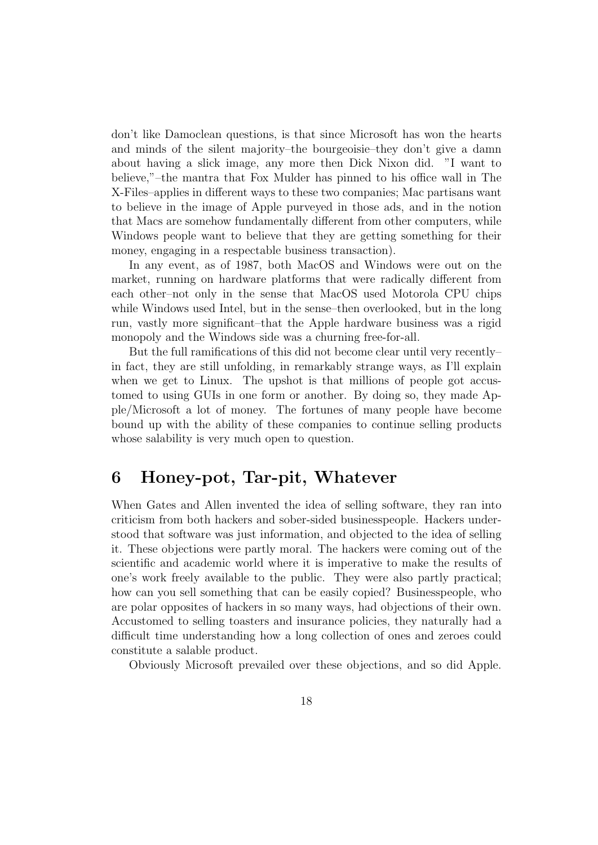don't like Damoclean questions, is that since Microsoft has won the hearts and minds of the silent majority–the bourgeoisie–they don't give a damn about having a slick image, any more then Dick Nixon did. "I want to believe,"–the mantra that Fox Mulder has pinned to his office wall in The X-Files–applies in different ways to these two companies; Mac partisans want to believe in the image of Apple purveyed in those ads, and in the notion that Macs are somehow fundamentally different from other computers, while Windows people want to believe that they are getting something for their money, engaging in a respectable business transaction).

In any event, as of 1987, both MacOS and Windows were out on the market, running on hardware platforms that were radically different from each other–not only in the sense that MacOS used Motorola CPU chips while Windows used Intel, but in the sense–then overlooked, but in the long run, vastly more significant–that the Apple hardware business was a rigid monopoly and the Windows side was a churning free-for-all.

But the full ramifications of this did not become clear until very recently– in fact, they are still unfolding, in remarkably strange ways, as I'll explain when we get to Linux. The upshot is that millions of people got accustomed to using GUIs in one form or another. By doing so, they made Apple/Microsoft a lot of money. The fortunes of many people have become bound up with the ability of these companies to continue selling products whose salability is very much open to question.

### 6 Honey-pot, Tar-pit, Whatever

When Gates and Allen invented the idea of selling software, they ran into criticism from both hackers and sober-sided businesspeople. Hackers understood that software was just information, and objected to the idea of selling it. These objections were partly moral. The hackers were coming out of the scientific and academic world where it is imperative to make the results of one's work freely available to the public. They were also partly practical; how can you sell something that can be easily copied? Businesspeople, who are polar opposites of hackers in so many ways, had objections of their own. Accustomed to selling toasters and insurance policies, they naturally had a difficult time understanding how a long collection of ones and zeroes could constitute a salable product.

Obviously Microsoft prevailed over these objections, and so did Apple.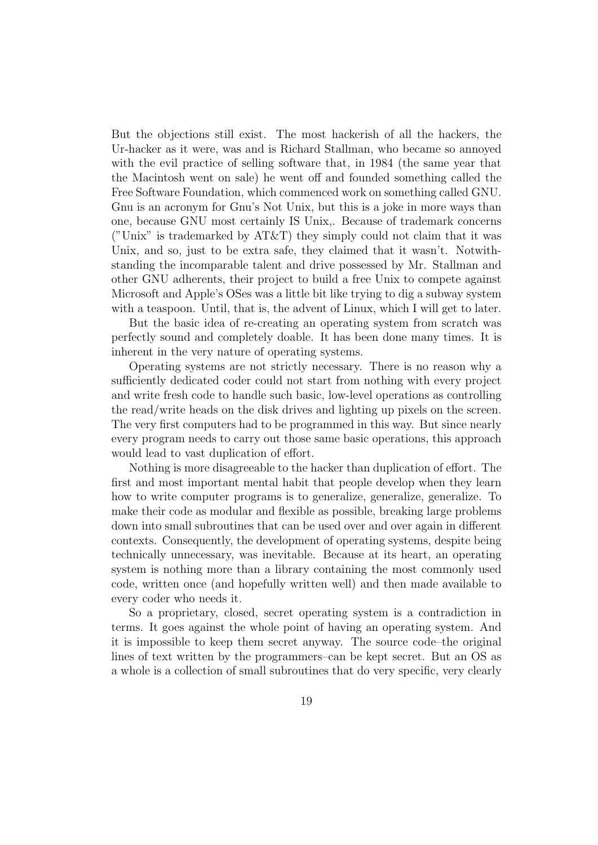But the objections still exist. The most hackerish of all the hackers, the Ur-hacker as it were, was and is Richard Stallman, who became so annoyed with the evil practice of selling software that, in 1984 (the same year that the Macintosh went on sale) he went off and founded something called the Free Software Foundation, which commenced work on something called GNU. Gnu is an acronym for Gnu's Not Unix, but this is a joke in more ways than one, because GNU most certainly IS Unix,. Because of trademark concerns ("Unix" is trademarked by  $AT\&T$ ) they simply could not claim that it was Unix, and so, just to be extra safe, they claimed that it wasn't. Notwithstanding the incomparable talent and drive possessed by Mr. Stallman and other GNU adherents, their project to build a free Unix to compete against Microsoft and Apple's OSes was a little bit like trying to dig a subway system with a teaspoon. Until, that is, the advent of Linux, which I will get to later.

But the basic idea of re-creating an operating system from scratch was perfectly sound and completely doable. It has been done many times. It is inherent in the very nature of operating systems.

Operating systems are not strictly necessary. There is no reason why a sufficiently dedicated coder could not start from nothing with every project and write fresh code to handle such basic, low-level operations as controlling the read/write heads on the disk drives and lighting up pixels on the screen. The very first computers had to be programmed in this way. But since nearly every program needs to carry out those same basic operations, this approach would lead to vast duplication of effort.

Nothing is more disagreeable to the hacker than duplication of effort. The first and most important mental habit that people develop when they learn how to write computer programs is to generalize, generalize, generalize. To make their code as modular and flexible as possible, breaking large problems down into small subroutines that can be used over and over again in different contexts. Consequently, the development of operating systems, despite being technically unnecessary, was inevitable. Because at its heart, an operating system is nothing more than a library containing the most commonly used code, written once (and hopefully written well) and then made available to every coder who needs it.

So a proprietary, closed, secret operating system is a contradiction in terms. It goes against the whole point of having an operating system. And it is impossible to keep them secret anyway. The source code–the original lines of text written by the programmers–can be kept secret. But an OS as a whole is a collection of small subroutines that do very specific, very clearly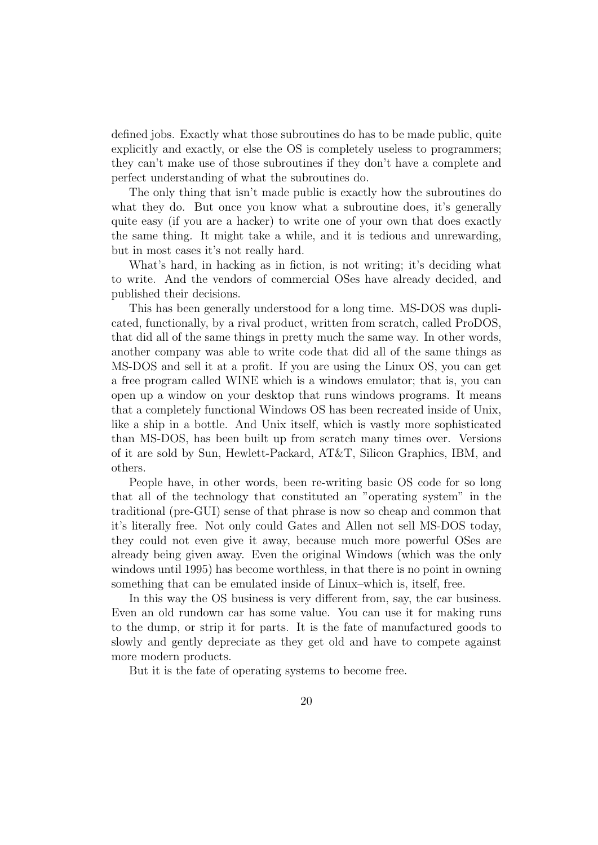defined jobs. Exactly what those subroutines do has to be made public, quite explicitly and exactly, or else the OS is completely useless to programmers; they can't make use of those subroutines if they don't have a complete and perfect understanding of what the subroutines do.

The only thing that isn't made public is exactly how the subroutines do what they do. But once you know what a subroutine does, it's generally quite easy (if you are a hacker) to write one of your own that does exactly the same thing. It might take a while, and it is tedious and unrewarding, but in most cases it's not really hard.

What's hard, in hacking as in fiction, is not writing; it's deciding what to write. And the vendors of commercial OSes have already decided, and published their decisions.

This has been generally understood for a long time. MS-DOS was duplicated, functionally, by a rival product, written from scratch, called ProDOS, that did all of the same things in pretty much the same way. In other words, another company was able to write code that did all of the same things as MS-DOS and sell it at a profit. If you are using the Linux OS, you can get a free program called WINE which is a windows emulator; that is, you can open up a window on your desktop that runs windows programs. It means that a completely functional Windows OS has been recreated inside of Unix, like a ship in a bottle. And Unix itself, which is vastly more sophisticated than MS-DOS, has been built up from scratch many times over. Versions of it are sold by Sun, Hewlett-Packard, AT&T, Silicon Graphics, IBM, and others.

People have, in other words, been re-writing basic OS code for so long that all of the technology that constituted an "operating system" in the traditional (pre-GUI) sense of that phrase is now so cheap and common that it's literally free. Not only could Gates and Allen not sell MS-DOS today, they could not even give it away, because much more powerful OSes are already being given away. Even the original Windows (which was the only windows until 1995) has become worthless, in that there is no point in owning something that can be emulated inside of Linux–which is, itself, free.

In this way the OS business is very different from, say, the car business. Even an old rundown car has some value. You can use it for making runs to the dump, or strip it for parts. It is the fate of manufactured goods to slowly and gently depreciate as they get old and have to compete against more modern products.

But it is the fate of operating systems to become free.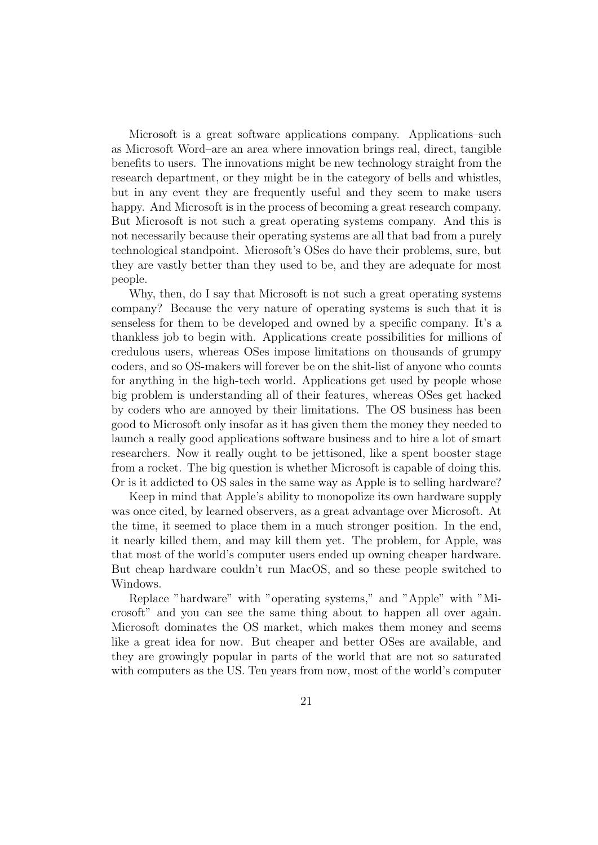Microsoft is a great software applications company. Applications–such as Microsoft Word–are an area where innovation brings real, direct, tangible benefits to users. The innovations might be new technology straight from the research department, or they might be in the category of bells and whistles, but in any event they are frequently useful and they seem to make users happy. And Microsoft is in the process of becoming a great research company. But Microsoft is not such a great operating systems company. And this is not necessarily because their operating systems are all that bad from a purely technological standpoint. Microsoft's OSes do have their problems, sure, but they are vastly better than they used to be, and they are adequate for most people.

Why, then, do I say that Microsoft is not such a great operating systems company? Because the very nature of operating systems is such that it is senseless for them to be developed and owned by a specific company. It's a thankless job to begin with. Applications create possibilities for millions of credulous users, whereas OSes impose limitations on thousands of grumpy coders, and so OS-makers will forever be on the shit-list of anyone who counts for anything in the high-tech world. Applications get used by people whose big problem is understanding all of their features, whereas OSes get hacked by coders who are annoyed by their limitations. The OS business has been good to Microsoft only insofar as it has given them the money they needed to launch a really good applications software business and to hire a lot of smart researchers. Now it really ought to be jettisoned, like a spent booster stage from a rocket. The big question is whether Microsoft is capable of doing this. Or is it addicted to OS sales in the same way as Apple is to selling hardware?

Keep in mind that Apple's ability to monopolize its own hardware supply was once cited, by learned observers, as a great advantage over Microsoft. At the time, it seemed to place them in a much stronger position. In the end, it nearly killed them, and may kill them yet. The problem, for Apple, was that most of the world's computer users ended up owning cheaper hardware. But cheap hardware couldn't run MacOS, and so these people switched to Windows.

Replace "hardware" with "operating systems," and "Apple" with "Microsoft" and you can see the same thing about to happen all over again. Microsoft dominates the OS market, which makes them money and seems like a great idea for now. But cheaper and better OSes are available, and they are growingly popular in parts of the world that are not so saturated with computers as the US. Ten years from now, most of the world's computer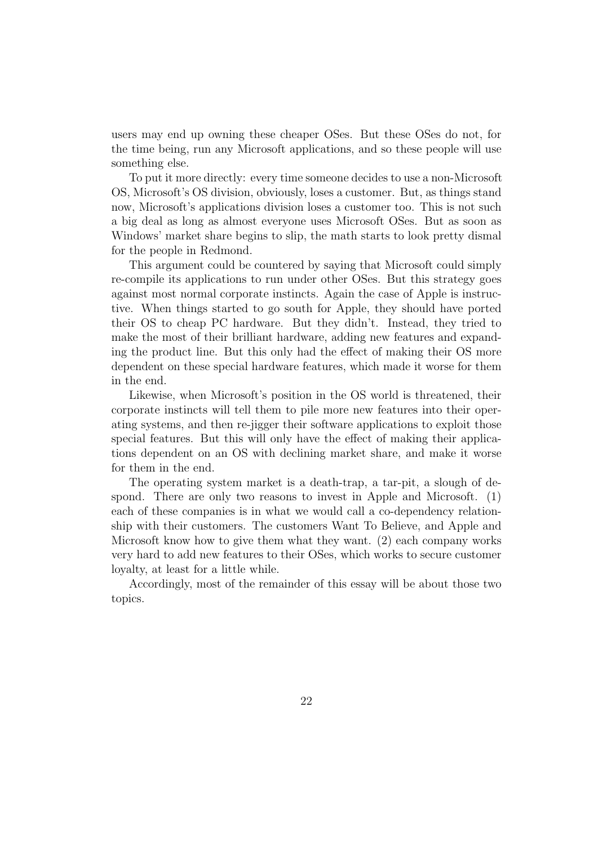users may end up owning these cheaper OSes. But these OSes do not, for the time being, run any Microsoft applications, and so these people will use something else.

To put it more directly: every time someone decides to use a non-Microsoft OS, Microsoft's OS division, obviously, loses a customer. But, as things stand now, Microsoft's applications division loses a customer too. This is not such a big deal as long as almost everyone uses Microsoft OSes. But as soon as Windows' market share begins to slip, the math starts to look pretty dismal for the people in Redmond.

This argument could be countered by saying that Microsoft could simply re-compile its applications to run under other OSes. But this strategy goes against most normal corporate instincts. Again the case of Apple is instructive. When things started to go south for Apple, they should have ported their OS to cheap PC hardware. But they didn't. Instead, they tried to make the most of their brilliant hardware, adding new features and expanding the product line. But this only had the effect of making their OS more dependent on these special hardware features, which made it worse for them in the end.

Likewise, when Microsoft's position in the OS world is threatened, their corporate instincts will tell them to pile more new features into their operating systems, and then re-jigger their software applications to exploit those special features. But this will only have the effect of making their applications dependent on an OS with declining market share, and make it worse for them in the end.

The operating system market is a death-trap, a tar-pit, a slough of despond. There are only two reasons to invest in Apple and Microsoft. (1) each of these companies is in what we would call a co-dependency relationship with their customers. The customers Want To Believe, and Apple and Microsoft know how to give them what they want. (2) each company works very hard to add new features to their OSes, which works to secure customer loyalty, at least for a little while.

Accordingly, most of the remainder of this essay will be about those two topics.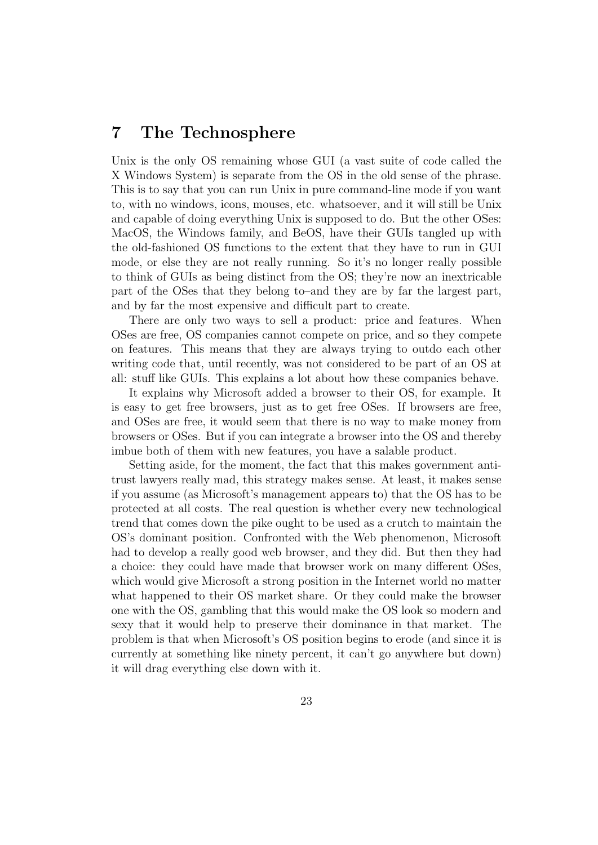#### 7 The Technosphere

Unix is the only OS remaining whose GUI (a vast suite of code called the X Windows System) is separate from the OS in the old sense of the phrase. This is to say that you can run Unix in pure command-line mode if you want to, with no windows, icons, mouses, etc. whatsoever, and it will still be Unix and capable of doing everything Unix is supposed to do. But the other OSes: MacOS, the Windows family, and BeOS, have their GUIs tangled up with the old-fashioned OS functions to the extent that they have to run in GUI mode, or else they are not really running. So it's no longer really possible to think of GUIs as being distinct from the OS; they're now an inextricable part of the OSes that they belong to–and they are by far the largest part, and by far the most expensive and difficult part to create.

There are only two ways to sell a product: price and features. When OSes are free, OS companies cannot compete on price, and so they compete on features. This means that they are always trying to outdo each other writing code that, until recently, was not considered to be part of an OS at all: stuff like GUIs. This explains a lot about how these companies behave.

It explains why Microsoft added a browser to their OS, for example. It is easy to get free browsers, just as to get free OSes. If browsers are free, and OSes are free, it would seem that there is no way to make money from browsers or OSes. But if you can integrate a browser into the OS and thereby imbue both of them with new features, you have a salable product.

Setting aside, for the moment, the fact that this makes government antitrust lawyers really mad, this strategy makes sense. At least, it makes sense if you assume (as Microsoft's management appears to) that the OS has to be protected at all costs. The real question is whether every new technological trend that comes down the pike ought to be used as a crutch to maintain the OS's dominant position. Confronted with the Web phenomenon, Microsoft had to develop a really good web browser, and they did. But then they had a choice: they could have made that browser work on many different OSes, which would give Microsoft a strong position in the Internet world no matter what happened to their OS market share. Or they could make the browser one with the OS, gambling that this would make the OS look so modern and sexy that it would help to preserve their dominance in that market. The problem is that when Microsoft's OS position begins to erode (and since it is currently at something like ninety percent, it can't go anywhere but down) it will drag everything else down with it.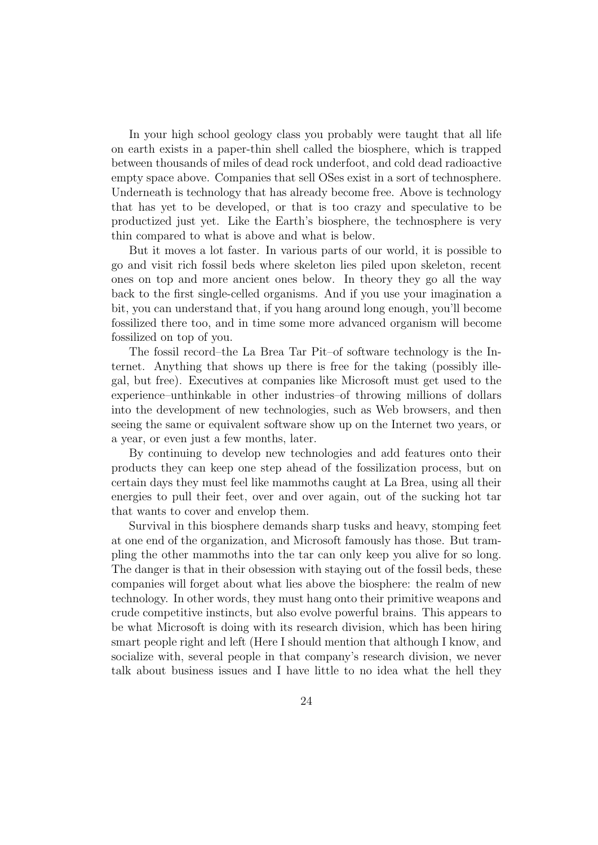In your high school geology class you probably were taught that all life on earth exists in a paper-thin shell called the biosphere, which is trapped between thousands of miles of dead rock underfoot, and cold dead radioactive empty space above. Companies that sell OSes exist in a sort of technosphere. Underneath is technology that has already become free. Above is technology that has yet to be developed, or that is too crazy and speculative to be productized just yet. Like the Earth's biosphere, the technosphere is very thin compared to what is above and what is below.

But it moves a lot faster. In various parts of our world, it is possible to go and visit rich fossil beds where skeleton lies piled upon skeleton, recent ones on top and more ancient ones below. In theory they go all the way back to the first single-celled organisms. And if you use your imagination a bit, you can understand that, if you hang around long enough, you'll become fossilized there too, and in time some more advanced organism will become fossilized on top of you.

The fossil record–the La Brea Tar Pit–of software technology is the Internet. Anything that shows up there is free for the taking (possibly illegal, but free). Executives at companies like Microsoft must get used to the experience–unthinkable in other industries–of throwing millions of dollars into the development of new technologies, such as Web browsers, and then seeing the same or equivalent software show up on the Internet two years, or a year, or even just a few months, later.

By continuing to develop new technologies and add features onto their products they can keep one step ahead of the fossilization process, but on certain days they must feel like mammoths caught at La Brea, using all their energies to pull their feet, over and over again, out of the sucking hot tar that wants to cover and envelop them.

Survival in this biosphere demands sharp tusks and heavy, stomping feet at one end of the organization, and Microsoft famously has those. But trampling the other mammoths into the tar can only keep you alive for so long. The danger is that in their obsession with staying out of the fossil beds, these companies will forget about what lies above the biosphere: the realm of new technology. In other words, they must hang onto their primitive weapons and crude competitive instincts, but also evolve powerful brains. This appears to be what Microsoft is doing with its research division, which has been hiring smart people right and left (Here I should mention that although I know, and socialize with, several people in that company's research division, we never talk about business issues and I have little to no idea what the hell they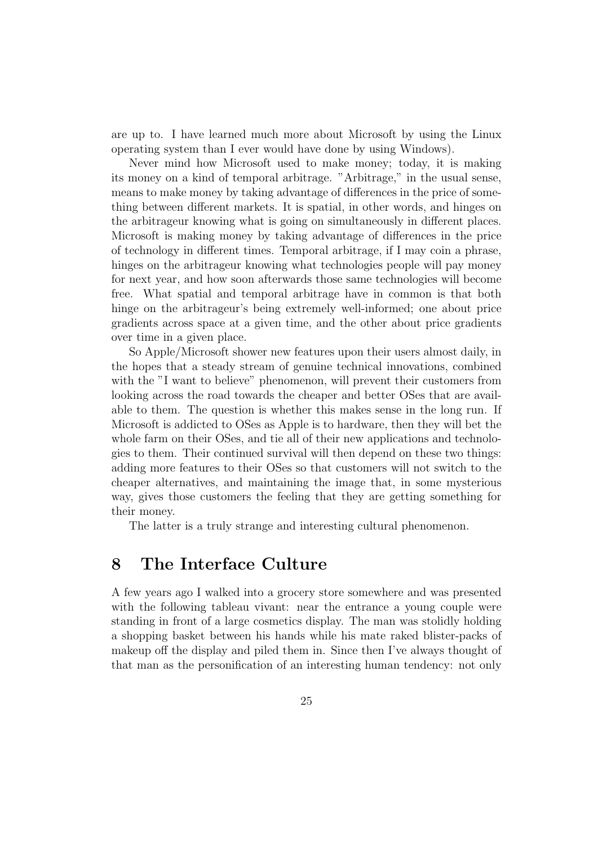are up to. I have learned much more about Microsoft by using the Linux operating system than I ever would have done by using Windows).

Never mind how Microsoft used to make money; today, it is making its money on a kind of temporal arbitrage. "Arbitrage," in the usual sense, means to make money by taking advantage of differences in the price of something between different markets. It is spatial, in other words, and hinges on the arbitrageur knowing what is going on simultaneously in different places. Microsoft is making money by taking advantage of differences in the price of technology in different times. Temporal arbitrage, if I may coin a phrase, hinges on the arbitrageur knowing what technologies people will pay money for next year, and how soon afterwards those same technologies will become free. What spatial and temporal arbitrage have in common is that both hinge on the arbitrageur's being extremely well-informed; one about price gradients across space at a given time, and the other about price gradients over time in a given place.

So Apple/Microsoft shower new features upon their users almost daily, in the hopes that a steady stream of genuine technical innovations, combined with the "I want to believe" phenomenon, will prevent their customers from looking across the road towards the cheaper and better OSes that are available to them. The question is whether this makes sense in the long run. If Microsoft is addicted to OSes as Apple is to hardware, then they will bet the whole farm on their OSes, and tie all of their new applications and technologies to them. Their continued survival will then depend on these two things: adding more features to their OSes so that customers will not switch to the cheaper alternatives, and maintaining the image that, in some mysterious way, gives those customers the feeling that they are getting something for their money.

The latter is a truly strange and interesting cultural phenomenon.

#### 8 The Interface Culture

A few years ago I walked into a grocery store somewhere and was presented with the following tableau vivant: near the entrance a young couple were standing in front of a large cosmetics display. The man was stolidly holding a shopping basket between his hands while his mate raked blister-packs of makeup off the display and piled them in. Since then I've always thought of that man as the personification of an interesting human tendency: not only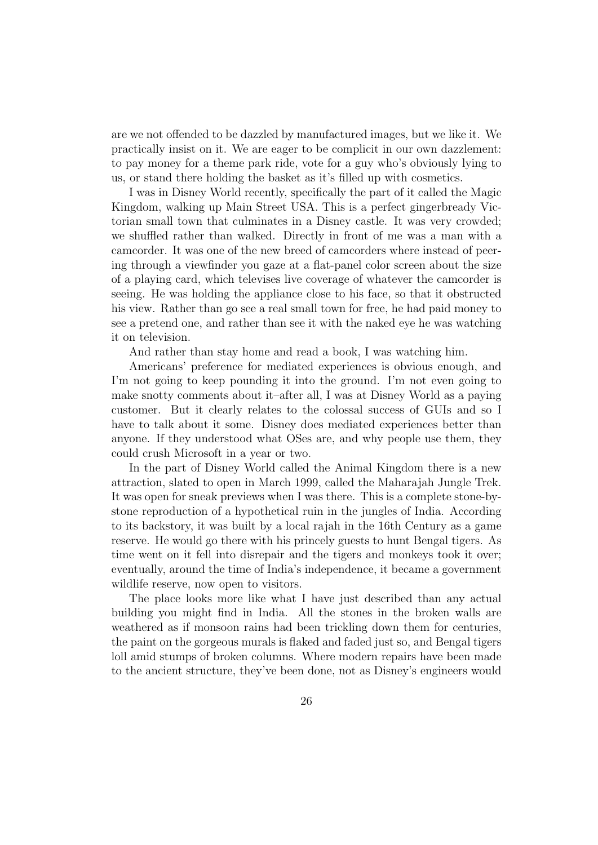are we not offended to be dazzled by manufactured images, but we like it. We practically insist on it. We are eager to be complicit in our own dazzlement: to pay money for a theme park ride, vote for a guy who's obviously lying to us, or stand there holding the basket as it's filled up with cosmetics.

I was in Disney World recently, specifically the part of it called the Magic Kingdom, walking up Main Street USA. This is a perfect gingerbready Victorian small town that culminates in a Disney castle. It was very crowded; we shuffled rather than walked. Directly in front of me was a man with a camcorder. It was one of the new breed of camcorders where instead of peering through a viewfinder you gaze at a flat-panel color screen about the size of a playing card, which televises live coverage of whatever the camcorder is seeing. He was holding the appliance close to his face, so that it obstructed his view. Rather than go see a real small town for free, he had paid money to see a pretend one, and rather than see it with the naked eye he was watching it on television.

And rather than stay home and read a book, I was watching him.

Americans' preference for mediated experiences is obvious enough, and I'm not going to keep pounding it into the ground. I'm not even going to make snotty comments about it–after all, I was at Disney World as a paying customer. But it clearly relates to the colossal success of GUIs and so I have to talk about it some. Disney does mediated experiences better than anyone. If they understood what OSes are, and why people use them, they could crush Microsoft in a year or two.

In the part of Disney World called the Animal Kingdom there is a new attraction, slated to open in March 1999, called the Maharajah Jungle Trek. It was open for sneak previews when I was there. This is a complete stone-bystone reproduction of a hypothetical ruin in the jungles of India. According to its backstory, it was built by a local rajah in the 16th Century as a game reserve. He would go there with his princely guests to hunt Bengal tigers. As time went on it fell into disrepair and the tigers and monkeys took it over; eventually, around the time of India's independence, it became a government wildlife reserve, now open to visitors.

The place looks more like what I have just described than any actual building you might find in India. All the stones in the broken walls are weathered as if monsoon rains had been trickling down them for centuries, the paint on the gorgeous murals is flaked and faded just so, and Bengal tigers loll amid stumps of broken columns. Where modern repairs have been made to the ancient structure, they've been done, not as Disney's engineers would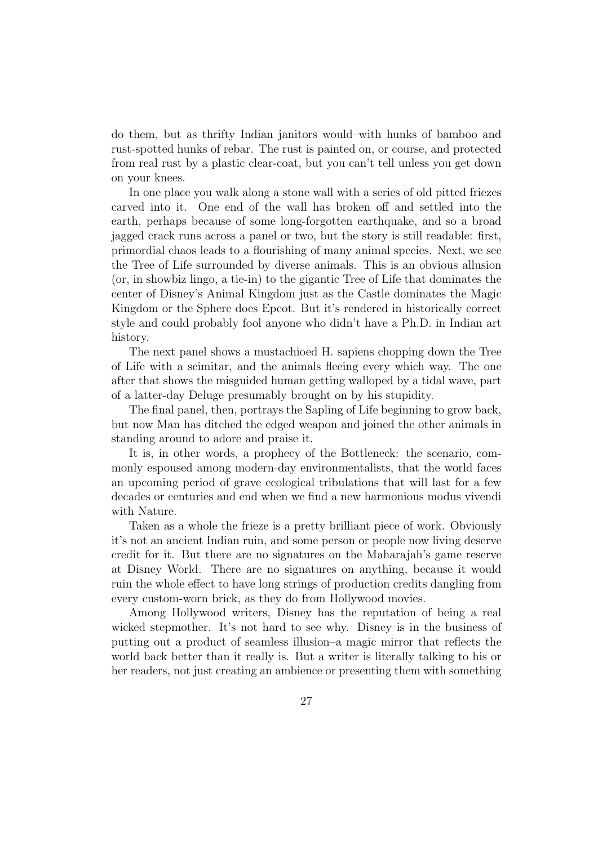do them, but as thrifty Indian janitors would–with hunks of bamboo and rust-spotted hunks of rebar. The rust is painted on, or course, and protected from real rust by a plastic clear-coat, but you can't tell unless you get down on your knees.

In one place you walk along a stone wall with a series of old pitted friezes carved into it. One end of the wall has broken off and settled into the earth, perhaps because of some long-forgotten earthquake, and so a broad jagged crack runs across a panel or two, but the story is still readable: first, primordial chaos leads to a flourishing of many animal species. Next, we see the Tree of Life surrounded by diverse animals. This is an obvious allusion (or, in showbiz lingo, a tie-in) to the gigantic Tree of Life that dominates the center of Disney's Animal Kingdom just as the Castle dominates the Magic Kingdom or the Sphere does Epcot. But it's rendered in historically correct style and could probably fool anyone who didn't have a Ph.D. in Indian art history.

The next panel shows a mustachioed H. sapiens chopping down the Tree of Life with a scimitar, and the animals fleeing every which way. The one after that shows the misguided human getting walloped by a tidal wave, part of a latter-day Deluge presumably brought on by his stupidity.

The final panel, then, portrays the Sapling of Life beginning to grow back, but now Man has ditched the edged weapon and joined the other animals in standing around to adore and praise it.

It is, in other words, a prophecy of the Bottleneck: the scenario, commonly espoused among modern-day environmentalists, that the world faces an upcoming period of grave ecological tribulations that will last for a few decades or centuries and end when we find a new harmonious modus vivendi with Nature.

Taken as a whole the frieze is a pretty brilliant piece of work. Obviously it's not an ancient Indian ruin, and some person or people now living deserve credit for it. But there are no signatures on the Maharajah's game reserve at Disney World. There are no signatures on anything, because it would ruin the whole effect to have long strings of production credits dangling from every custom-worn brick, as they do from Hollywood movies.

Among Hollywood writers, Disney has the reputation of being a real wicked stepmother. It's not hard to see why. Disney is in the business of putting out a product of seamless illusion–a magic mirror that reflects the world back better than it really is. But a writer is literally talking to his or her readers, not just creating an ambience or presenting them with something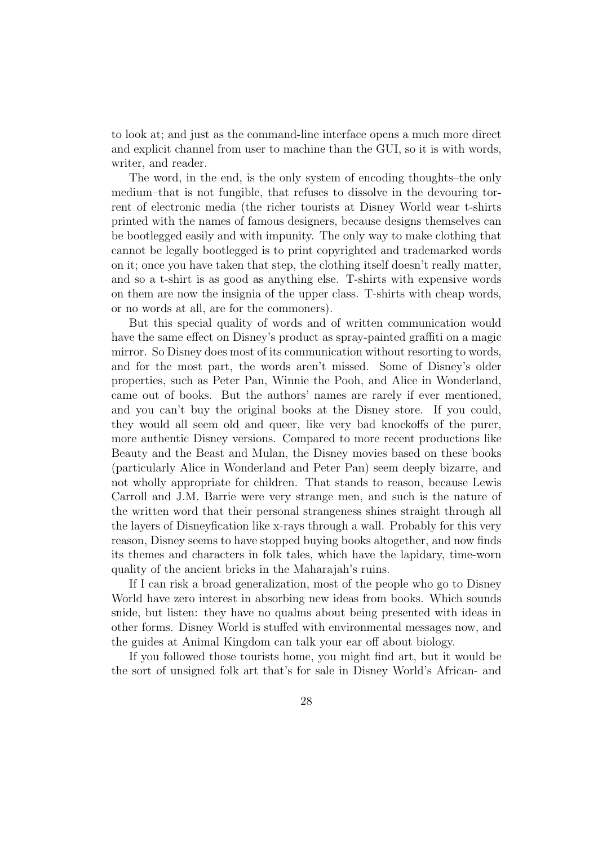to look at; and just as the command-line interface opens a much more direct and explicit channel from user to machine than the GUI, so it is with words, writer, and reader.

The word, in the end, is the only system of encoding thoughts–the only medium–that is not fungible, that refuses to dissolve in the devouring torrent of electronic media (the richer tourists at Disney World wear t-shirts printed with the names of famous designers, because designs themselves can be bootlegged easily and with impunity. The only way to make clothing that cannot be legally bootlegged is to print copyrighted and trademarked words on it; once you have taken that step, the clothing itself doesn't really matter, and so a t-shirt is as good as anything else. T-shirts with expensive words on them are now the insignia of the upper class. T-shirts with cheap words, or no words at all, are for the commoners).

But this special quality of words and of written communication would have the same effect on Disney's product as spray-painted graffiti on a magic mirror. So Disney does most of its communication without resorting to words, and for the most part, the words aren't missed. Some of Disney's older properties, such as Peter Pan, Winnie the Pooh, and Alice in Wonderland, came out of books. But the authors' names are rarely if ever mentioned, and you can't buy the original books at the Disney store. If you could, they would all seem old and queer, like very bad knockoffs of the purer, more authentic Disney versions. Compared to more recent productions like Beauty and the Beast and Mulan, the Disney movies based on these books (particularly Alice in Wonderland and Peter Pan) seem deeply bizarre, and not wholly appropriate for children. That stands to reason, because Lewis Carroll and J.M. Barrie were very strange men, and such is the nature of the written word that their personal strangeness shines straight through all the layers of Disneyfication like x-rays through a wall. Probably for this very reason, Disney seems to have stopped buying books altogether, and now finds its themes and characters in folk tales, which have the lapidary, time-worn quality of the ancient bricks in the Maharajah's ruins.

If I can risk a broad generalization, most of the people who go to Disney World have zero interest in absorbing new ideas from books. Which sounds snide, but listen: they have no qualms about being presented with ideas in other forms. Disney World is stuffed with environmental messages now, and the guides at Animal Kingdom can talk your ear off about biology.

If you followed those tourists home, you might find art, but it would be the sort of unsigned folk art that's for sale in Disney World's African- and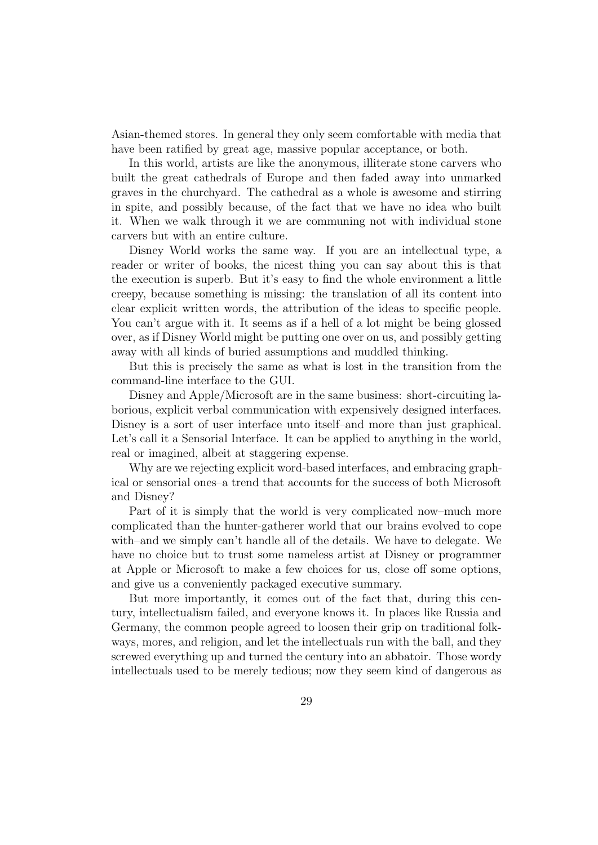Asian-themed stores. In general they only seem comfortable with media that have been ratified by great age, massive popular acceptance, or both.

In this world, artists are like the anonymous, illiterate stone carvers who built the great cathedrals of Europe and then faded away into unmarked graves in the churchyard. The cathedral as a whole is awesome and stirring in spite, and possibly because, of the fact that we have no idea who built it. When we walk through it we are communing not with individual stone carvers but with an entire culture.

Disney World works the same way. If you are an intellectual type, a reader or writer of books, the nicest thing you can say about this is that the execution is superb. But it's easy to find the whole environment a little creepy, because something is missing: the translation of all its content into clear explicit written words, the attribution of the ideas to specific people. You can't argue with it. It seems as if a hell of a lot might be being glossed over, as if Disney World might be putting one over on us, and possibly getting away with all kinds of buried assumptions and muddled thinking.

But this is precisely the same as what is lost in the transition from the command-line interface to the GUI.

Disney and Apple/Microsoft are in the same business: short-circuiting laborious, explicit verbal communication with expensively designed interfaces. Disney is a sort of user interface unto itself–and more than just graphical. Let's call it a Sensorial Interface. It can be applied to anything in the world, real or imagined, albeit at staggering expense.

Why are we rejecting explicit word-based interfaces, and embracing graphical or sensorial ones–a trend that accounts for the success of both Microsoft and Disney?

Part of it is simply that the world is very complicated now–much more complicated than the hunter-gatherer world that our brains evolved to cope with–and we simply can't handle all of the details. We have to delegate. We have no choice but to trust some nameless artist at Disney or programmer at Apple or Microsoft to make a few choices for us, close off some options, and give us a conveniently packaged executive summary.

But more importantly, it comes out of the fact that, during this century, intellectualism failed, and everyone knows it. In places like Russia and Germany, the common people agreed to loosen their grip on traditional folkways, mores, and religion, and let the intellectuals run with the ball, and they screwed everything up and turned the century into an abbatoir. Those wordy intellectuals used to be merely tedious; now they seem kind of dangerous as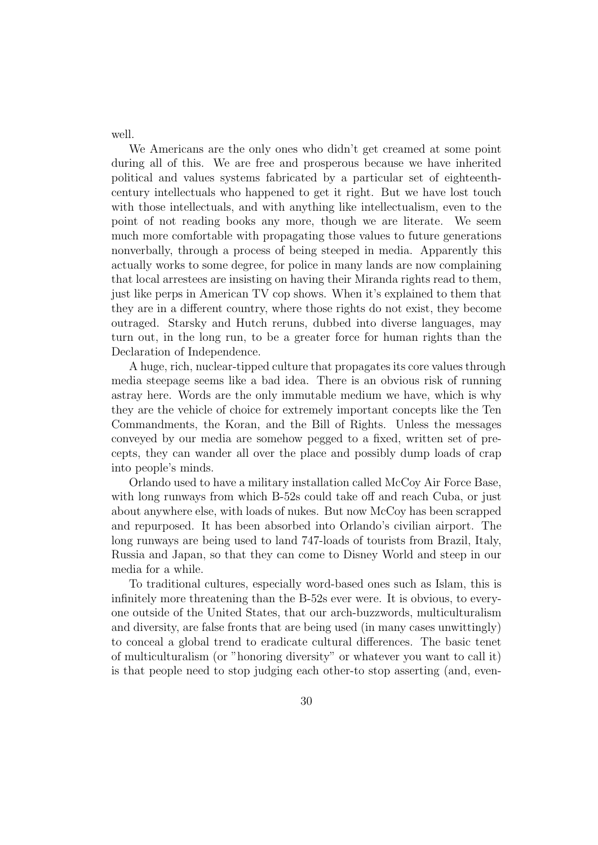well.

We Americans are the only ones who didn't get creamed at some point during all of this. We are free and prosperous because we have inherited political and values systems fabricated by a particular set of eighteenthcentury intellectuals who happened to get it right. But we have lost touch with those intellectuals, and with anything like intellectualism, even to the point of not reading books any more, though we are literate. We seem much more comfortable with propagating those values to future generations nonverbally, through a process of being steeped in media. Apparently this actually works to some degree, for police in many lands are now complaining that local arrestees are insisting on having their Miranda rights read to them, just like perps in American TV cop shows. When it's explained to them that they are in a different country, where those rights do not exist, they become outraged. Starsky and Hutch reruns, dubbed into diverse languages, may turn out, in the long run, to be a greater force for human rights than the Declaration of Independence.

A huge, rich, nuclear-tipped culture that propagates its core values through media steepage seems like a bad idea. There is an obvious risk of running astray here. Words are the only immutable medium we have, which is why they are the vehicle of choice for extremely important concepts like the Ten Commandments, the Koran, and the Bill of Rights. Unless the messages conveyed by our media are somehow pegged to a fixed, written set of precepts, they can wander all over the place and possibly dump loads of crap into people's minds.

Orlando used to have a military installation called McCoy Air Force Base, with long runways from which B-52s could take off and reach Cuba, or just about anywhere else, with loads of nukes. But now McCoy has been scrapped and repurposed. It has been absorbed into Orlando's civilian airport. The long runways are being used to land 747-loads of tourists from Brazil, Italy, Russia and Japan, so that they can come to Disney World and steep in our media for a while.

To traditional cultures, especially word-based ones such as Islam, this is infinitely more threatening than the B-52s ever were. It is obvious, to everyone outside of the United States, that our arch-buzzwords, multiculturalism and diversity, are false fronts that are being used (in many cases unwittingly) to conceal a global trend to eradicate cultural differences. The basic tenet of multiculturalism (or "honoring diversity" or whatever you want to call it) is that people need to stop judging each other-to stop asserting (and, even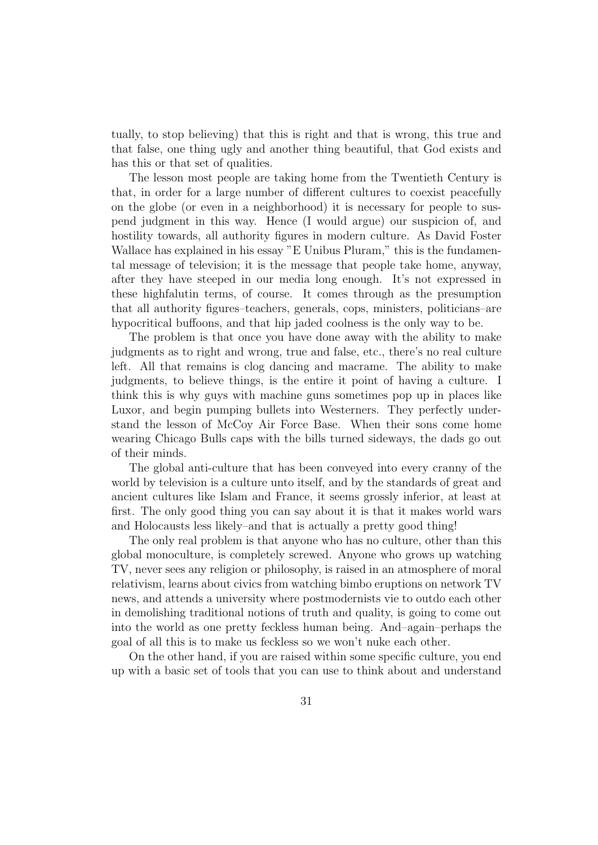tually, to stop believing) that this is right and that is wrong, this true and that false, one thing ugly and another thing beautiful, that God exists and has this or that set of qualities.

The lesson most people are taking home from the Twentieth Century is that, in order for a large number of different cultures to coexist peacefully on the globe (or even in a neighborhood) it is necessary for people to suspend judgment in this way. Hence (I would argue) our suspicion of, and hostility towards, all authority figures in modern culture. As David Foster Wallace has explained in his essay "E Unibus Pluram," this is the fundamental message of television; it is the message that people take home, anyway, after they have steeped in our media long enough. It's not expressed in these highfalutin terms, of course. It comes through as the presumption that all authority figures–teachers, generals, cops, ministers, politicians–are hypocritical buffoons, and that hip jaded coolness is the only way to be.

The problem is that once you have done away with the ability to make judgments as to right and wrong, true and false, etc., there's no real culture left. All that remains is clog dancing and macrame. The ability to make judgments, to believe things, is the entire it point of having a culture. I think this is why guys with machine guns sometimes pop up in places like Luxor, and begin pumping bullets into Westerners. They perfectly understand the lesson of McCoy Air Force Base. When their sons come home wearing Chicago Bulls caps with the bills turned sideways, the dads go out of their minds.

The global anti-culture that has been conveyed into every cranny of the world by television is a culture unto itself, and by the standards of great and ancient cultures like Islam and France, it seems grossly inferior, at least at first. The only good thing you can say about it is that it makes world wars and Holocausts less likely–and that is actually a pretty good thing!

The only real problem is that anyone who has no culture, other than this global monoculture, is completely screwed. Anyone who grows up watching TV, never sees any religion or philosophy, is raised in an atmosphere of moral relativism, learns about civics from watching bimbo eruptions on network TV news, and attends a university where postmodernists vie to outdo each other in demolishing traditional notions of truth and quality, is going to come out into the world as one pretty feckless human being. And–again–perhaps the goal of all this is to make us feckless so we won't nuke each other.

On the other hand, if you are raised within some specific culture, you end up with a basic set of tools that you can use to think about and understand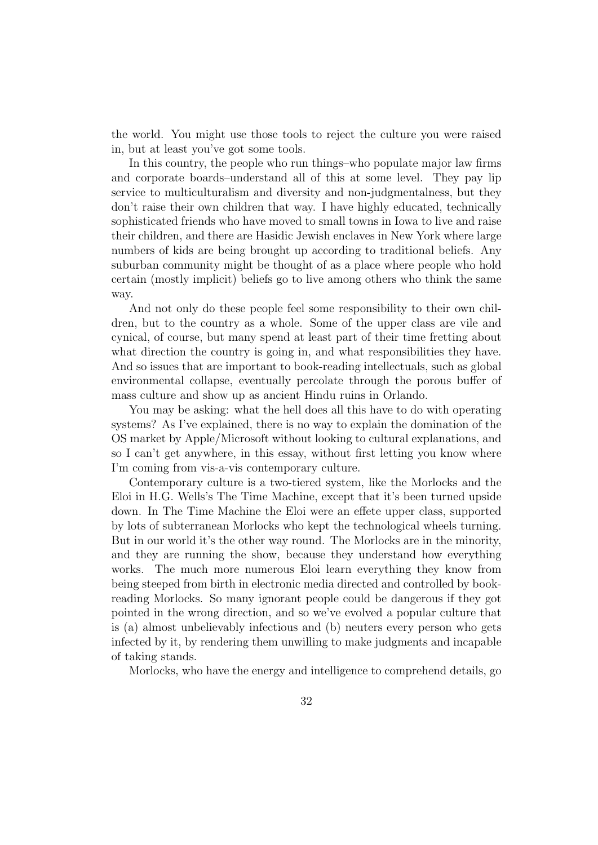the world. You might use those tools to reject the culture you were raised in, but at least you've got some tools.

In this country, the people who run things–who populate major law firms and corporate boards–understand all of this at some level. They pay lip service to multiculturalism and diversity and non-judgmentalness, but they don't raise their own children that way. I have highly educated, technically sophisticated friends who have moved to small towns in Iowa to live and raise their children, and there are Hasidic Jewish enclaves in New York where large numbers of kids are being brought up according to traditional beliefs. Any suburban community might be thought of as a place where people who hold certain (mostly implicit) beliefs go to live among others who think the same way.

And not only do these people feel some responsibility to their own children, but to the country as a whole. Some of the upper class are vile and cynical, of course, but many spend at least part of their time fretting about what direction the country is going in, and what responsibilities they have. And so issues that are important to book-reading intellectuals, such as global environmental collapse, eventually percolate through the porous buffer of mass culture and show up as ancient Hindu ruins in Orlando.

You may be asking: what the hell does all this have to do with operating systems? As I've explained, there is no way to explain the domination of the OS market by Apple/Microsoft without looking to cultural explanations, and so I can't get anywhere, in this essay, without first letting you know where I'm coming from vis-a-vis contemporary culture.

Contemporary culture is a two-tiered system, like the Morlocks and the Eloi in H.G. Wells's The Time Machine, except that it's been turned upside down. In The Time Machine the Eloi were an effete upper class, supported by lots of subterranean Morlocks who kept the technological wheels turning. But in our world it's the other way round. The Morlocks are in the minority, and they are running the show, because they understand how everything works. The much more numerous Eloi learn everything they know from being steeped from birth in electronic media directed and controlled by bookreading Morlocks. So many ignorant people could be dangerous if they got pointed in the wrong direction, and so we've evolved a popular culture that is (a) almost unbelievably infectious and (b) neuters every person who gets infected by it, by rendering them unwilling to make judgments and incapable of taking stands.

Morlocks, who have the energy and intelligence to comprehend details, go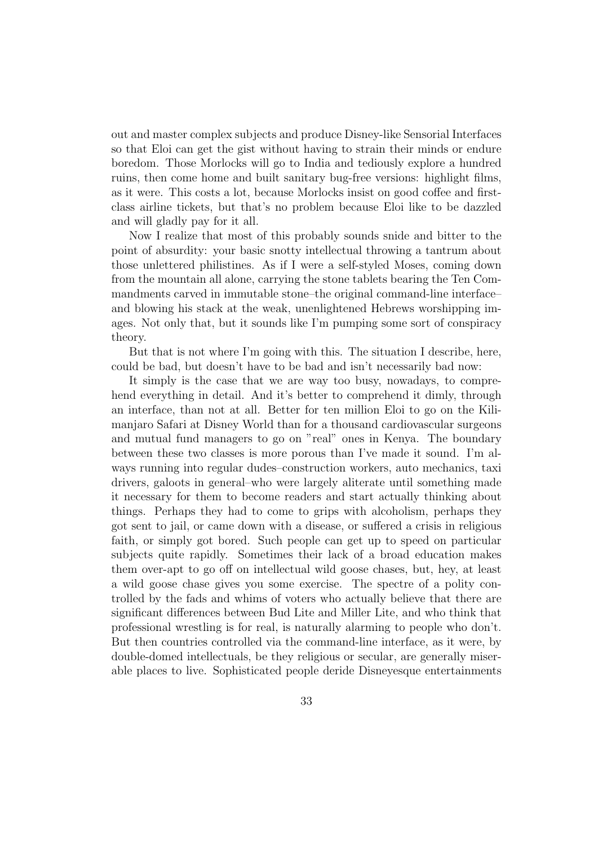out and master complex subjects and produce Disney-like Sensorial Interfaces so that Eloi can get the gist without having to strain their minds or endure boredom. Those Morlocks will go to India and tediously explore a hundred ruins, then come home and built sanitary bug-free versions: highlight films, as it were. This costs a lot, because Morlocks insist on good coffee and firstclass airline tickets, but that's no problem because Eloi like to be dazzled and will gladly pay for it all.

Now I realize that most of this probably sounds snide and bitter to the point of absurdity: your basic snotty intellectual throwing a tantrum about those unlettered philistines. As if I were a self-styled Moses, coming down from the mountain all alone, carrying the stone tablets bearing the Ten Commandments carved in immutable stone–the original command-line interface– and blowing his stack at the weak, unenlightened Hebrews worshipping images. Not only that, but it sounds like I'm pumping some sort of conspiracy theory.

But that is not where I'm going with this. The situation I describe, here, could be bad, but doesn't have to be bad and isn't necessarily bad now:

It simply is the case that we are way too busy, nowadays, to comprehend everything in detail. And it's better to comprehend it dimly, through an interface, than not at all. Better for ten million Eloi to go on the Kilimanjaro Safari at Disney World than for a thousand cardiovascular surgeons and mutual fund managers to go on "real" ones in Kenya. The boundary between these two classes is more porous than I've made it sound. I'm always running into regular dudes–construction workers, auto mechanics, taxi drivers, galoots in general–who were largely aliterate until something made it necessary for them to become readers and start actually thinking about things. Perhaps they had to come to grips with alcoholism, perhaps they got sent to jail, or came down with a disease, or suffered a crisis in religious faith, or simply got bored. Such people can get up to speed on particular subjects quite rapidly. Sometimes their lack of a broad education makes them over-apt to go off on intellectual wild goose chases, but, hey, at least a wild goose chase gives you some exercise. The spectre of a polity controlled by the fads and whims of voters who actually believe that there are significant differences between Bud Lite and Miller Lite, and who think that professional wrestling is for real, is naturally alarming to people who don't. But then countries controlled via the command-line interface, as it were, by double-domed intellectuals, be they religious or secular, are generally miserable places to live. Sophisticated people deride Disneyesque entertainments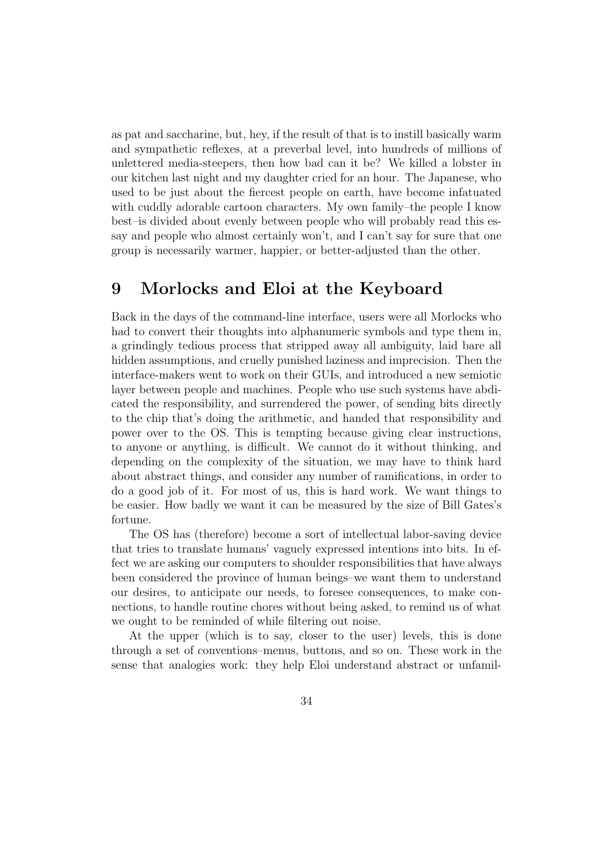as pat and saccharine, but, hey, if the result of that is to instill basically warm and sympathetic reflexes, at a preverbal level, into hundreds of millions of unlettered media-steepers, then how bad can it be? We killed a lobster in our kitchen last night and my daughter cried for an hour. The Japanese, who used to be just about the fiercest people on earth, have become infatuated with cuddly adorable cartoon characters. My own family–the people I know best–is divided about evenly between people who will probably read this essay and people who almost certainly won't, and I can't say for sure that one group is necessarily warmer, happier, or better-adjusted than the other.

# 9 Morlocks and Eloi at the Keyboard

Back in the days of the command-line interface, users were all Morlocks who had to convert their thoughts into alphanumeric symbols and type them in, a grindingly tedious process that stripped away all ambiguity, laid bare all hidden assumptions, and cruelly punished laziness and imprecision. Then the interface-makers went to work on their GUIs, and introduced a new semiotic layer between people and machines. People who use such systems have abdicated the responsibility, and surrendered the power, of sending bits directly to the chip that's doing the arithmetic, and handed that responsibility and power over to the OS. This is tempting because giving clear instructions, to anyone or anything, is difficult. We cannot do it without thinking, and depending on the complexity of the situation, we may have to think hard about abstract things, and consider any number of ramifications, in order to do a good job of it. For most of us, this is hard work. We want things to be easier. How badly we want it can be measured by the size of Bill Gates's fortune.

The OS has (therefore) become a sort of intellectual labor-saving device that tries to translate humans' vaguely expressed intentions into bits. In effect we are asking our computers to shoulder responsibilities that have always been considered the province of human beings–we want them to understand our desires, to anticipate our needs, to foresee consequences, to make connections, to handle routine chores without being asked, to remind us of what we ought to be reminded of while filtering out noise.

At the upper (which is to say, closer to the user) levels, this is done through a set of conventions–menus, buttons, and so on. These work in the sense that analogies work: they help Eloi understand abstract or unfamil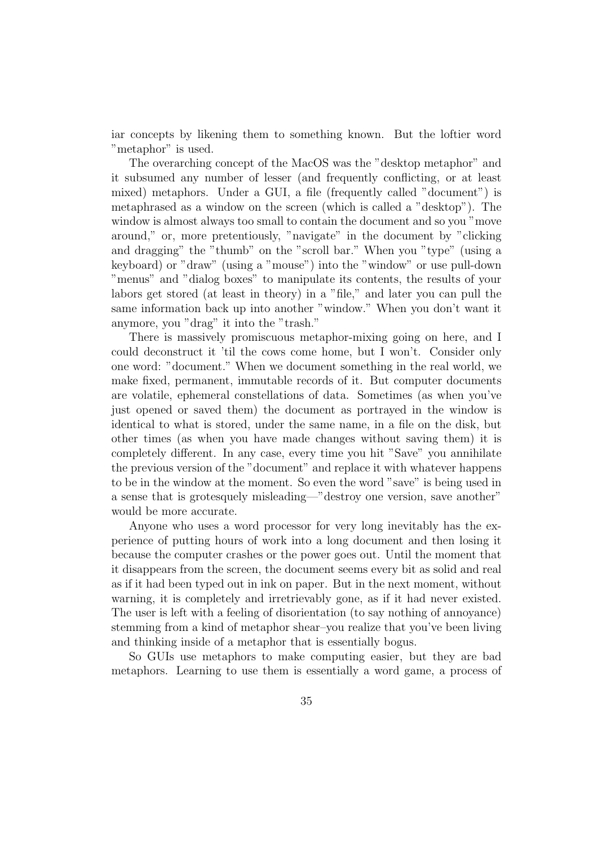iar concepts by likening them to something known. But the loftier word "metaphor" is used.

The overarching concept of the MacOS was the "desktop metaphor" and it subsumed any number of lesser (and frequently conflicting, or at least mixed) metaphors. Under a GUI, a file (frequently called "document") is metaphrased as a window on the screen (which is called a "desktop"). The window is almost always too small to contain the document and so you "move around," or, more pretentiously, "navigate" in the document by "clicking and dragging" the "thumb" on the "scroll bar." When you "type" (using a keyboard) or "draw" (using a "mouse") into the "window" or use pull-down "menus" and "dialog boxes" to manipulate its contents, the results of your labors get stored (at least in theory) in a "file," and later you can pull the same information back up into another "window." When you don't want it anymore, you "drag" it into the "trash."

There is massively promiscuous metaphor-mixing going on here, and I could deconstruct it 'til the cows come home, but I won't. Consider only one word: "document." When we document something in the real world, we make fixed, permanent, immutable records of it. But computer documents are volatile, ephemeral constellations of data. Sometimes (as when you've just opened or saved them) the document as portrayed in the window is identical to what is stored, under the same name, in a file on the disk, but other times (as when you have made changes without saving them) it is completely different. In any case, every time you hit "Save" you annihilate the previous version of the "document" and replace it with whatever happens to be in the window at the moment. So even the word "save" is being used in a sense that is grotesquely misleading—"destroy one version, save another" would be more accurate.

Anyone who uses a word processor for very long inevitably has the experience of putting hours of work into a long document and then losing it because the computer crashes or the power goes out. Until the moment that it disappears from the screen, the document seems every bit as solid and real as if it had been typed out in ink on paper. But in the next moment, without warning, it is completely and irretrievably gone, as if it had never existed. The user is left with a feeling of disorientation (to say nothing of annoyance) stemming from a kind of metaphor shear–you realize that you've been living and thinking inside of a metaphor that is essentially bogus.

So GUIs use metaphors to make computing easier, but they are bad metaphors. Learning to use them is essentially a word game, a process of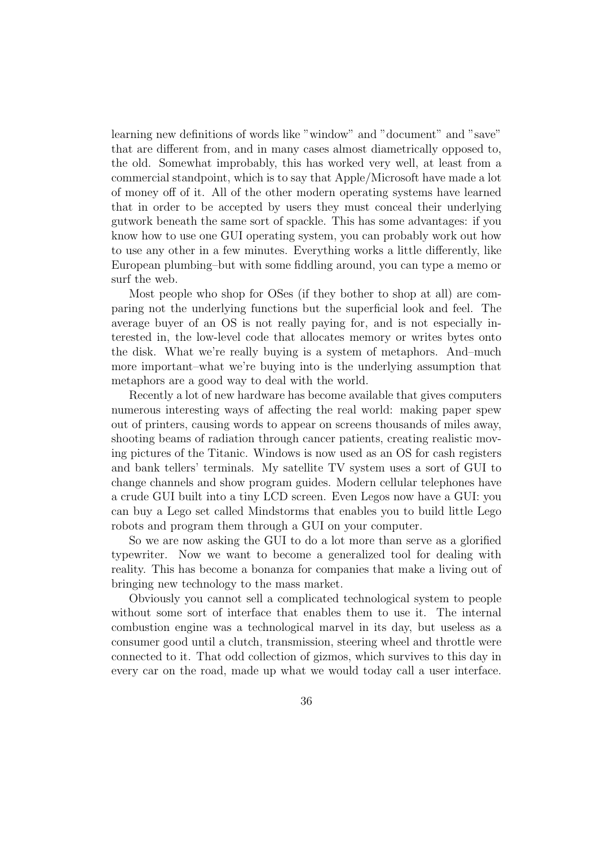learning new definitions of words like "window" and "document" and "save" that are different from, and in many cases almost diametrically opposed to, the old. Somewhat improbably, this has worked very well, at least from a commercial standpoint, which is to say that Apple/Microsoft have made a lot of money off of it. All of the other modern operating systems have learned that in order to be accepted by users they must conceal their underlying gutwork beneath the same sort of spackle. This has some advantages: if you know how to use one GUI operating system, you can probably work out how to use any other in a few minutes. Everything works a little differently, like European plumbing–but with some fiddling around, you can type a memo or surf the web.

Most people who shop for OSes (if they bother to shop at all) are comparing not the underlying functions but the superficial look and feel. The average buyer of an OS is not really paying for, and is not especially interested in, the low-level code that allocates memory or writes bytes onto the disk. What we're really buying is a system of metaphors. And–much more important–what we're buying into is the underlying assumption that metaphors are a good way to deal with the world.

Recently a lot of new hardware has become available that gives computers numerous interesting ways of affecting the real world: making paper spew out of printers, causing words to appear on screens thousands of miles away, shooting beams of radiation through cancer patients, creating realistic moving pictures of the Titanic. Windows is now used as an OS for cash registers and bank tellers' terminals. My satellite TV system uses a sort of GUI to change channels and show program guides. Modern cellular telephones have a crude GUI built into a tiny LCD screen. Even Legos now have a GUI: you can buy a Lego set called Mindstorms that enables you to build little Lego robots and program them through a GUI on your computer.

So we are now asking the GUI to do a lot more than serve as a glorified typewriter. Now we want to become a generalized tool for dealing with reality. This has become a bonanza for companies that make a living out of bringing new technology to the mass market.

Obviously you cannot sell a complicated technological system to people without some sort of interface that enables them to use it. The internal combustion engine was a technological marvel in its day, but useless as a consumer good until a clutch, transmission, steering wheel and throttle were connected to it. That odd collection of gizmos, which survives to this day in every car on the road, made up what we would today call a user interface.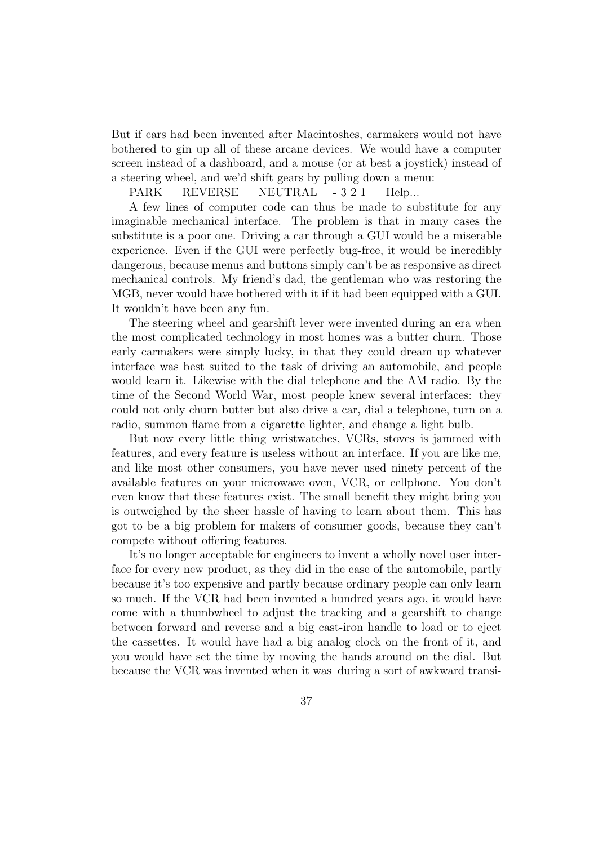But if cars had been invented after Macintoshes, carmakers would not have bothered to gin up all of these arcane devices. We would have a computer screen instead of a dashboard, and a mouse (or at best a joystick) instead of a steering wheel, and we'd shift gears by pulling down a menu:

 $PARK - REVERSE - NEUTRAL - 321 - Help...$ 

A few lines of computer code can thus be made to substitute for any imaginable mechanical interface. The problem is that in many cases the substitute is a poor one. Driving a car through a GUI would be a miserable experience. Even if the GUI were perfectly bug-free, it would be incredibly dangerous, because menus and buttons simply can't be as responsive as direct mechanical controls. My friend's dad, the gentleman who was restoring the MGB, never would have bothered with it if it had been equipped with a GUI. It wouldn't have been any fun.

The steering wheel and gearshift lever were invented during an era when the most complicated technology in most homes was a butter churn. Those early carmakers were simply lucky, in that they could dream up whatever interface was best suited to the task of driving an automobile, and people would learn it. Likewise with the dial telephone and the AM radio. By the time of the Second World War, most people knew several interfaces: they could not only churn butter but also drive a car, dial a telephone, turn on a radio, summon flame from a cigarette lighter, and change a light bulb.

But now every little thing–wristwatches, VCRs, stoves–is jammed with features, and every feature is useless without an interface. If you are like me, and like most other consumers, you have never used ninety percent of the available features on your microwave oven, VCR, or cellphone. You don't even know that these features exist. The small benefit they might bring you is outweighed by the sheer hassle of having to learn about them. This has got to be a big problem for makers of consumer goods, because they can't compete without offering features.

It's no longer acceptable for engineers to invent a wholly novel user interface for every new product, as they did in the case of the automobile, partly because it's too expensive and partly because ordinary people can only learn so much. If the VCR had been invented a hundred years ago, it would have come with a thumbwheel to adjust the tracking and a gearshift to change between forward and reverse and a big cast-iron handle to load or to eject the cassettes. It would have had a big analog clock on the front of it, and you would have set the time by moving the hands around on the dial. But because the VCR was invented when it was–during a sort of awkward transi-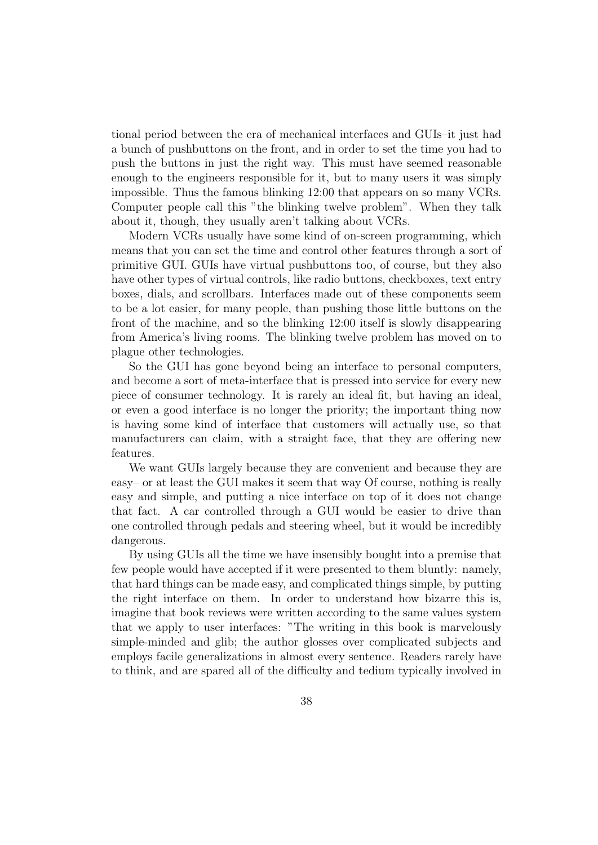tional period between the era of mechanical interfaces and GUIs–it just had a bunch of pushbuttons on the front, and in order to set the time you had to push the buttons in just the right way. This must have seemed reasonable enough to the engineers responsible for it, but to many users it was simply impossible. Thus the famous blinking 12:00 that appears on so many VCRs. Computer people call this "the blinking twelve problem". When they talk about it, though, they usually aren't talking about VCRs.

Modern VCRs usually have some kind of on-screen programming, which means that you can set the time and control other features through a sort of primitive GUI. GUIs have virtual pushbuttons too, of course, but they also have other types of virtual controls, like radio buttons, checkboxes, text entry boxes, dials, and scrollbars. Interfaces made out of these components seem to be a lot easier, for many people, than pushing those little buttons on the front of the machine, and so the blinking 12:00 itself is slowly disappearing from America's living rooms. The blinking twelve problem has moved on to plague other technologies.

So the GUI has gone beyond being an interface to personal computers, and become a sort of meta-interface that is pressed into service for every new piece of consumer technology. It is rarely an ideal fit, but having an ideal, or even a good interface is no longer the priority; the important thing now is having some kind of interface that customers will actually use, so that manufacturers can claim, with a straight face, that they are offering new features.

We want GUIs largely because they are convenient and because they are easy– or at least the GUI makes it seem that way Of course, nothing is really easy and simple, and putting a nice interface on top of it does not change that fact. A car controlled through a GUI would be easier to drive than one controlled through pedals and steering wheel, but it would be incredibly dangerous.

By using GUIs all the time we have insensibly bought into a premise that few people would have accepted if it were presented to them bluntly: namely, that hard things can be made easy, and complicated things simple, by putting the right interface on them. In order to understand how bizarre this is, imagine that book reviews were written according to the same values system that we apply to user interfaces: "The writing in this book is marvelously simple-minded and glib; the author glosses over complicated subjects and employs facile generalizations in almost every sentence. Readers rarely have to think, and are spared all of the difficulty and tedium typically involved in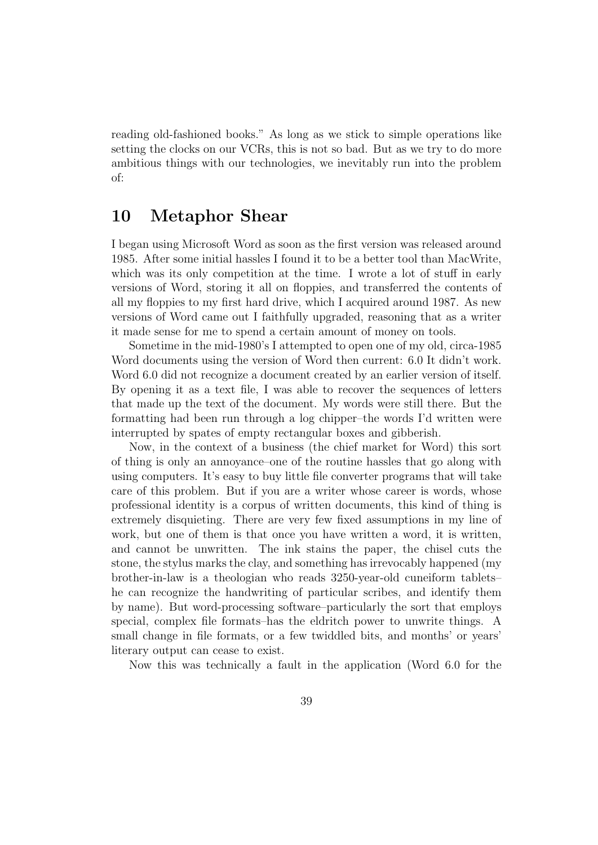reading old-fashioned books." As long as we stick to simple operations like setting the clocks on our VCRs, this is not so bad. But as we try to do more ambitious things with our technologies, we inevitably run into the problem of:

### 10 Metaphor Shear

I began using Microsoft Word as soon as the first version was released around 1985. After some initial hassles I found it to be a better tool than MacWrite, which was its only competition at the time. I wrote a lot of stuff in early versions of Word, storing it all on floppies, and transferred the contents of all my floppies to my first hard drive, which I acquired around 1987. As new versions of Word came out I faithfully upgraded, reasoning that as a writer it made sense for me to spend a certain amount of money on tools.

Sometime in the mid-1980's I attempted to open one of my old, circa-1985 Word documents using the version of Word then current: 6.0 It didn't work. Word 6.0 did not recognize a document created by an earlier version of itself. By opening it as a text file, I was able to recover the sequences of letters that made up the text of the document. My words were still there. But the formatting had been run through a log chipper–the words I'd written were interrupted by spates of empty rectangular boxes and gibberish.

Now, in the context of a business (the chief market for Word) this sort of thing is only an annoyance–one of the routine hassles that go along with using computers. It's easy to buy little file converter programs that will take care of this problem. But if you are a writer whose career is words, whose professional identity is a corpus of written documents, this kind of thing is extremely disquieting. There are very few fixed assumptions in my line of work, but one of them is that once you have written a word, it is written, and cannot be unwritten. The ink stains the paper, the chisel cuts the stone, the stylus marks the clay, and something has irrevocably happened (my brother-in-law is a theologian who reads 3250-year-old cuneiform tablets– he can recognize the handwriting of particular scribes, and identify them by name). But word-processing software–particularly the sort that employs special, complex file formats–has the eldritch power to unwrite things. A small change in file formats, or a few twiddled bits, and months' or years' literary output can cease to exist.

Now this was technically a fault in the application (Word 6.0 for the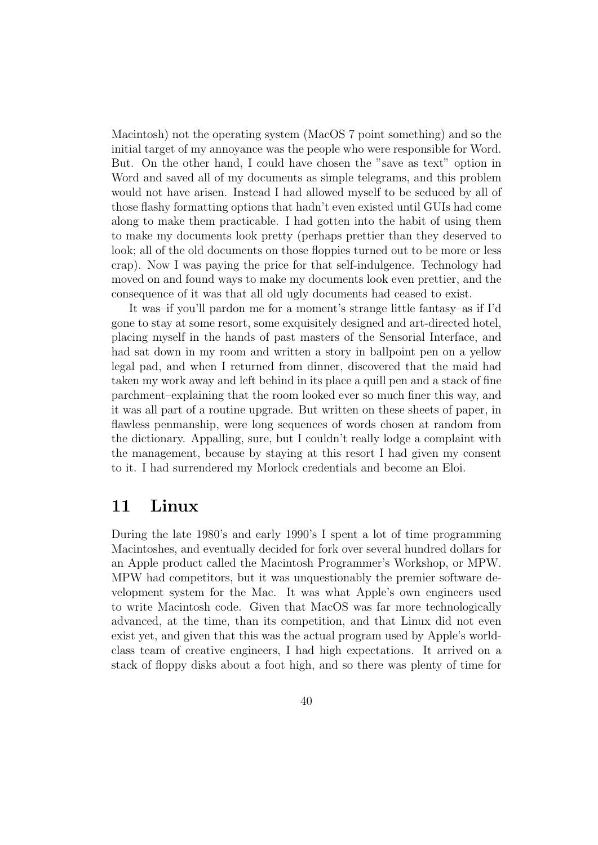Macintosh) not the operating system (MacOS 7 point something) and so the initial target of my annoyance was the people who were responsible for Word. But. On the other hand, I could have chosen the "save as text" option in Word and saved all of my documents as simple telegrams, and this problem would not have arisen. Instead I had allowed myself to be seduced by all of those flashy formatting options that hadn't even existed until GUIs had come along to make them practicable. I had gotten into the habit of using them to make my documents look pretty (perhaps prettier than they deserved to look; all of the old documents on those floppies turned out to be more or less crap). Now I was paying the price for that self-indulgence. Technology had moved on and found ways to make my documents look even prettier, and the consequence of it was that all old ugly documents had ceased to exist.

It was–if you'll pardon me for a moment's strange little fantasy–as if I'd gone to stay at some resort, some exquisitely designed and art-directed hotel, placing myself in the hands of past masters of the Sensorial Interface, and had sat down in my room and written a story in ballpoint pen on a yellow legal pad, and when I returned from dinner, discovered that the maid had taken my work away and left behind in its place a quill pen and a stack of fine parchment–explaining that the room looked ever so much finer this way, and it was all part of a routine upgrade. But written on these sheets of paper, in flawless penmanship, were long sequences of words chosen at random from the dictionary. Appalling, sure, but I couldn't really lodge a complaint with the management, because by staying at this resort I had given my consent to it. I had surrendered my Morlock credentials and become an Eloi.

# 11 Linux

During the late 1980's and early 1990's I spent a lot of time programming Macintoshes, and eventually decided for fork over several hundred dollars for an Apple product called the Macintosh Programmer's Workshop, or MPW. MPW had competitors, but it was unquestionably the premier software development system for the Mac. It was what Apple's own engineers used to write Macintosh code. Given that MacOS was far more technologically advanced, at the time, than its competition, and that Linux did not even exist yet, and given that this was the actual program used by Apple's worldclass team of creative engineers, I had high expectations. It arrived on a stack of floppy disks about a foot high, and so there was plenty of time for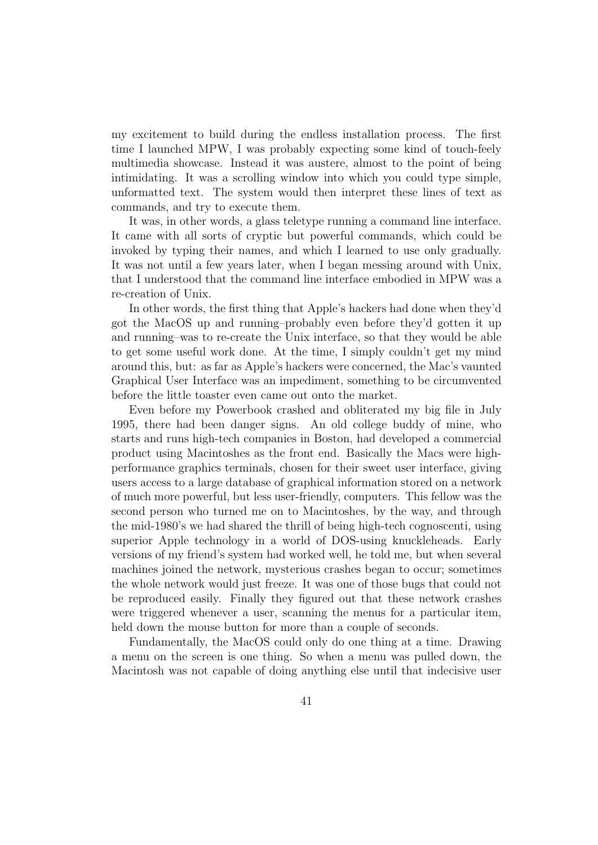my excitement to build during the endless installation process. The first time I launched MPW, I was probably expecting some kind of touch-feely multimedia showcase. Instead it was austere, almost to the point of being intimidating. It was a scrolling window into which you could type simple, unformatted text. The system would then interpret these lines of text as commands, and try to execute them.

It was, in other words, a glass teletype running a command line interface. It came with all sorts of cryptic but powerful commands, which could be invoked by typing their names, and which I learned to use only gradually. It was not until a few years later, when I began messing around with Unix, that I understood that the command line interface embodied in MPW was a re-creation of Unix.

In other words, the first thing that Apple's hackers had done when they'd got the MacOS up and running–probably even before they'd gotten it up and running–was to re-create the Unix interface, so that they would be able to get some useful work done. At the time, I simply couldn't get my mind around this, but: as far as Apple's hackers were concerned, the Mac's vaunted Graphical User Interface was an impediment, something to be circumvented before the little toaster even came out onto the market.

Even before my Powerbook crashed and obliterated my big file in July 1995, there had been danger signs. An old college buddy of mine, who starts and runs high-tech companies in Boston, had developed a commercial product using Macintoshes as the front end. Basically the Macs were highperformance graphics terminals, chosen for their sweet user interface, giving users access to a large database of graphical information stored on a network of much more powerful, but less user-friendly, computers. This fellow was the second person who turned me on to Macintoshes, by the way, and through the mid-1980's we had shared the thrill of being high-tech cognoscenti, using superior Apple technology in a world of DOS-using knuckleheads. Early versions of my friend's system had worked well, he told me, but when several machines joined the network, mysterious crashes began to occur; sometimes the whole network would just freeze. It was one of those bugs that could not be reproduced easily. Finally they figured out that these network crashes were triggered whenever a user, scanning the menus for a particular item, held down the mouse button for more than a couple of seconds.

Fundamentally, the MacOS could only do one thing at a time. Drawing a menu on the screen is one thing. So when a menu was pulled down, the Macintosh was not capable of doing anything else until that indecisive user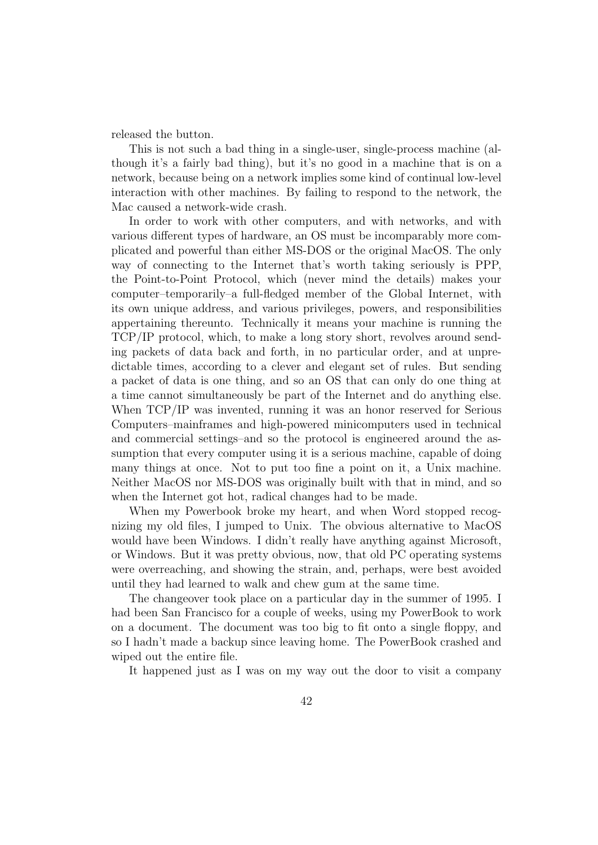released the button.

This is not such a bad thing in a single-user, single-process machine (although it's a fairly bad thing), but it's no good in a machine that is on a network, because being on a network implies some kind of continual low-level interaction with other machines. By failing to respond to the network, the Mac caused a network-wide crash.

In order to work with other computers, and with networks, and with various different types of hardware, an OS must be incomparably more complicated and powerful than either MS-DOS or the original MacOS. The only way of connecting to the Internet that's worth taking seriously is PPP, the Point-to-Point Protocol, which (never mind the details) makes your computer–temporarily–a full-fledged member of the Global Internet, with its own unique address, and various privileges, powers, and responsibilities appertaining thereunto. Technically it means your machine is running the TCP/IP protocol, which, to make a long story short, revolves around sending packets of data back and forth, in no particular order, and at unpredictable times, according to a clever and elegant set of rules. But sending a packet of data is one thing, and so an OS that can only do one thing at a time cannot simultaneously be part of the Internet and do anything else. When TCP/IP was invented, running it was an honor reserved for Serious Computers–mainframes and high-powered minicomputers used in technical and commercial settings–and so the protocol is engineered around the assumption that every computer using it is a serious machine, capable of doing many things at once. Not to put too fine a point on it, a Unix machine. Neither MacOS nor MS-DOS was originally built with that in mind, and so when the Internet got hot, radical changes had to be made.

When my Powerbook broke my heart, and when Word stopped recognizing my old files, I jumped to Unix. The obvious alternative to MacOS would have been Windows. I didn't really have anything against Microsoft, or Windows. But it was pretty obvious, now, that old PC operating systems were overreaching, and showing the strain, and, perhaps, were best avoided until they had learned to walk and chew gum at the same time.

The changeover took place on a particular day in the summer of 1995. I had been San Francisco for a couple of weeks, using my PowerBook to work on a document. The document was too big to fit onto a single floppy, and so I hadn't made a backup since leaving home. The PowerBook crashed and wiped out the entire file.

It happened just as I was on my way out the door to visit a company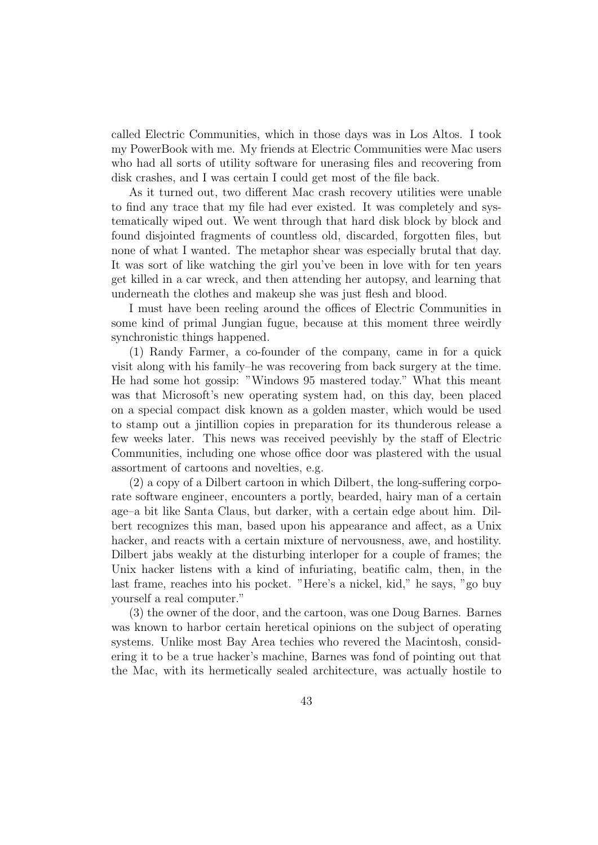called Electric Communities, which in those days was in Los Altos. I took my PowerBook with me. My friends at Electric Communities were Mac users who had all sorts of utility software for unerasing files and recovering from disk crashes, and I was certain I could get most of the file back.

As it turned out, two different Mac crash recovery utilities were unable to find any trace that my file had ever existed. It was completely and systematically wiped out. We went through that hard disk block by block and found disjointed fragments of countless old, discarded, forgotten files, but none of what I wanted. The metaphor shear was especially brutal that day. It was sort of like watching the girl you've been in love with for ten years get killed in a car wreck, and then attending her autopsy, and learning that underneath the clothes and makeup she was just flesh and blood.

I must have been reeling around the offices of Electric Communities in some kind of primal Jungian fugue, because at this moment three weirdly synchronistic things happened.

(1) Randy Farmer, a co-founder of the company, came in for a quick visit along with his family–he was recovering from back surgery at the time. He had some hot gossip: "Windows 95 mastered today." What this meant was that Microsoft's new operating system had, on this day, been placed on a special compact disk known as a golden master, which would be used to stamp out a jintillion copies in preparation for its thunderous release a few weeks later. This news was received peevishly by the staff of Electric Communities, including one whose office door was plastered with the usual assortment of cartoons and novelties, e.g.

(2) a copy of a Dilbert cartoon in which Dilbert, the long-suffering corporate software engineer, encounters a portly, bearded, hairy man of a certain age–a bit like Santa Claus, but darker, with a certain edge about him. Dilbert recognizes this man, based upon his appearance and affect, as a Unix hacker, and reacts with a certain mixture of nervousness, awe, and hostility. Dilbert jabs weakly at the disturbing interloper for a couple of frames; the Unix hacker listens with a kind of infuriating, beatific calm, then, in the last frame, reaches into his pocket. "Here's a nickel, kid," he says, "go buy yourself a real computer."

(3) the owner of the door, and the cartoon, was one Doug Barnes. Barnes was known to harbor certain heretical opinions on the subject of operating systems. Unlike most Bay Area techies who revered the Macintosh, considering it to be a true hacker's machine, Barnes was fond of pointing out that the Mac, with its hermetically sealed architecture, was actually hostile to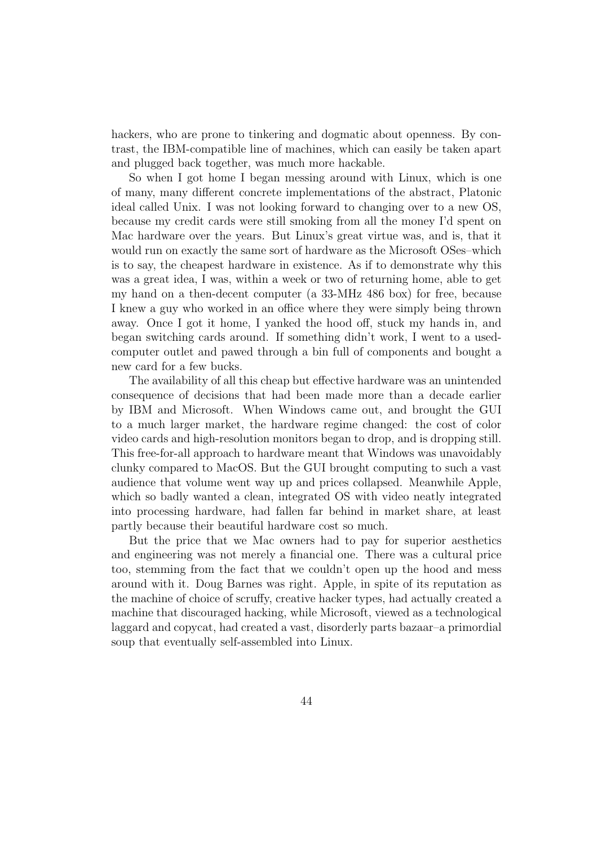hackers, who are prone to tinkering and dogmatic about openness. By contrast, the IBM-compatible line of machines, which can easily be taken apart and plugged back together, was much more hackable.

So when I got home I began messing around with Linux, which is one of many, many different concrete implementations of the abstract, Platonic ideal called Unix. I was not looking forward to changing over to a new OS, because my credit cards were still smoking from all the money I'd spent on Mac hardware over the years. But Linux's great virtue was, and is, that it would run on exactly the same sort of hardware as the Microsoft OSes–which is to say, the cheapest hardware in existence. As if to demonstrate why this was a great idea, I was, within a week or two of returning home, able to get my hand on a then-decent computer (a 33-MHz 486 box) for free, because I knew a guy who worked in an office where they were simply being thrown away. Once I got it home, I yanked the hood off, stuck my hands in, and began switching cards around. If something didn't work, I went to a usedcomputer outlet and pawed through a bin full of components and bought a new card for a few bucks.

The availability of all this cheap but effective hardware was an unintended consequence of decisions that had been made more than a decade earlier by IBM and Microsoft. When Windows came out, and brought the GUI to a much larger market, the hardware regime changed: the cost of color video cards and high-resolution monitors began to drop, and is dropping still. This free-for-all approach to hardware meant that Windows was unavoidably clunky compared to MacOS. But the GUI brought computing to such a vast audience that volume went way up and prices collapsed. Meanwhile Apple, which so badly wanted a clean, integrated OS with video neatly integrated into processing hardware, had fallen far behind in market share, at least partly because their beautiful hardware cost so much.

But the price that we Mac owners had to pay for superior aesthetics and engineering was not merely a financial one. There was a cultural price too, stemming from the fact that we couldn't open up the hood and mess around with it. Doug Barnes was right. Apple, in spite of its reputation as the machine of choice of scruffy, creative hacker types, had actually created a machine that discouraged hacking, while Microsoft, viewed as a technological laggard and copycat, had created a vast, disorderly parts bazaar–a primordial soup that eventually self-assembled into Linux.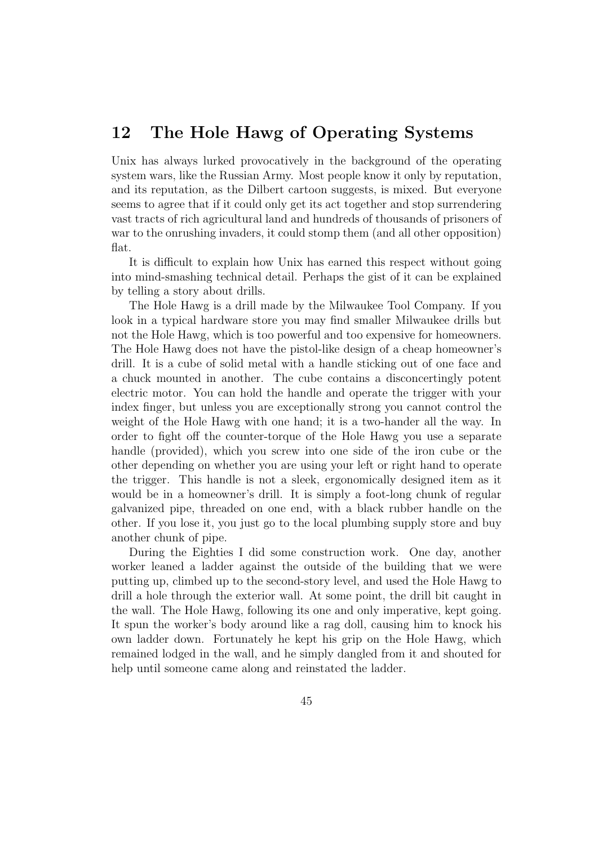### 12 The Hole Hawg of Operating Systems

Unix has always lurked provocatively in the background of the operating system wars, like the Russian Army. Most people know it only by reputation, and its reputation, as the Dilbert cartoon suggests, is mixed. But everyone seems to agree that if it could only get its act together and stop surrendering vast tracts of rich agricultural land and hundreds of thousands of prisoners of war to the onrushing invaders, it could stomp them (and all other opposition) flat.

It is difficult to explain how Unix has earned this respect without going into mind-smashing technical detail. Perhaps the gist of it can be explained by telling a story about drills.

The Hole Hawg is a drill made by the Milwaukee Tool Company. If you look in a typical hardware store you may find smaller Milwaukee drills but not the Hole Hawg, which is too powerful and too expensive for homeowners. The Hole Hawg does not have the pistol-like design of a cheap homeowner's drill. It is a cube of solid metal with a handle sticking out of one face and a chuck mounted in another. The cube contains a disconcertingly potent electric motor. You can hold the handle and operate the trigger with your index finger, but unless you are exceptionally strong you cannot control the weight of the Hole Hawg with one hand; it is a two-hander all the way. In order to fight off the counter-torque of the Hole Hawg you use a separate handle (provided), which you screw into one side of the iron cube or the other depending on whether you are using your left or right hand to operate the trigger. This handle is not a sleek, ergonomically designed item as it would be in a homeowner's drill. It is simply a foot-long chunk of regular galvanized pipe, threaded on one end, with a black rubber handle on the other. If you lose it, you just go to the local plumbing supply store and buy another chunk of pipe.

During the Eighties I did some construction work. One day, another worker leaned a ladder against the outside of the building that we were putting up, climbed up to the second-story level, and used the Hole Hawg to drill a hole through the exterior wall. At some point, the drill bit caught in the wall. The Hole Hawg, following its one and only imperative, kept going. It spun the worker's body around like a rag doll, causing him to knock his own ladder down. Fortunately he kept his grip on the Hole Hawg, which remained lodged in the wall, and he simply dangled from it and shouted for help until someone came along and reinstated the ladder.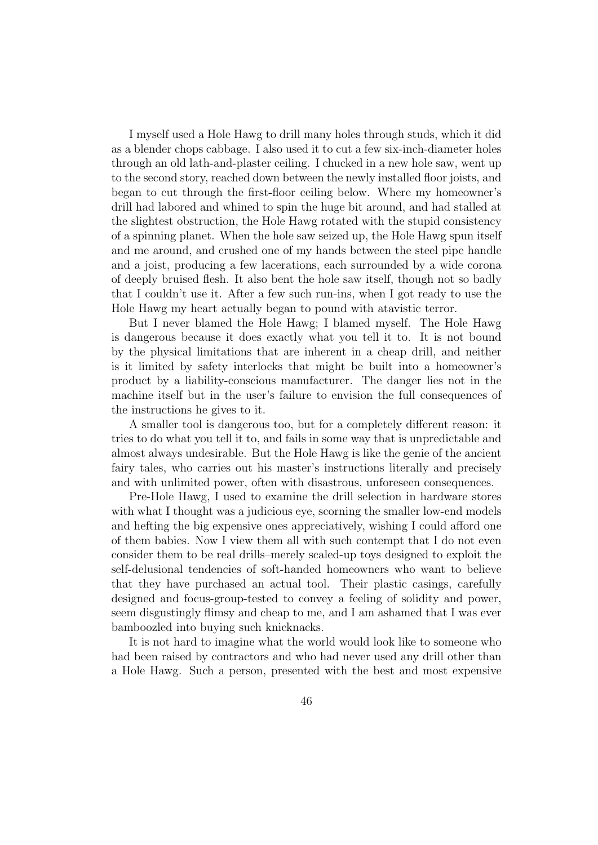I myself used a Hole Hawg to drill many holes through studs, which it did as a blender chops cabbage. I also used it to cut a few six-inch-diameter holes through an old lath-and-plaster ceiling. I chucked in a new hole saw, went up to the second story, reached down between the newly installed floor joists, and began to cut through the first-floor ceiling below. Where my homeowner's drill had labored and whined to spin the huge bit around, and had stalled at the slightest obstruction, the Hole Hawg rotated with the stupid consistency of a spinning planet. When the hole saw seized up, the Hole Hawg spun itself and me around, and crushed one of my hands between the steel pipe handle and a joist, producing a few lacerations, each surrounded by a wide corona of deeply bruised flesh. It also bent the hole saw itself, though not so badly that I couldn't use it. After a few such run-ins, when I got ready to use the Hole Hawg my heart actually began to pound with atavistic terror.

But I never blamed the Hole Hawg; I blamed myself. The Hole Hawg is dangerous because it does exactly what you tell it to. It is not bound by the physical limitations that are inherent in a cheap drill, and neither is it limited by safety interlocks that might be built into a homeowner's product by a liability-conscious manufacturer. The danger lies not in the machine itself but in the user's failure to envision the full consequences of the instructions he gives to it.

A smaller tool is dangerous too, but for a completely different reason: it tries to do what you tell it to, and fails in some way that is unpredictable and almost always undesirable. But the Hole Hawg is like the genie of the ancient fairy tales, who carries out his master's instructions literally and precisely and with unlimited power, often with disastrous, unforeseen consequences.

Pre-Hole Hawg, I used to examine the drill selection in hardware stores with what I thought was a judicious eye, scorning the smaller low-end models and hefting the big expensive ones appreciatively, wishing I could afford one of them babies. Now I view them all with such contempt that I do not even consider them to be real drills–merely scaled-up toys designed to exploit the self-delusional tendencies of soft-handed homeowners who want to believe that they have purchased an actual tool. Their plastic casings, carefully designed and focus-group-tested to convey a feeling of solidity and power, seem disgustingly flimsy and cheap to me, and I am ashamed that I was ever bamboozled into buying such knicknacks.

It is not hard to imagine what the world would look like to someone who had been raised by contractors and who had never used any drill other than a Hole Hawg. Such a person, presented with the best and most expensive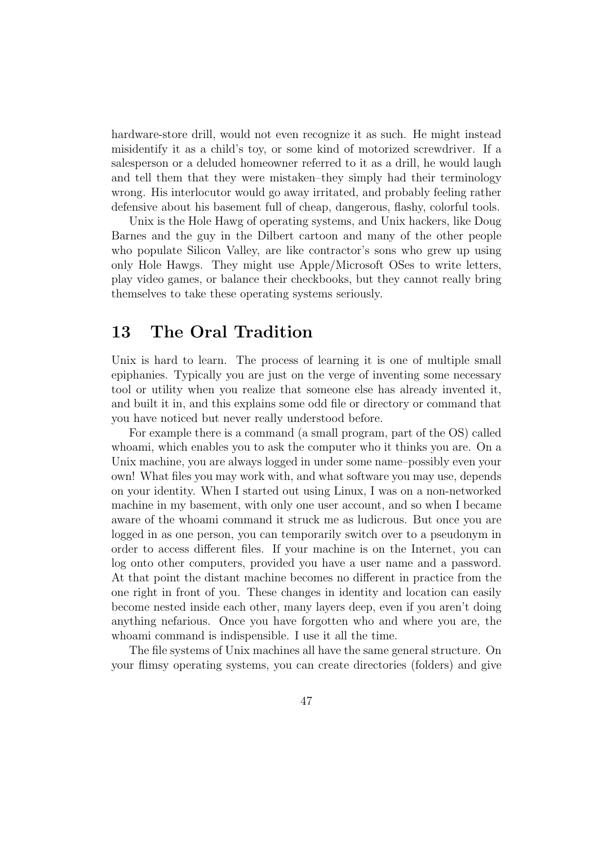hardware-store drill, would not even recognize it as such. He might instead misidentify it as a child's toy, or some kind of motorized screwdriver. If a salesperson or a deluded homeowner referred to it as a drill, he would laugh and tell them that they were mistaken–they simply had their terminology wrong. His interlocutor would go away irritated, and probably feeling rather defensive about his basement full of cheap, dangerous, flashy, colorful tools.

Unix is the Hole Hawg of operating systems, and Unix hackers, like Doug Barnes and the guy in the Dilbert cartoon and many of the other people who populate Silicon Valley, are like contractor's sons who grew up using only Hole Hawgs. They might use Apple/Microsoft OSes to write letters, play video games, or balance their checkbooks, but they cannot really bring themselves to take these operating systems seriously.

### 13 The Oral Tradition

Unix is hard to learn. The process of learning it is one of multiple small epiphanies. Typically you are just on the verge of inventing some necessary tool or utility when you realize that someone else has already invented it, and built it in, and this explains some odd file or directory or command that you have noticed but never really understood before.

For example there is a command (a small program, part of the OS) called whoami, which enables you to ask the computer who it thinks you are. On a Unix machine, you are always logged in under some name–possibly even your own! What files you may work with, and what software you may use, depends on your identity. When I started out using Linux, I was on a non-networked machine in my basement, with only one user account, and so when I became aware of the whoami command it struck me as ludicrous. But once you are logged in as one person, you can temporarily switch over to a pseudonym in order to access different files. If your machine is on the Internet, you can log onto other computers, provided you have a user name and a password. At that point the distant machine becomes no different in practice from the one right in front of you. These changes in identity and location can easily become nested inside each other, many layers deep, even if you aren't doing anything nefarious. Once you have forgotten who and where you are, the whoami command is indispensible. I use it all the time.

The file systems of Unix machines all have the same general structure. On your flimsy operating systems, you can create directories (folders) and give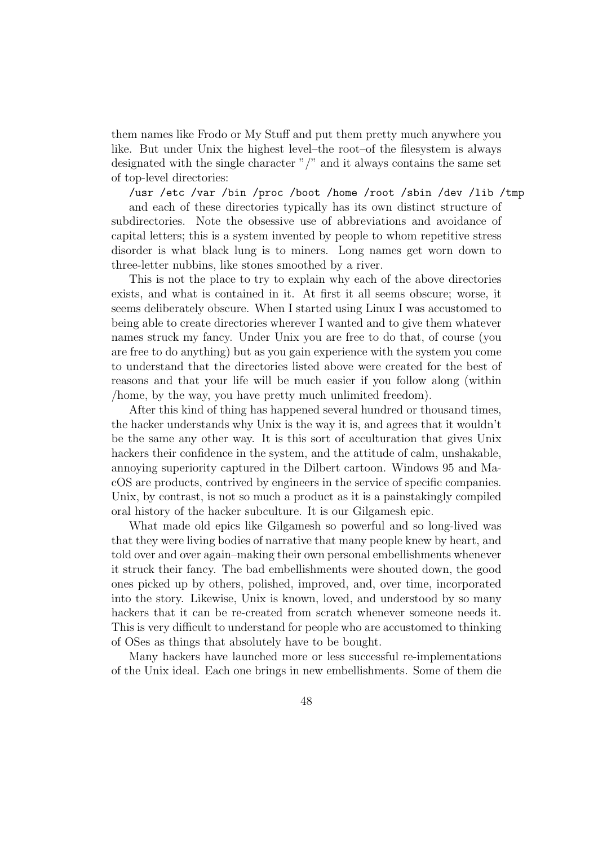them names like Frodo or My Stuff and put them pretty much anywhere you like. But under Unix the highest level–the root–of the filesystem is always designated with the single character "/" and it always contains the same set of top-level directories:

/usr /etc /var /bin /proc /boot /home /root /sbin /dev /lib /tmp and each of these directories typically has its own distinct structure of subdirectories. Note the obsessive use of abbreviations and avoidance of capital letters; this is a system invented by people to whom repetitive stress disorder is what black lung is to miners. Long names get worn down to three-letter nubbins, like stones smoothed by a river.

This is not the place to try to explain why each of the above directories exists, and what is contained in it. At first it all seems obscure; worse, it seems deliberately obscure. When I started using Linux I was accustomed to being able to create directories wherever I wanted and to give them whatever names struck my fancy. Under Unix you are free to do that, of course (you are free to do anything) but as you gain experience with the system you come to understand that the directories listed above were created for the best of reasons and that your life will be much easier if you follow along (within /home, by the way, you have pretty much unlimited freedom).

After this kind of thing has happened several hundred or thousand times, the hacker understands why Unix is the way it is, and agrees that it wouldn't be the same any other way. It is this sort of acculturation that gives Unix hackers their confidence in the system, and the attitude of calm, unshakable, annoying superiority captured in the Dilbert cartoon. Windows 95 and MacOS are products, contrived by engineers in the service of specific companies. Unix, by contrast, is not so much a product as it is a painstakingly compiled oral history of the hacker subculture. It is our Gilgamesh epic.

What made old epics like Gilgamesh so powerful and so long-lived was that they were living bodies of narrative that many people knew by heart, and told over and over again–making their own personal embellishments whenever it struck their fancy. The bad embellishments were shouted down, the good ones picked up by others, polished, improved, and, over time, incorporated into the story. Likewise, Unix is known, loved, and understood by so many hackers that it can be re-created from scratch whenever someone needs it. This is very difficult to understand for people who are accustomed to thinking of OSes as things that absolutely have to be bought.

Many hackers have launched more or less successful re-implementations of the Unix ideal. Each one brings in new embellishments. Some of them die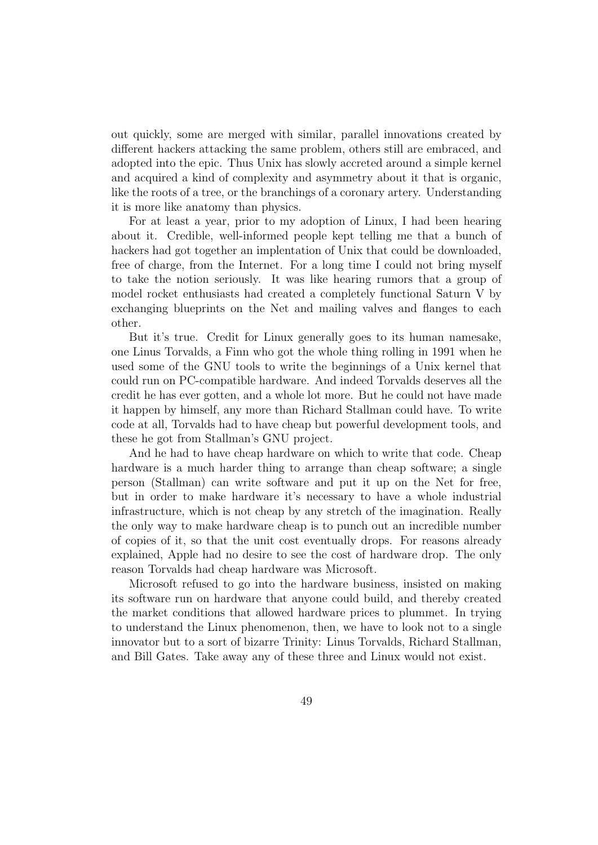out quickly, some are merged with similar, parallel innovations created by different hackers attacking the same problem, others still are embraced, and adopted into the epic. Thus Unix has slowly accreted around a simple kernel and acquired a kind of complexity and asymmetry about it that is organic, like the roots of a tree, or the branchings of a coronary artery. Understanding it is more like anatomy than physics.

For at least a year, prior to my adoption of Linux, I had been hearing about it. Credible, well-informed people kept telling me that a bunch of hackers had got together an implentation of Unix that could be downloaded, free of charge, from the Internet. For a long time I could not bring myself to take the notion seriously. It was like hearing rumors that a group of model rocket enthusiasts had created a completely functional Saturn V by exchanging blueprints on the Net and mailing valves and flanges to each other.

But it's true. Credit for Linux generally goes to its human namesake, one Linus Torvalds, a Finn who got the whole thing rolling in 1991 when he used some of the GNU tools to write the beginnings of a Unix kernel that could run on PC-compatible hardware. And indeed Torvalds deserves all the credit he has ever gotten, and a whole lot more. But he could not have made it happen by himself, any more than Richard Stallman could have. To write code at all, Torvalds had to have cheap but powerful development tools, and these he got from Stallman's GNU project.

And he had to have cheap hardware on which to write that code. Cheap hardware is a much harder thing to arrange than cheap software; a single person (Stallman) can write software and put it up on the Net for free, but in order to make hardware it's necessary to have a whole industrial infrastructure, which is not cheap by any stretch of the imagination. Really the only way to make hardware cheap is to punch out an incredible number of copies of it, so that the unit cost eventually drops. For reasons already explained, Apple had no desire to see the cost of hardware drop. The only reason Torvalds had cheap hardware was Microsoft.

Microsoft refused to go into the hardware business, insisted on making its software run on hardware that anyone could build, and thereby created the market conditions that allowed hardware prices to plummet. In trying to understand the Linux phenomenon, then, we have to look not to a single innovator but to a sort of bizarre Trinity: Linus Torvalds, Richard Stallman, and Bill Gates. Take away any of these three and Linux would not exist.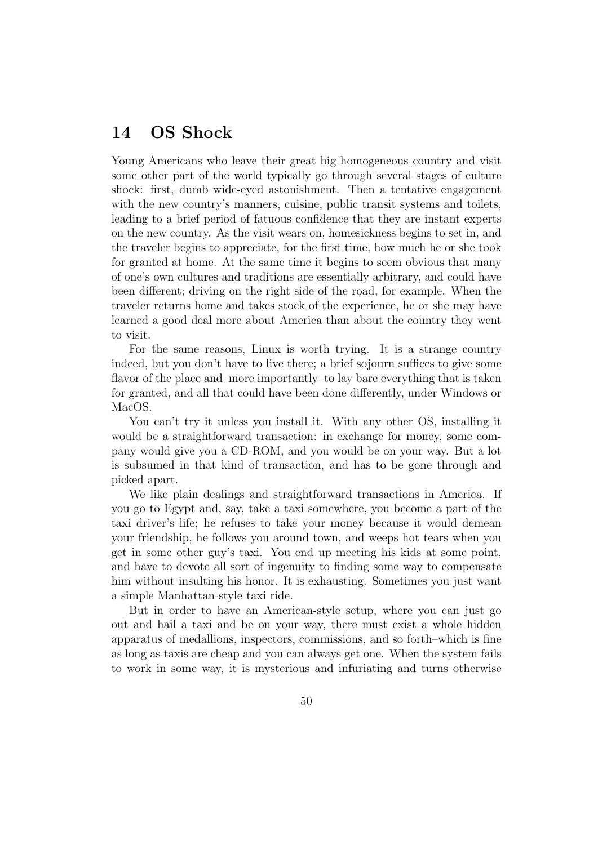### 14 OS Shock

Young Americans who leave their great big homogeneous country and visit some other part of the world typically go through several stages of culture shock: first, dumb wide-eyed astonishment. Then a tentative engagement with the new country's manners, cuisine, public transit systems and toilets, leading to a brief period of fatuous confidence that they are instant experts on the new country. As the visit wears on, homesickness begins to set in, and the traveler begins to appreciate, for the first time, how much he or she took for granted at home. At the same time it begins to seem obvious that many of one's own cultures and traditions are essentially arbitrary, and could have been different; driving on the right side of the road, for example. When the traveler returns home and takes stock of the experience, he or she may have learned a good deal more about America than about the country they went to visit.

For the same reasons, Linux is worth trying. It is a strange country indeed, but you don't have to live there; a brief sojourn suffices to give some flavor of the place and–more importantly–to lay bare everything that is taken for granted, and all that could have been done differently, under Windows or MacOS.

You can't try it unless you install it. With any other OS, installing it would be a straightforward transaction: in exchange for money, some company would give you a CD-ROM, and you would be on your way. But a lot is subsumed in that kind of transaction, and has to be gone through and picked apart.

We like plain dealings and straightforward transactions in America. If you go to Egypt and, say, take a taxi somewhere, you become a part of the taxi driver's life; he refuses to take your money because it would demean your friendship, he follows you around town, and weeps hot tears when you get in some other guy's taxi. You end up meeting his kids at some point, and have to devote all sort of ingenuity to finding some way to compensate him without insulting his honor. It is exhausting. Sometimes you just want a simple Manhattan-style taxi ride.

But in order to have an American-style setup, where you can just go out and hail a taxi and be on your way, there must exist a whole hidden apparatus of medallions, inspectors, commissions, and so forth–which is fine as long as taxis are cheap and you can always get one. When the system fails to work in some way, it is mysterious and infuriating and turns otherwise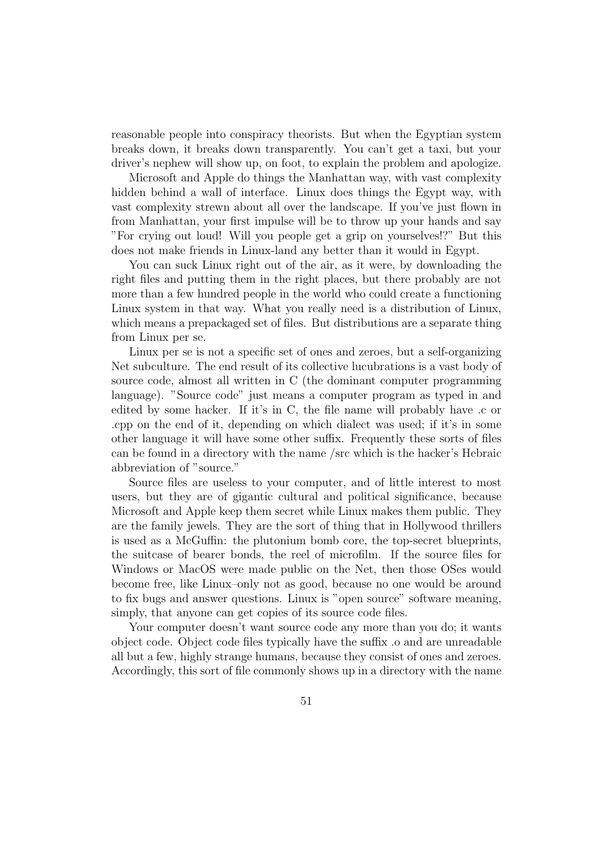reasonable people into conspiracy theorists. But when the Egyptian system breaks down, it breaks down transparently. You can't get a taxi, but your driver's nephew will show up, on foot, to explain the problem and apologize.

Microsoft and Apple do things the Manhattan way, with vast complexity hidden behind a wall of interface. Linux does things the Egypt way, with vast complexity strewn about all over the landscape. If you've just flown in from Manhattan, your first impulse will be to throw up your hands and say "For crying out loud! Will you people get a grip on yourselves!?" But this does not make friends in Linux-land any better than it would in Egypt.

You can suck Linux right out of the air, as it were, by downloading the right files and putting them in the right places, but there probably are not more than a few hundred people in the world who could create a functioning Linux system in that way. What you really need is a distribution of Linux, which means a prepackaged set of files. But distributions are a separate thing from Linux per se.

Linux per se is not a specific set of ones and zeroes, but a self-organizing Net subculture. The end result of its collective lucubrations is a vast body of source code, almost all written in C (the dominant computer programming language). "Source code" just means a computer program as typed in and edited by some hacker. If it's in C, the file name will probably have .c or .cpp on the end of it, depending on which dialect was used; if it's in some other language it will have some other suffix. Frequently these sorts of files can be found in a directory with the name /src which is the hacker's Hebraic abbreviation of "source."

Source files are useless to your computer, and of little interest to most users, but they are of gigantic cultural and political significance, because Microsoft and Apple keep them secret while Linux makes them public. They are the family jewels. They are the sort of thing that in Hollywood thrillers is used as a McGuffin: the plutonium bomb core, the top-secret blueprints, the suitcase of bearer bonds, the reel of microfilm. If the source files for Windows or MacOS were made public on the Net, then those OSes would become free, like Linux–only not as good, because no one would be around to fix bugs and answer questions. Linux is "open source" software meaning, simply, that anyone can get copies of its source code files.

Your computer doesn't want source code any more than you do; it wants object code. Object code files typically have the suffix .o and are unreadable all but a few, highly strange humans, because they consist of ones and zeroes. Accordingly, this sort of file commonly shows up in a directory with the name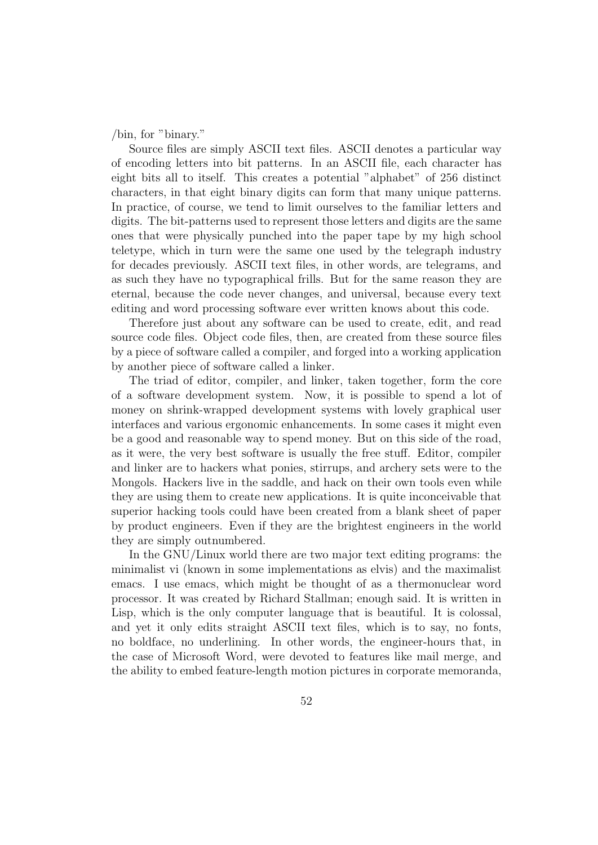/bin, for "binary."

Source files are simply ASCII text files. ASCII denotes a particular way of encoding letters into bit patterns. In an ASCII file, each character has eight bits all to itself. This creates a potential "alphabet" of 256 distinct characters, in that eight binary digits can form that many unique patterns. In practice, of course, we tend to limit ourselves to the familiar letters and digits. The bit-patterns used to represent those letters and digits are the same ones that were physically punched into the paper tape by my high school teletype, which in turn were the same one used by the telegraph industry for decades previously. ASCII text files, in other words, are telegrams, and as such they have no typographical frills. But for the same reason they are eternal, because the code never changes, and universal, because every text editing and word processing software ever written knows about this code.

Therefore just about any software can be used to create, edit, and read source code files. Object code files, then, are created from these source files by a piece of software called a compiler, and forged into a working application by another piece of software called a linker.

The triad of editor, compiler, and linker, taken together, form the core of a software development system. Now, it is possible to spend a lot of money on shrink-wrapped development systems with lovely graphical user interfaces and various ergonomic enhancements. In some cases it might even be a good and reasonable way to spend money. But on this side of the road, as it were, the very best software is usually the free stuff. Editor, compiler and linker are to hackers what ponies, stirrups, and archery sets were to the Mongols. Hackers live in the saddle, and hack on their own tools even while they are using them to create new applications. It is quite inconceivable that superior hacking tools could have been created from a blank sheet of paper by product engineers. Even if they are the brightest engineers in the world they are simply outnumbered.

In the GNU/Linux world there are two major text editing programs: the minimalist vi (known in some implementations as elvis) and the maximalist emacs. I use emacs, which might be thought of as a thermonuclear word processor. It was created by Richard Stallman; enough said. It is written in Lisp, which is the only computer language that is beautiful. It is colossal, and yet it only edits straight ASCII text files, which is to say, no fonts, no boldface, no underlining. In other words, the engineer-hours that, in the case of Microsoft Word, were devoted to features like mail merge, and the ability to embed feature-length motion pictures in corporate memoranda,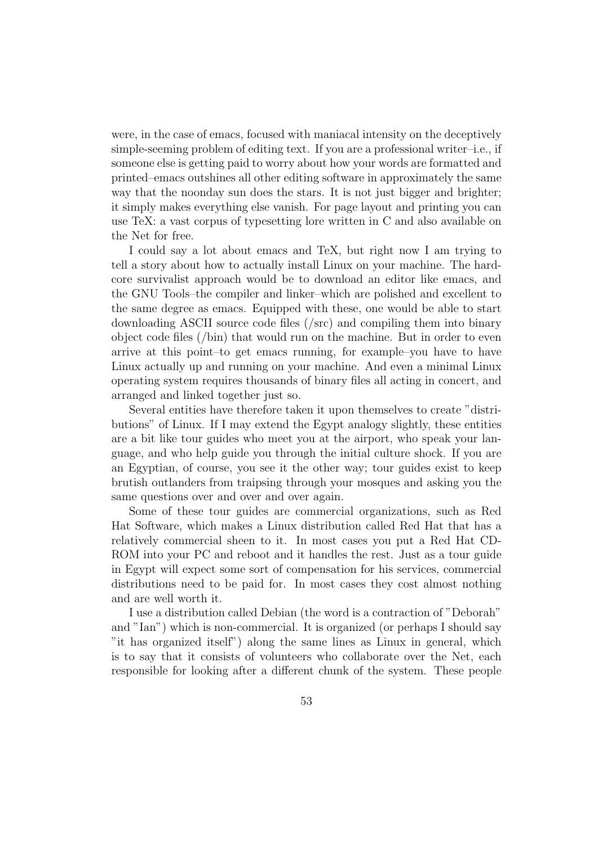were, in the case of emacs, focused with maniacal intensity on the deceptively simple-seeming problem of editing text. If you are a professional writer–i.e., if someone else is getting paid to worry about how your words are formatted and printed–emacs outshines all other editing software in approximately the same way that the noonday sun does the stars. It is not just bigger and brighter; it simply makes everything else vanish. For page layout and printing you can use TeX: a vast corpus of typesetting lore written in C and also available on the Net for free.

I could say a lot about emacs and TeX, but right now I am trying to tell a story about how to actually install Linux on your machine. The hardcore survivalist approach would be to download an editor like emacs, and the GNU Tools–the compiler and linker–which are polished and excellent to the same degree as emacs. Equipped with these, one would be able to start downloading ASCII source code files (/src) and compiling them into binary object code files (/bin) that would run on the machine. But in order to even arrive at this point–to get emacs running, for example–you have to have Linux actually up and running on your machine. And even a minimal Linux operating system requires thousands of binary files all acting in concert, and arranged and linked together just so.

Several entities have therefore taken it upon themselves to create "distributions" of Linux. If I may extend the Egypt analogy slightly, these entities are a bit like tour guides who meet you at the airport, who speak your language, and who help guide you through the initial culture shock. If you are an Egyptian, of course, you see it the other way; tour guides exist to keep brutish outlanders from traipsing through your mosques and asking you the same questions over and over and over again.

Some of these tour guides are commercial organizations, such as Red Hat Software, which makes a Linux distribution called Red Hat that has a relatively commercial sheen to it. In most cases you put a Red Hat CD-ROM into your PC and reboot and it handles the rest. Just as a tour guide in Egypt will expect some sort of compensation for his services, commercial distributions need to be paid for. In most cases they cost almost nothing and are well worth it.

I use a distribution called Debian (the word is a contraction of "Deborah" and "Ian") which is non-commercial. It is organized (or perhaps I should say "it has organized itself") along the same lines as Linux in general, which is to say that it consists of volunteers who collaborate over the Net, each responsible for looking after a different chunk of the system. These people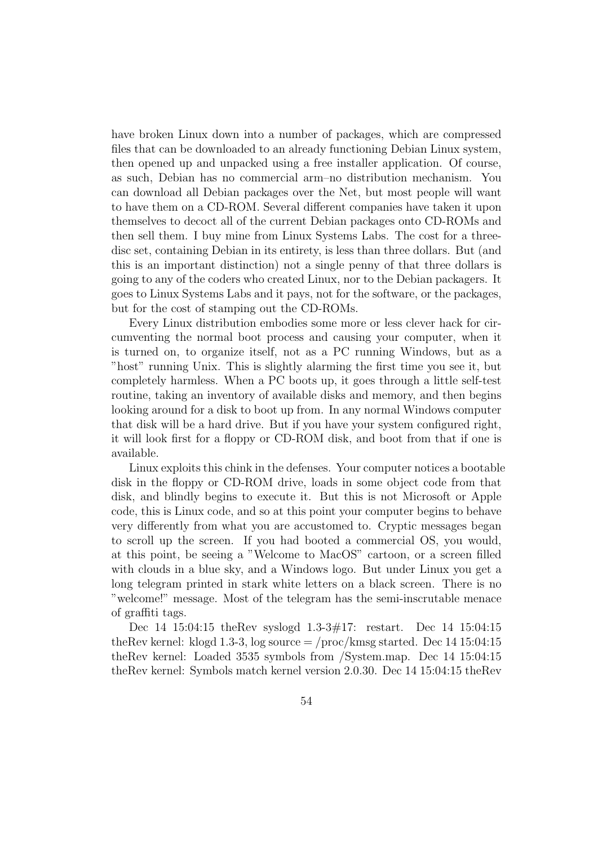have broken Linux down into a number of packages, which are compressed files that can be downloaded to an already functioning Debian Linux system, then opened up and unpacked using a free installer application. Of course, as such, Debian has no commercial arm–no distribution mechanism. You can download all Debian packages over the Net, but most people will want to have them on a CD-ROM. Several different companies have taken it upon themselves to decoct all of the current Debian packages onto CD-ROMs and then sell them. I buy mine from Linux Systems Labs. The cost for a threedisc set, containing Debian in its entirety, is less than three dollars. But (and this is an important distinction) not a single penny of that three dollars is going to any of the coders who created Linux, nor to the Debian packagers. It goes to Linux Systems Labs and it pays, not for the software, or the packages, but for the cost of stamping out the CD-ROMs.

Every Linux distribution embodies some more or less clever hack for circumventing the normal boot process and causing your computer, when it is turned on, to organize itself, not as a PC running Windows, but as a "host" running Unix. This is slightly alarming the first time you see it, but completely harmless. When a PC boots up, it goes through a little self-test routine, taking an inventory of available disks and memory, and then begins looking around for a disk to boot up from. In any normal Windows computer that disk will be a hard drive. But if you have your system configured right, it will look first for a floppy or CD-ROM disk, and boot from that if one is available.

Linux exploits this chink in the defenses. Your computer notices a bootable disk in the floppy or CD-ROM drive, loads in some object code from that disk, and blindly begins to execute it. But this is not Microsoft or Apple code, this is Linux code, and so at this point your computer begins to behave very differently from what you are accustomed to. Cryptic messages began to scroll up the screen. If you had booted a commercial OS, you would, at this point, be seeing a "Welcome to MacOS" cartoon, or a screen filled with clouds in a blue sky, and a Windows logo. But under Linux you get a long telegram printed in stark white letters on a black screen. There is no "welcome!" message. Most of the telegram has the semi-inscrutable menace of graffiti tags.

Dec 14 15:04:15 theRev syslogd 1.3-3#17: restart. Dec 14 15:04:15 theRev kernel: klogd 1.3-3, log source  $=$  /proc/kmsg started. Dec 14 15:04:15 theRev kernel: Loaded 3535 symbols from /System.map. Dec 14 15:04:15 theRev kernel: Symbols match kernel version 2.0.30. Dec 14 15:04:15 theRev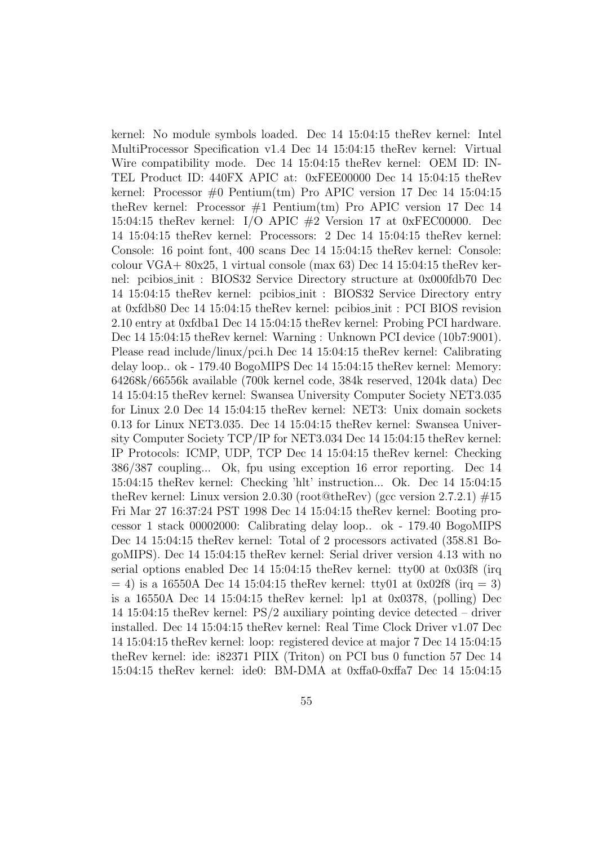kernel: No module symbols loaded. Dec 14 15:04:15 theRev kernel: Intel MultiProcessor Specification v1.4 Dec 14 15:04:15 theRev kernel: Virtual Wire compatibility mode. Dec 14 15:04:15 theRev kernel: OEM ID: IN-TEL Product ID: 440FX APIC at: 0xFEE00000 Dec 14 15:04:15 theRev kernel: Processor #0 Pentium(tm) Pro APIC version 17 Dec 14 15:04:15 theRev kernel: Processor  $#1$  Pentium $(tm)$  Pro APIC version 17 Dec 14 15:04:15 theRev kernel: I/O APIC #2 Version 17 at 0xFEC00000. Dec 14 15:04:15 theRev kernel: Processors: 2 Dec 14 15:04:15 theRev kernel: Console: 16 point font, 400 scans Dec 14 15:04:15 theRev kernel: Console: colour VGA+ 80x25, 1 virtual console (max 63) Dec 14 15:04:15 theRev kernel: pcibios init : BIOS32 Service Directory structure at 0x000fdb70 Dec 14 15:04:15 theRev kernel: pcibios init : BIOS32 Service Directory entry at 0xfdb80 Dec 14 15:04:15 theRev kernel: pcibios init : PCI BIOS revision 2.10 entry at 0xfdba1 Dec 14 15:04:15 theRev kernel: Probing PCI hardware. Dec 14 15:04:15 theRev kernel: Warning : Unknown PCI device (10b7:9001). Please read include/linux/pci.h Dec 14 15:04:15 theRev kernel: Calibrating delay loop.. ok - 179.40 BogoMIPS Dec 14 15:04:15 theRev kernel: Memory: 64268k/66556k available (700k kernel code, 384k reserved, 1204k data) Dec 14 15:04:15 theRev kernel: Swansea University Computer Society NET3.035 for Linux 2.0 Dec 14 15:04:15 theRev kernel: NET3: Unix domain sockets 0.13 for Linux NET3.035. Dec 14 15:04:15 theRev kernel: Swansea University Computer Society TCP/IP for NET3.034 Dec 14 15:04:15 theRev kernel: IP Protocols: ICMP, UDP, TCP Dec 14 15:04:15 theRev kernel: Checking 386/387 coupling... Ok, fpu using exception 16 error reporting. Dec 14 15:04:15 theRev kernel: Checking 'hlt' instruction... Ok. Dec 14 15:04:15 theRev kernel: Linux version 2.0.30 (root@theRev) (gcc version  $2.7.2.1$ )  $\#15$ Fri Mar 27 16:37:24 PST 1998 Dec 14 15:04:15 theRev kernel: Booting processor 1 stack 00002000: Calibrating delay loop.. ok - 179.40 BogoMIPS Dec 14 15:04:15 theRev kernel: Total of 2 processors activated (358.81 BogoMIPS). Dec 14 15:04:15 theRev kernel: Serial driver version 4.13 with no serial options enabled Dec 14 15:04:15 theRev kernel: tty00 at 0x03f8 (irq  $= 4$ ) is a 16550A Dec 14 15:04:15 the Rev kernel: tty01 at 0x02f8 (irq  $= 3$ ) is a 16550A Dec 14 15:04:15 theRev kernel: lp1 at 0x0378, (polling) Dec 14 15:04:15 theRev kernel: PS/2 auxiliary pointing device detected – driver installed. Dec 14 15:04:15 theRev kernel: Real Time Clock Driver v1.07 Dec 14 15:04:15 theRev kernel: loop: registered device at major 7 Dec 14 15:04:15 theRev kernel: ide: i82371 PIIX (Triton) on PCI bus 0 function 57 Dec 14 15:04:15 theRev kernel: ide0: BM-DMA at 0xffa0-0xffa7 Dec 14 15:04:15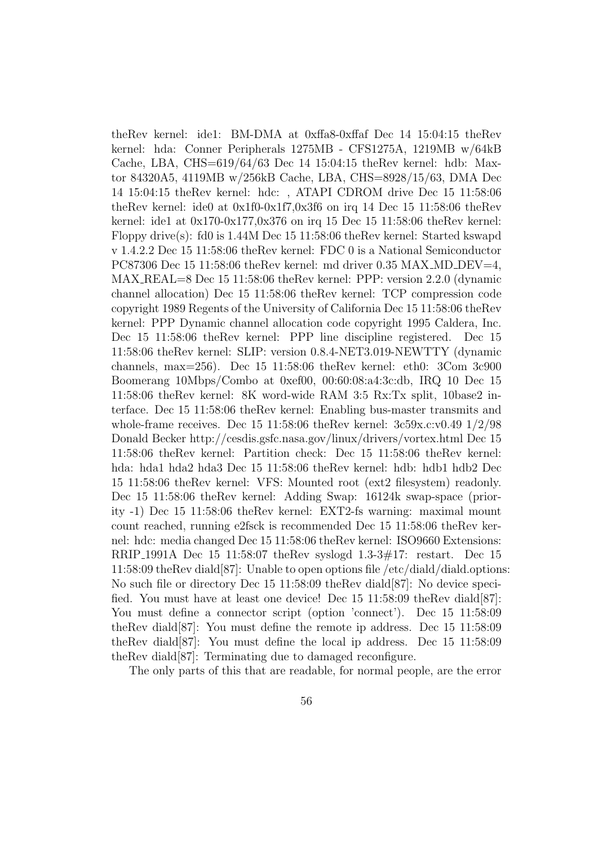theRev kernel: ide1: BM-DMA at 0xffa8-0xffaf Dec 14 15:04:15 theRev kernel: hda: Conner Peripherals 1275MB - CFS1275A, 1219MB w/64kB Cache, LBA, CHS=619/64/63 Dec 14 15:04:15 theRev kernel: hdb: Maxtor 84320A5, 4119MB w/256kB Cache, LBA, CHS=8928/15/63, DMA Dec 14 15:04:15 theRev kernel: hdc: , ATAPI CDROM drive Dec 15 11:58:06 theRev kernel: ide0 at  $0x1f0-0x1f7,0x3f6$  on irq 14 Dec 15 11:58:06 theRev kernel: ide1 at 0x170-0x177,0x376 on irq 15 Dec 15 11:58:06 theRev kernel: Floppy drive(s): fd0 is 1.44M Dec 15 11:58:06 theRev kernel: Started kswapd v 1.4.2.2 Dec 15 11:58:06 theRev kernel: FDC 0 is a National Semiconductor PC87306 Dec 15 11:58:06 theRev kernel: md driver  $0.35$  MAX\_MD\_DEV=4, MAX REAL=8 Dec 15 11:58:06 theRev kernel: PPP: version 2.2.0 (dynamic channel allocation) Dec 15 11:58:06 theRev kernel: TCP compression code copyright 1989 Regents of the University of California Dec 15 11:58:06 theRev kernel: PPP Dynamic channel allocation code copyright 1995 Caldera, Inc. Dec 15 11:58:06 theRev kernel: PPP line discipline registered. Dec 15 11:58:06 theRev kernel: SLIP: version 0.8.4-NET3.019-NEWTTY (dynamic channels, max=256). Dec 15 11:58:06 theRev kernel: eth0: 3Com 3c900 Boomerang 10Mbps/Combo at 0xef00, 00:60:08:a4:3c:db, IRQ 10 Dec 15 11:58:06 theRev kernel: 8K word-wide RAM 3:5 Rx:Tx split, 10base2 interface. Dec 15 11:58:06 theRev kernel: Enabling bus-master transmits and whole-frame receives. Dec 15 11:58:06 theRev kernel: 3c59x.c:v0.49 1/2/98 Donald Becker http://cesdis.gsfc.nasa.gov/linux/drivers/vortex.html Dec 15 11:58:06 theRev kernel: Partition check: Dec 15 11:58:06 theRev kernel: hda: hda1 hda2 hda3 Dec 15 11:58:06 theRev kernel: hdb: hdb1 hdb2 Dec 15 11:58:06 theRev kernel: VFS: Mounted root (ext2 filesystem) readonly. Dec 15 11:58:06 theRev kernel: Adding Swap: 16124k swap-space (priority -1) Dec 15 11:58:06 theRev kernel: EXT2-fs warning: maximal mount count reached, running e2fsck is recommended Dec 15 11:58:06 theRev kernel: hdc: media changed Dec 15 11:58:06 theRev kernel: ISO9660 Extensions: RRIP 1991A Dec 15 11:58:07 theRev syslogd 1.3-3#17: restart. Dec 15 11:58:09 theRev diald[87]: Unable to open options file /etc/diald/diald.options: No such file or directory Dec 15 11:58:09 theRev diald[87]: No device specified. You must have at least one device! Dec 15 11:58:09 the Rev diald [87]: You must define a connector script (option 'connect'). Dec 15 11:58:09 theRev diald[87]: You must define the remote ip address. Dec 15 11:58:09 theRev diald[87]: You must define the local ip address. Dec 15 11:58:09 theRev diald[87]: Terminating due to damaged reconfigure.

The only parts of this that are readable, for normal people, are the error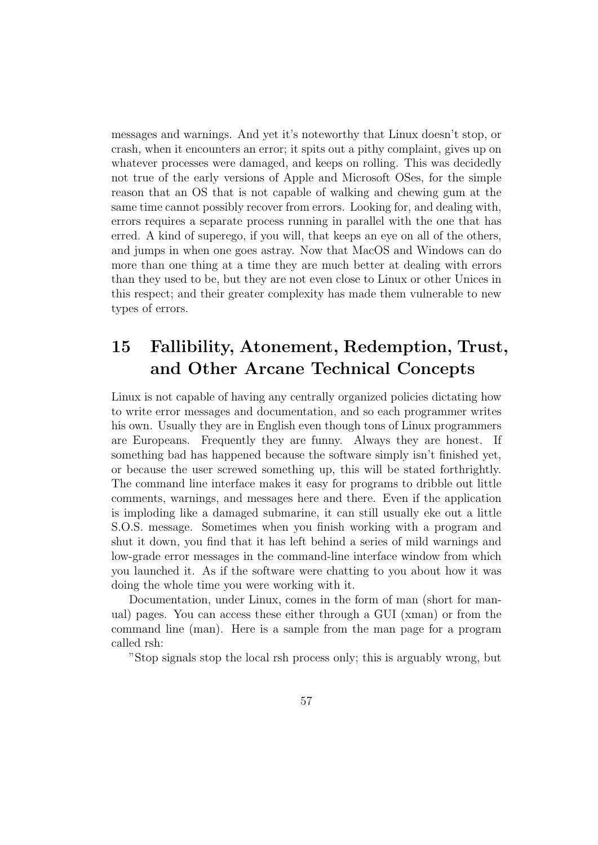messages and warnings. And yet it's noteworthy that Linux doesn't stop, or crash, when it encounters an error; it spits out a pithy complaint, gives up on whatever processes were damaged, and keeps on rolling. This was decidedly not true of the early versions of Apple and Microsoft OSes, for the simple reason that an OS that is not capable of walking and chewing gum at the same time cannot possibly recover from errors. Looking for, and dealing with, errors requires a separate process running in parallel with the one that has erred. A kind of superego, if you will, that keeps an eye on all of the others, and jumps in when one goes astray. Now that MacOS and Windows can do more than one thing at a time they are much better at dealing with errors than they used to be, but they are not even close to Linux or other Unices in this respect; and their greater complexity has made them vulnerable to new types of errors.

# 15 Fallibility, Atonement, Redemption, Trust, and Other Arcane Technical Concepts

Linux is not capable of having any centrally organized policies dictating how to write error messages and documentation, and so each programmer writes his own. Usually they are in English even though tons of Linux programmers are Europeans. Frequently they are funny. Always they are honest. If something bad has happened because the software simply isn't finished yet, or because the user screwed something up, this will be stated forthrightly. The command line interface makes it easy for programs to dribble out little comments, warnings, and messages here and there. Even if the application is imploding like a damaged submarine, it can still usually eke out a little S.O.S. message. Sometimes when you finish working with a program and shut it down, you find that it has left behind a series of mild warnings and low-grade error messages in the command-line interface window from which you launched it. As if the software were chatting to you about how it was doing the whole time you were working with it.

Documentation, under Linux, comes in the form of man (short for manual) pages. You can access these either through a GUI (xman) or from the command line (man). Here is a sample from the man page for a program called rsh:

"Stop signals stop the local rsh process only; this is arguably wrong, but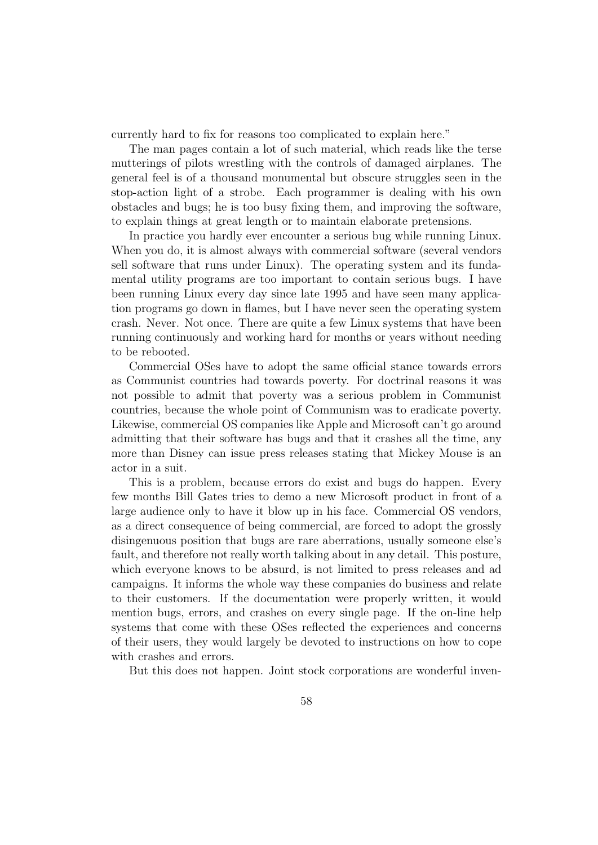currently hard to fix for reasons too complicated to explain here."

The man pages contain a lot of such material, which reads like the terse mutterings of pilots wrestling with the controls of damaged airplanes. The general feel is of a thousand monumental but obscure struggles seen in the stop-action light of a strobe. Each programmer is dealing with his own obstacles and bugs; he is too busy fixing them, and improving the software, to explain things at great length or to maintain elaborate pretensions.

In practice you hardly ever encounter a serious bug while running Linux. When you do, it is almost always with commercial software (several vendors sell software that runs under Linux). The operating system and its fundamental utility programs are too important to contain serious bugs. I have been running Linux every day since late 1995 and have seen many application programs go down in flames, but I have never seen the operating system crash. Never. Not once. There are quite a few Linux systems that have been running continuously and working hard for months or years without needing to be rebooted.

Commercial OSes have to adopt the same official stance towards errors as Communist countries had towards poverty. For doctrinal reasons it was not possible to admit that poverty was a serious problem in Communist countries, because the whole point of Communism was to eradicate poverty. Likewise, commercial OS companies like Apple and Microsoft can't go around admitting that their software has bugs and that it crashes all the time, any more than Disney can issue press releases stating that Mickey Mouse is an actor in a suit.

This is a problem, because errors do exist and bugs do happen. Every few months Bill Gates tries to demo a new Microsoft product in front of a large audience only to have it blow up in his face. Commercial OS vendors, as a direct consequence of being commercial, are forced to adopt the grossly disingenuous position that bugs are rare aberrations, usually someone else's fault, and therefore not really worth talking about in any detail. This posture, which everyone knows to be absurd, is not limited to press releases and ad campaigns. It informs the whole way these companies do business and relate to their customers. If the documentation were properly written, it would mention bugs, errors, and crashes on every single page. If the on-line help systems that come with these OSes reflected the experiences and concerns of their users, they would largely be devoted to instructions on how to cope with crashes and errors.

But this does not happen. Joint stock corporations are wonderful inven-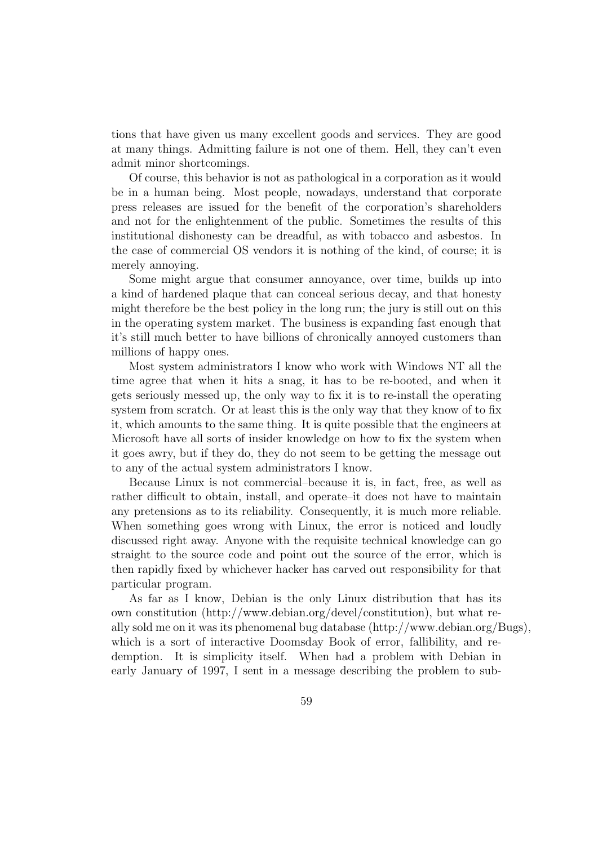tions that have given us many excellent goods and services. They are good at many things. Admitting failure is not one of them. Hell, they can't even admit minor shortcomings.

Of course, this behavior is not as pathological in a corporation as it would be in a human being. Most people, nowadays, understand that corporate press releases are issued for the benefit of the corporation's shareholders and not for the enlightenment of the public. Sometimes the results of this institutional dishonesty can be dreadful, as with tobacco and asbestos. In the case of commercial OS vendors it is nothing of the kind, of course; it is merely annoying.

Some might argue that consumer annoyance, over time, builds up into a kind of hardened plaque that can conceal serious decay, and that honesty might therefore be the best policy in the long run; the jury is still out on this in the operating system market. The business is expanding fast enough that it's still much better to have billions of chronically annoyed customers than millions of happy ones.

Most system administrators I know who work with Windows NT all the time agree that when it hits a snag, it has to be re-booted, and when it gets seriously messed up, the only way to fix it is to re-install the operating system from scratch. Or at least this is the only way that they know of to fix it, which amounts to the same thing. It is quite possible that the engineers at Microsoft have all sorts of insider knowledge on how to fix the system when it goes awry, but if they do, they do not seem to be getting the message out to any of the actual system administrators I know.

Because Linux is not commercial–because it is, in fact, free, as well as rather difficult to obtain, install, and operate–it does not have to maintain any pretensions as to its reliability. Consequently, it is much more reliable. When something goes wrong with Linux, the error is noticed and loudly discussed right away. Anyone with the requisite technical knowledge can go straight to the source code and point out the source of the error, which is then rapidly fixed by whichever hacker has carved out responsibility for that particular program.

As far as I know, Debian is the only Linux distribution that has its own constitution (http://www.debian.org/devel/constitution), but what really sold me on it was its phenomenal bug database (http://www.debian.org/Bugs), which is a sort of interactive Doomsday Book of error, fallibility, and redemption. It is simplicity itself. When had a problem with Debian in early January of 1997, I sent in a message describing the problem to sub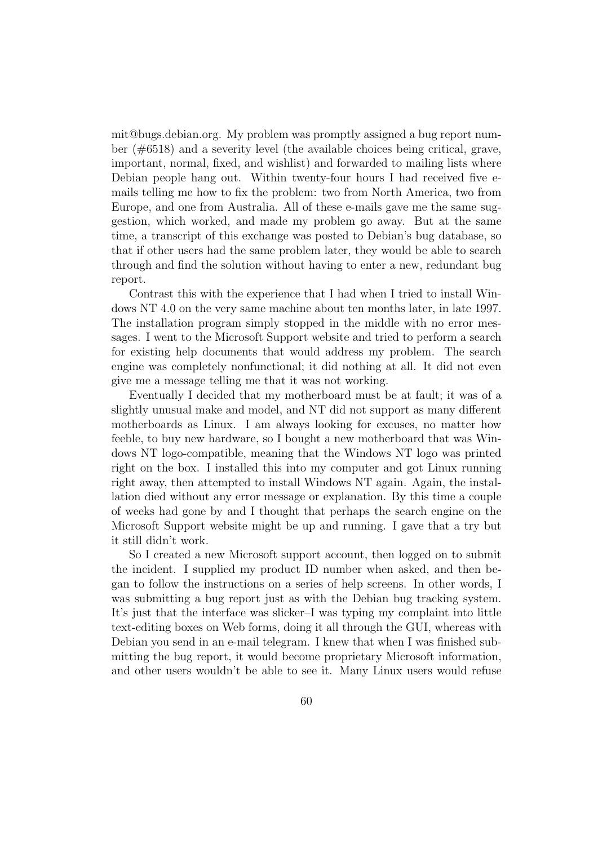mit@bugs.debian.org. My problem was promptly assigned a bug report number ( $\#6518$ ) and a severity level (the available choices being critical, grave, important, normal, fixed, and wishlist) and forwarded to mailing lists where Debian people hang out. Within twenty-four hours I had received five emails telling me how to fix the problem: two from North America, two from Europe, and one from Australia. All of these e-mails gave me the same suggestion, which worked, and made my problem go away. But at the same time, a transcript of this exchange was posted to Debian's bug database, so that if other users had the same problem later, they would be able to search through and find the solution without having to enter a new, redundant bug report.

Contrast this with the experience that I had when I tried to install Windows NT 4.0 on the very same machine about ten months later, in late 1997. The installation program simply stopped in the middle with no error messages. I went to the Microsoft Support website and tried to perform a search for existing help documents that would address my problem. The search engine was completely nonfunctional; it did nothing at all. It did not even give me a message telling me that it was not working.

Eventually I decided that my motherboard must be at fault; it was of a slightly unusual make and model, and NT did not support as many different motherboards as Linux. I am always looking for excuses, no matter how feeble, to buy new hardware, so I bought a new motherboard that was Windows NT logo-compatible, meaning that the Windows NT logo was printed right on the box. I installed this into my computer and got Linux running right away, then attempted to install Windows NT again. Again, the installation died without any error message or explanation. By this time a couple of weeks had gone by and I thought that perhaps the search engine on the Microsoft Support website might be up and running. I gave that a try but it still didn't work.

So I created a new Microsoft support account, then logged on to submit the incident. I supplied my product ID number when asked, and then began to follow the instructions on a series of help screens. In other words, I was submitting a bug report just as with the Debian bug tracking system. It's just that the interface was slicker–I was typing my complaint into little text-editing boxes on Web forms, doing it all through the GUI, whereas with Debian you send in an e-mail telegram. I knew that when I was finished submitting the bug report, it would become proprietary Microsoft information, and other users wouldn't be able to see it. Many Linux users would refuse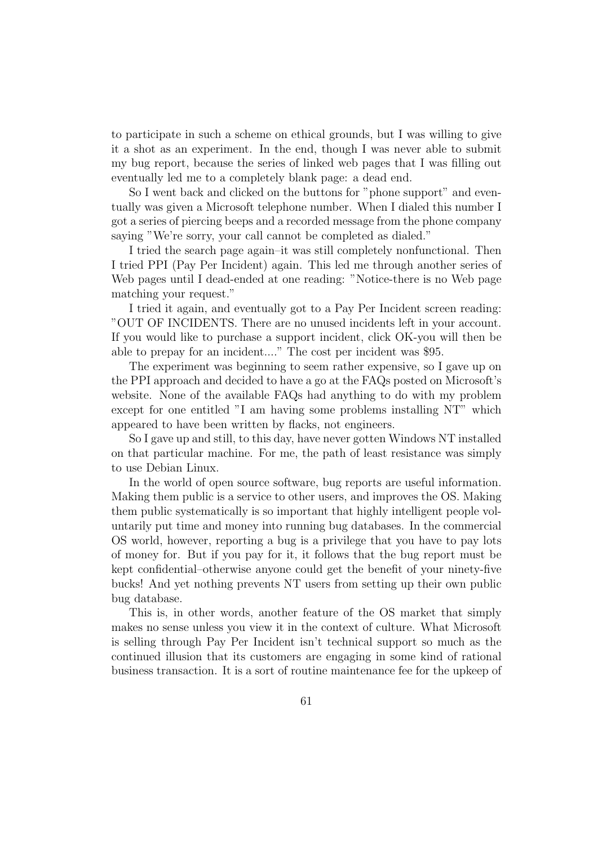to participate in such a scheme on ethical grounds, but I was willing to give it a shot as an experiment. In the end, though I was never able to submit my bug report, because the series of linked web pages that I was filling out eventually led me to a completely blank page: a dead end.

So I went back and clicked on the buttons for "phone support" and eventually was given a Microsoft telephone number. When I dialed this number I got a series of piercing beeps and a recorded message from the phone company saying "We're sorry, your call cannot be completed as dialed."

I tried the search page again–it was still completely nonfunctional. Then I tried PPI (Pay Per Incident) again. This led me through another series of Web pages until I dead-ended at one reading: "Notice-there is no Web page matching your request."

I tried it again, and eventually got to a Pay Per Incident screen reading: "OUT OF INCIDENTS. There are no unused incidents left in your account. If you would like to purchase a support incident, click OK-you will then be able to prepay for an incident...." The cost per incident was \$95.

The experiment was beginning to seem rather expensive, so I gave up on the PPI approach and decided to have a go at the FAQs posted on Microsoft's website. None of the available FAQs had anything to do with my problem except for one entitled "I am having some problems installing NT" which appeared to have been written by flacks, not engineers.

So I gave up and still, to this day, have never gotten Windows NT installed on that particular machine. For me, the path of least resistance was simply to use Debian Linux.

In the world of open source software, bug reports are useful information. Making them public is a service to other users, and improves the OS. Making them public systematically is so important that highly intelligent people voluntarily put time and money into running bug databases. In the commercial OS world, however, reporting a bug is a privilege that you have to pay lots of money for. But if you pay for it, it follows that the bug report must be kept confidential–otherwise anyone could get the benefit of your ninety-five bucks! And yet nothing prevents NT users from setting up their own public bug database.

This is, in other words, another feature of the OS market that simply makes no sense unless you view it in the context of culture. What Microsoft is selling through Pay Per Incident isn't technical support so much as the continued illusion that its customers are engaging in some kind of rational business transaction. It is a sort of routine maintenance fee for the upkeep of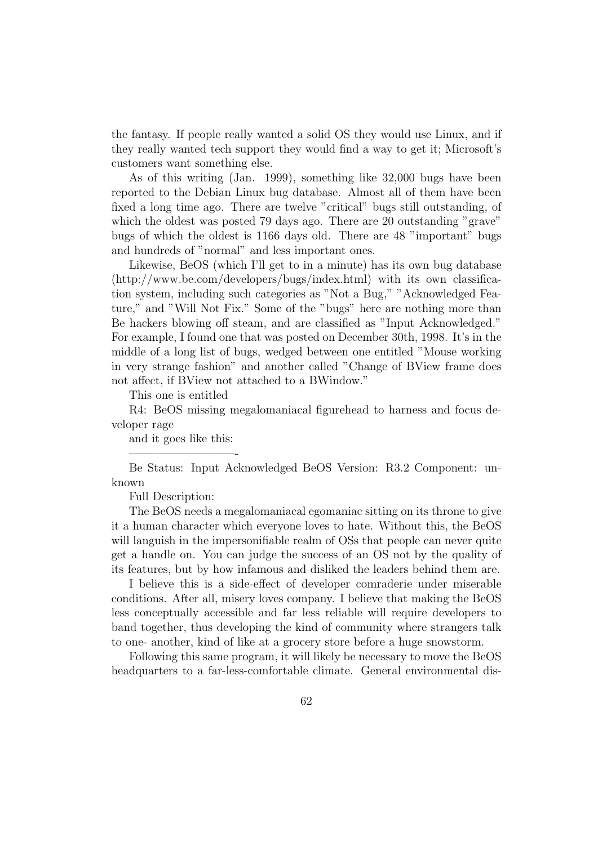the fantasy. If people really wanted a solid OS they would use Linux, and if they really wanted tech support they would find a way to get it; Microsoft's customers want something else.

As of this writing (Jan. 1999), something like 32,000 bugs have been reported to the Debian Linux bug database. Almost all of them have been fixed a long time ago. There are twelve "critical" bugs still outstanding, of which the oldest was posted 79 days ago. There are 20 outstanding "grave" bugs of which the oldest is 1166 days old. There are 48 "important" bugs and hundreds of "normal" and less important ones.

Likewise, BeOS (which I'll get to in a minute) has its own bug database (http://www.be.com/developers/bugs/index.html) with its own classification system, including such categories as "Not a Bug," "Acknowledged Feature," and "Will Not Fix." Some of the "bugs" here are nothing more than Be hackers blowing off steam, and are classified as "Input Acknowledged." For example, I found one that was posted on December 30th, 1998. It's in the middle of a long list of bugs, wedged between one entitled "Mouse working in very strange fashion" and another called "Change of BView frame does not affect, if BView not attached to a BWindow."

This one is entitled

R4: BeOS missing megalomaniacal figurehead to harness and focus developer rage

and it goes like this: —————————-

Be Status: Input Acknowledged BeOS Version: R3.2 Component: unknown

Full Description:

The BeOS needs a megalomaniacal egomaniac sitting on its throne to give it a human character which everyone loves to hate. Without this, the BeOS will languish in the impersonifiable realm of OSs that people can never quite get a handle on. You can judge the success of an OS not by the quality of its features, but by how infamous and disliked the leaders behind them are.

I believe this is a side-effect of developer comraderie under miserable conditions. After all, misery loves company. I believe that making the BeOS less conceptually accessible and far less reliable will require developers to band together, thus developing the kind of community where strangers talk to one- another, kind of like at a grocery store before a huge snowstorm.

Following this same program, it will likely be necessary to move the BeOS headquarters to a far-less-comfortable climate. General environmental dis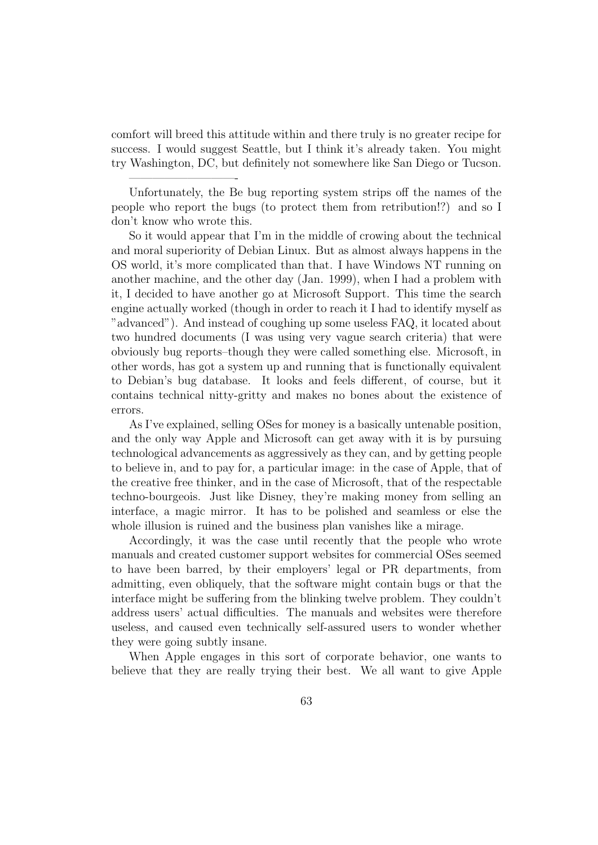comfort will breed this attitude within and there truly is no greater recipe for success. I would suggest Seattle, but I think it's already taken. You might try Washington, DC, but definitely not somewhere like San Diego or Tucson.

—————————-

So it would appear that I'm in the middle of crowing about the technical and moral superiority of Debian Linux. But as almost always happens in the OS world, it's more complicated than that. I have Windows NT running on another machine, and the other day (Jan. 1999), when I had a problem with it, I decided to have another go at Microsoft Support. This time the search engine actually worked (though in order to reach it I had to identify myself as "advanced"). And instead of coughing up some useless FAQ, it located about two hundred documents (I was using very vague search criteria) that were obviously bug reports–though they were called something else. Microsoft, in other words, has got a system up and running that is functionally equivalent to Debian's bug database. It looks and feels different, of course, but it contains technical nitty-gritty and makes no bones about the existence of errors.

As I've explained, selling OSes for money is a basically untenable position, and the only way Apple and Microsoft can get away with it is by pursuing technological advancements as aggressively as they can, and by getting people to believe in, and to pay for, a particular image: in the case of Apple, that of the creative free thinker, and in the case of Microsoft, that of the respectable techno-bourgeois. Just like Disney, they're making money from selling an interface, a magic mirror. It has to be polished and seamless or else the whole illusion is ruined and the business plan vanishes like a mirage.

Accordingly, it was the case until recently that the people who wrote manuals and created customer support websites for commercial OSes seemed to have been barred, by their employers' legal or PR departments, from admitting, even obliquely, that the software might contain bugs or that the interface might be suffering from the blinking twelve problem. They couldn't address users' actual difficulties. The manuals and websites were therefore useless, and caused even technically self-assured users to wonder whether they were going subtly insane.

When Apple engages in this sort of corporate behavior, one wants to believe that they are really trying their best. We all want to give Apple

Unfortunately, the Be bug reporting system strips off the names of the people who report the bugs (to protect them from retribution!?) and so I don't know who wrote this.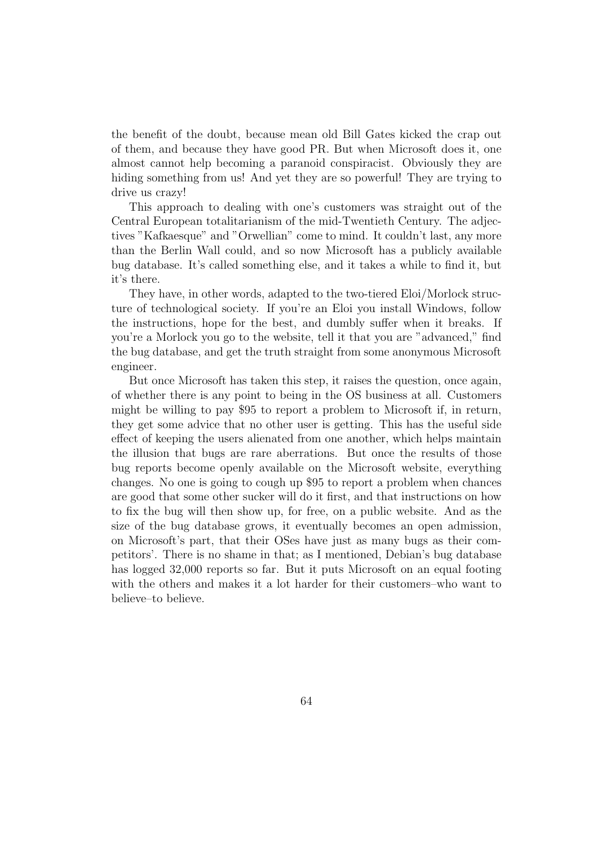the benefit of the doubt, because mean old Bill Gates kicked the crap out of them, and because they have good PR. But when Microsoft does it, one almost cannot help becoming a paranoid conspiracist. Obviously they are hiding something from us! And yet they are so powerful! They are trying to drive us crazy!

This approach to dealing with one's customers was straight out of the Central European totalitarianism of the mid-Twentieth Century. The adjectives "Kafkaesque" and "Orwellian" come to mind. It couldn't last, any more than the Berlin Wall could, and so now Microsoft has a publicly available bug database. It's called something else, and it takes a while to find it, but it's there.

They have, in other words, adapted to the two-tiered Eloi/Morlock structure of technological society. If you're an Eloi you install Windows, follow the instructions, hope for the best, and dumbly suffer when it breaks. If you're a Morlock you go to the website, tell it that you are "advanced," find the bug database, and get the truth straight from some anonymous Microsoft engineer.

But once Microsoft has taken this step, it raises the question, once again, of whether there is any point to being in the OS business at all. Customers might be willing to pay \$95 to report a problem to Microsoft if, in return, they get some advice that no other user is getting. This has the useful side effect of keeping the users alienated from one another, which helps maintain the illusion that bugs are rare aberrations. But once the results of those bug reports become openly available on the Microsoft website, everything changes. No one is going to cough up \$95 to report a problem when chances are good that some other sucker will do it first, and that instructions on how to fix the bug will then show up, for free, on a public website. And as the size of the bug database grows, it eventually becomes an open admission, on Microsoft's part, that their OSes have just as many bugs as their competitors'. There is no shame in that; as I mentioned, Debian's bug database has logged 32,000 reports so far. But it puts Microsoft on an equal footing with the others and makes it a lot harder for their customers–who want to believe–to believe.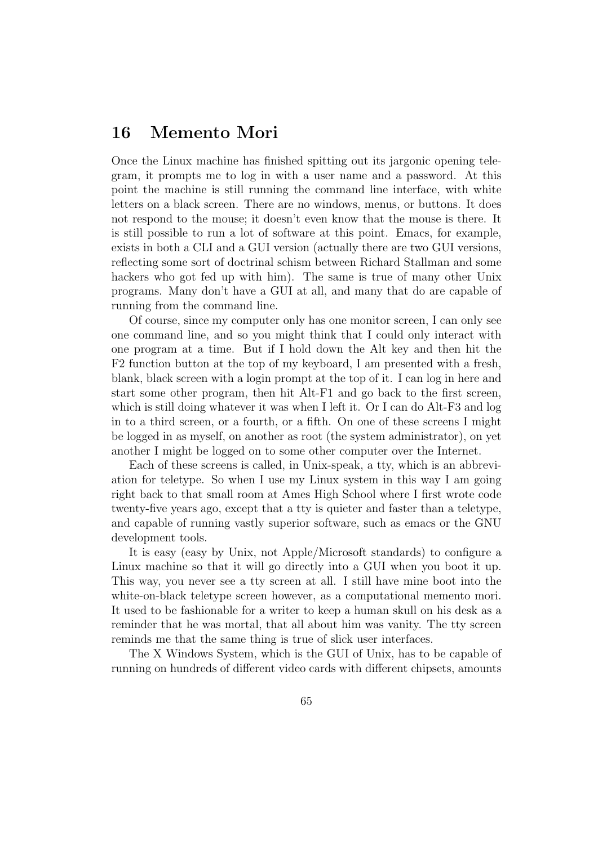### 16 Memento Mori

Once the Linux machine has finished spitting out its jargonic opening telegram, it prompts me to log in with a user name and a password. At this point the machine is still running the command line interface, with white letters on a black screen. There are no windows, menus, or buttons. It does not respond to the mouse; it doesn't even know that the mouse is there. It is still possible to run a lot of software at this point. Emacs, for example, exists in both a CLI and a GUI version (actually there are two GUI versions, reflecting some sort of doctrinal schism between Richard Stallman and some hackers who got fed up with him). The same is true of many other Unix programs. Many don't have a GUI at all, and many that do are capable of running from the command line.

Of course, since my computer only has one monitor screen, I can only see one command line, and so you might think that I could only interact with one program at a time. But if I hold down the Alt key and then hit the F2 function button at the top of my keyboard, I am presented with a fresh, blank, black screen with a login prompt at the top of it. I can log in here and start some other program, then hit Alt-F1 and go back to the first screen, which is still doing whatever it was when I left it. Or I can do Alt-F3 and log in to a third screen, or a fourth, or a fifth. On one of these screens I might be logged in as myself, on another as root (the system administrator), on yet another I might be logged on to some other computer over the Internet.

Each of these screens is called, in Unix-speak, a tty, which is an abbreviation for teletype. So when I use my Linux system in this way I am going right back to that small room at Ames High School where I first wrote code twenty-five years ago, except that a tty is quieter and faster than a teletype, and capable of running vastly superior software, such as emacs or the GNU development tools.

It is easy (easy by Unix, not Apple/Microsoft standards) to configure a Linux machine so that it will go directly into a GUI when you boot it up. This way, you never see a tty screen at all. I still have mine boot into the white-on-black teletype screen however, as a computational memento mori. It used to be fashionable for a writer to keep a human skull on his desk as a reminder that he was mortal, that all about him was vanity. The tty screen reminds me that the same thing is true of slick user interfaces.

The X Windows System, which is the GUI of Unix, has to be capable of running on hundreds of different video cards with different chipsets, amounts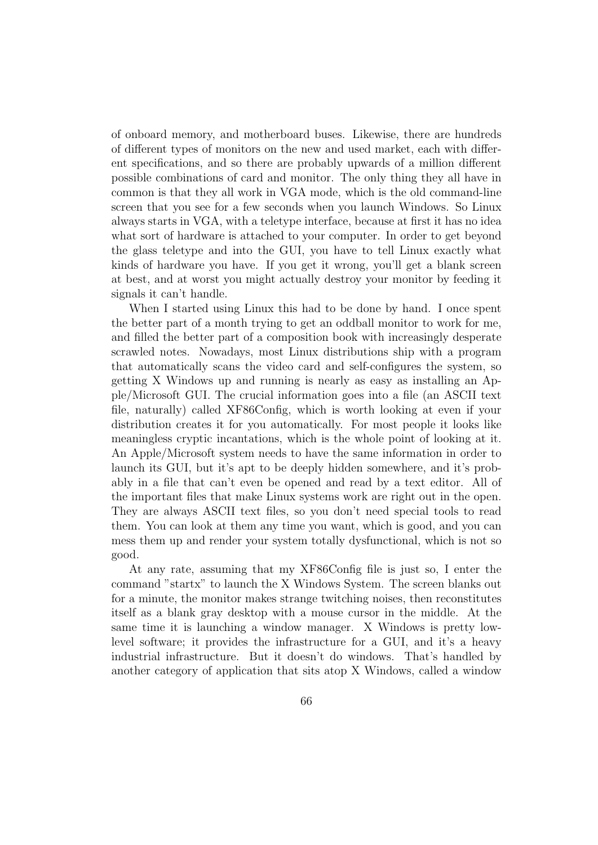of onboard memory, and motherboard buses. Likewise, there are hundreds of different types of monitors on the new and used market, each with different specifications, and so there are probably upwards of a million different possible combinations of card and monitor. The only thing they all have in common is that they all work in VGA mode, which is the old command-line screen that you see for a few seconds when you launch Windows. So Linux always starts in VGA, with a teletype interface, because at first it has no idea what sort of hardware is attached to your computer. In order to get beyond the glass teletype and into the GUI, you have to tell Linux exactly what kinds of hardware you have. If you get it wrong, you'll get a blank screen at best, and at worst you might actually destroy your monitor by feeding it signals it can't handle.

When I started using Linux this had to be done by hand. I once spent the better part of a month trying to get an oddball monitor to work for me, and filled the better part of a composition book with increasingly desperate scrawled notes. Nowadays, most Linux distributions ship with a program that automatically scans the video card and self-configures the system, so getting X Windows up and running is nearly as easy as installing an Apple/Microsoft GUI. The crucial information goes into a file (an ASCII text file, naturally) called XF86Config, which is worth looking at even if your distribution creates it for you automatically. For most people it looks like meaningless cryptic incantations, which is the whole point of looking at it. An Apple/Microsoft system needs to have the same information in order to launch its GUI, but it's apt to be deeply hidden somewhere, and it's probably in a file that can't even be opened and read by a text editor. All of the important files that make Linux systems work are right out in the open. They are always ASCII text files, so you don't need special tools to read them. You can look at them any time you want, which is good, and you can mess them up and render your system totally dysfunctional, which is not so good.

At any rate, assuming that my XF86Config file is just so, I enter the command "startx" to launch the X Windows System. The screen blanks out for a minute, the monitor makes strange twitching noises, then reconstitutes itself as a blank gray desktop with a mouse cursor in the middle. At the same time it is launching a window manager. X Windows is pretty lowlevel software; it provides the infrastructure for a GUI, and it's a heavy industrial infrastructure. But it doesn't do windows. That's handled by another category of application that sits atop X Windows, called a window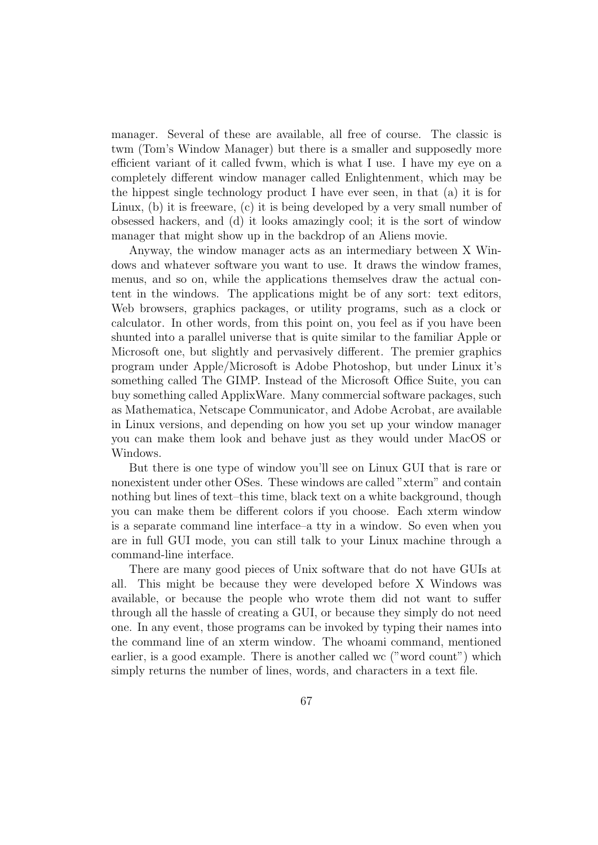manager. Several of these are available, all free of course. The classic is twm (Tom's Window Manager) but there is a smaller and supposedly more efficient variant of it called fvwm, which is what I use. I have my eye on a completely different window manager called Enlightenment, which may be the hippest single technology product I have ever seen, in that (a) it is for Linux, (b) it is freeware, (c) it is being developed by a very small number of obsessed hackers, and (d) it looks amazingly cool; it is the sort of window manager that might show up in the backdrop of an Aliens movie.

Anyway, the window manager acts as an intermediary between X Windows and whatever software you want to use. It draws the window frames, menus, and so on, while the applications themselves draw the actual content in the windows. The applications might be of any sort: text editors, Web browsers, graphics packages, or utility programs, such as a clock or calculator. In other words, from this point on, you feel as if you have been shunted into a parallel universe that is quite similar to the familiar Apple or Microsoft one, but slightly and pervasively different. The premier graphics program under Apple/Microsoft is Adobe Photoshop, but under Linux it's something called The GIMP. Instead of the Microsoft Office Suite, you can buy something called ApplixWare. Many commercial software packages, such as Mathematica, Netscape Communicator, and Adobe Acrobat, are available in Linux versions, and depending on how you set up your window manager you can make them look and behave just as they would under MacOS or Windows.

But there is one type of window you'll see on Linux GUI that is rare or nonexistent under other OSes. These windows are called "xterm" and contain nothing but lines of text–this time, black text on a white background, though you can make them be different colors if you choose. Each xterm window is a separate command line interface–a tty in a window. So even when you are in full GUI mode, you can still talk to your Linux machine through a command-line interface.

There are many good pieces of Unix software that do not have GUIs at all. This might be because they were developed before X Windows was available, or because the people who wrote them did not want to suffer through all the hassle of creating a GUI, or because they simply do not need one. In any event, those programs can be invoked by typing their names into the command line of an xterm window. The whoami command, mentioned earlier, is a good example. There is another called wc ("word count") which simply returns the number of lines, words, and characters in a text file.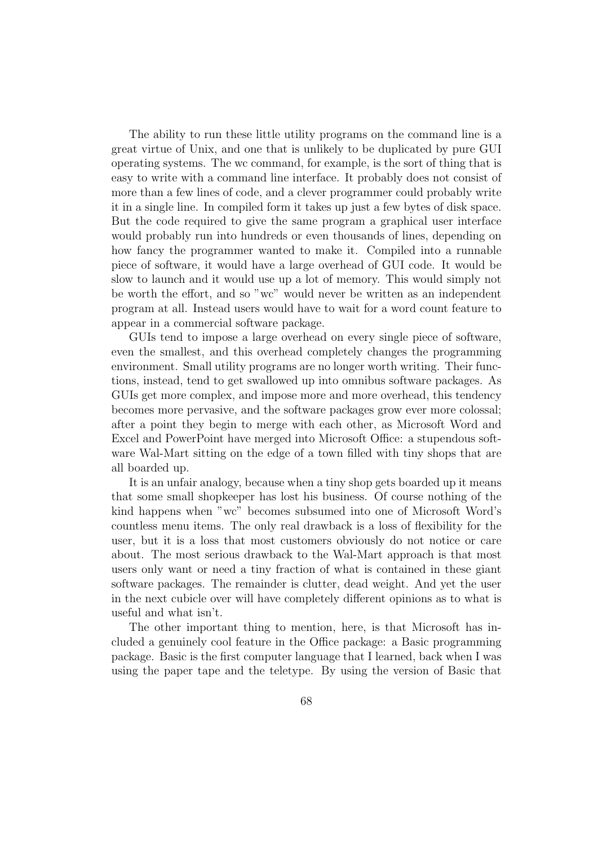The ability to run these little utility programs on the command line is a great virtue of Unix, and one that is unlikely to be duplicated by pure GUI operating systems. The wc command, for example, is the sort of thing that is easy to write with a command line interface. It probably does not consist of more than a few lines of code, and a clever programmer could probably write it in a single line. In compiled form it takes up just a few bytes of disk space. But the code required to give the same program a graphical user interface would probably run into hundreds or even thousands of lines, depending on how fancy the programmer wanted to make it. Compiled into a runnable piece of software, it would have a large overhead of GUI code. It would be slow to launch and it would use up a lot of memory. This would simply not be worth the effort, and so "wc" would never be written as an independent program at all. Instead users would have to wait for a word count feature to appear in a commercial software package.

GUIs tend to impose a large overhead on every single piece of software, even the smallest, and this overhead completely changes the programming environment. Small utility programs are no longer worth writing. Their functions, instead, tend to get swallowed up into omnibus software packages. As GUIs get more complex, and impose more and more overhead, this tendency becomes more pervasive, and the software packages grow ever more colossal; after a point they begin to merge with each other, as Microsoft Word and Excel and PowerPoint have merged into Microsoft Office: a stupendous software Wal-Mart sitting on the edge of a town filled with tiny shops that are all boarded up.

It is an unfair analogy, because when a tiny shop gets boarded up it means that some small shopkeeper has lost his business. Of course nothing of the kind happens when "wc" becomes subsumed into one of Microsoft Word's countless menu items. The only real drawback is a loss of flexibility for the user, but it is a loss that most customers obviously do not notice or care about. The most serious drawback to the Wal-Mart approach is that most users only want or need a tiny fraction of what is contained in these giant software packages. The remainder is clutter, dead weight. And yet the user in the next cubicle over will have completely different opinions as to what is useful and what isn't.

The other important thing to mention, here, is that Microsoft has included a genuinely cool feature in the Office package: a Basic programming package. Basic is the first computer language that I learned, back when I was using the paper tape and the teletype. By using the version of Basic that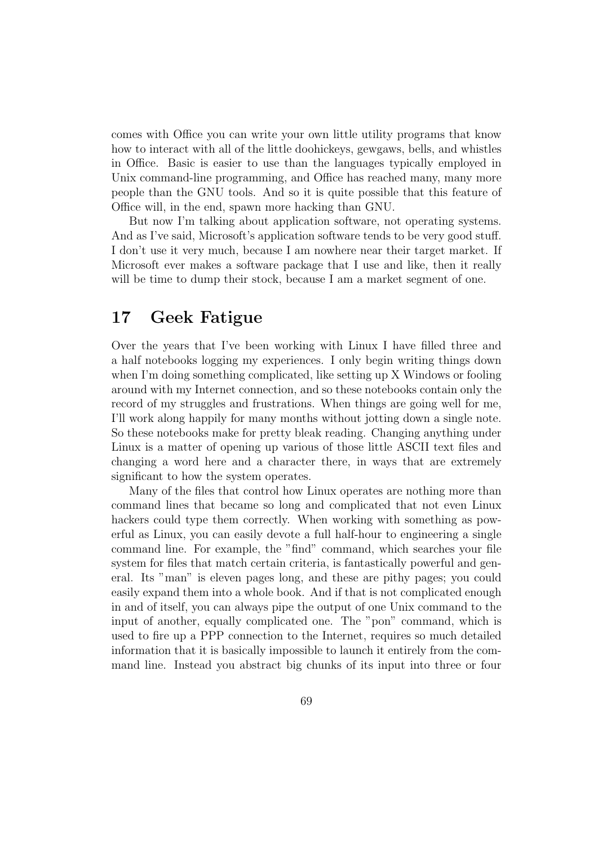comes with Office you can write your own little utility programs that know how to interact with all of the little doohickeys, gewgaws, bells, and whistles in Office. Basic is easier to use than the languages typically employed in Unix command-line programming, and Office has reached many, many more people than the GNU tools. And so it is quite possible that this feature of Office will, in the end, spawn more hacking than GNU.

But now I'm talking about application software, not operating systems. And as I've said, Microsoft's application software tends to be very good stuff. I don't use it very much, because I am nowhere near their target market. If Microsoft ever makes a software package that I use and like, then it really will be time to dump their stock, because I am a market segment of one.

# 17 Geek Fatigue

Over the years that I've been working with Linux I have filled three and a half notebooks logging my experiences. I only begin writing things down when I'm doing something complicated, like setting up X Windows or fooling around with my Internet connection, and so these notebooks contain only the record of my struggles and frustrations. When things are going well for me, I'll work along happily for many months without jotting down a single note. So these notebooks make for pretty bleak reading. Changing anything under Linux is a matter of opening up various of those little ASCII text files and changing a word here and a character there, in ways that are extremely significant to how the system operates.

Many of the files that control how Linux operates are nothing more than command lines that became so long and complicated that not even Linux hackers could type them correctly. When working with something as powerful as Linux, you can easily devote a full half-hour to engineering a single command line. For example, the "find" command, which searches your file system for files that match certain criteria, is fantastically powerful and general. Its "man" is eleven pages long, and these are pithy pages; you could easily expand them into a whole book. And if that is not complicated enough in and of itself, you can always pipe the output of one Unix command to the input of another, equally complicated one. The "pon" command, which is used to fire up a PPP connection to the Internet, requires so much detailed information that it is basically impossible to launch it entirely from the command line. Instead you abstract big chunks of its input into three or four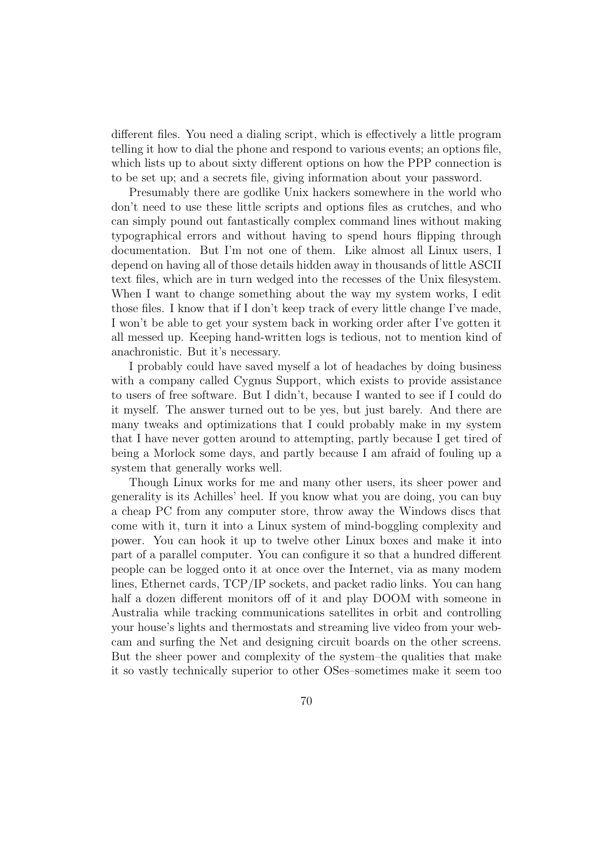different files. You need a dialing script, which is effectively a little program telling it how to dial the phone and respond to various events; an options file, which lists up to about sixty different options on how the PPP connection is to be set up; and a secrets file, giving information about your password.

Presumably there are godlike Unix hackers somewhere in the world who don't need to use these little scripts and options files as crutches, and who can simply pound out fantastically complex command lines without making typographical errors and without having to spend hours flipping through documentation. But I'm not one of them. Like almost all Linux users, I depend on having all of those details hidden away in thousands of little ASCII text files, which are in turn wedged into the recesses of the Unix filesystem. When I want to change something about the way my system works, I edit those files. I know that if I don't keep track of every little change I've made, I won't be able to get your system back in working order after I've gotten it all messed up. Keeping hand-written logs is tedious, not to mention kind of anachronistic. But it's necessary.

I probably could have saved myself a lot of headaches by doing business with a company called Cygnus Support, which exists to provide assistance to users of free software. But I didn't, because I wanted to see if I could do it myself. The answer turned out to be yes, but just barely. And there are many tweaks and optimizations that I could probably make in my system that I have never gotten around to attempting, partly because I get tired of being a Morlock some days, and partly because I am afraid of fouling up a system that generally works well.

Though Linux works for me and many other users, its sheer power and generality is its Achilles' heel. If you know what you are doing, you can buy a cheap PC from any computer store, throw away the Windows discs that come with it, turn it into a Linux system of mind-boggling complexity and power. You can hook it up to twelve other Linux boxes and make it into part of a parallel computer. You can configure it so that a hundred different people can be logged onto it at once over the Internet, via as many modem lines, Ethernet cards, TCP/IP sockets, and packet radio links. You can hang half a dozen different monitors off of it and play DOOM with someone in Australia while tracking communications satellites in orbit and controlling your house's lights and thermostats and streaming live video from your webcam and surfing the Net and designing circuit boards on the other screens. But the sheer power and complexity of the system–the qualities that make it so vastly technically superior to other OSes–sometimes make it seem too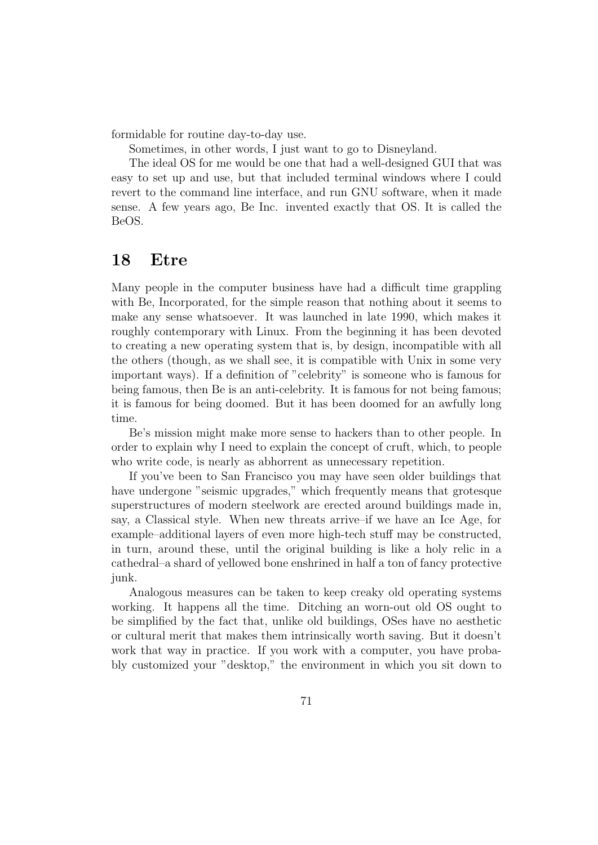formidable for routine day-to-day use.

Sometimes, in other words, I just want to go to Disneyland.

The ideal OS for me would be one that had a well-designed GUI that was easy to set up and use, but that included terminal windows where I could revert to the command line interface, and run GNU software, when it made sense. A few years ago, Be Inc. invented exactly that OS. It is called the BeOS.

#### 18 Etre

Many people in the computer business have had a difficult time grappling with Be, Incorporated, for the simple reason that nothing about it seems to make any sense whatsoever. It was launched in late 1990, which makes it roughly contemporary with Linux. From the beginning it has been devoted to creating a new operating system that is, by design, incompatible with all the others (though, as we shall see, it is compatible with Unix in some very important ways). If a definition of "celebrity" is someone who is famous for being famous, then Be is an anti-celebrity. It is famous for not being famous; it is famous for being doomed. But it has been doomed for an awfully long time.

Be's mission might make more sense to hackers than to other people. In order to explain why I need to explain the concept of cruft, which, to people who write code, is nearly as abhorrent as unnecessary repetition.

If you've been to San Francisco you may have seen older buildings that have undergone "seismic upgrades," which frequently means that grotesque superstructures of modern steelwork are erected around buildings made in, say, a Classical style. When new threats arrive–if we have an Ice Age, for example–additional layers of even more high-tech stuff may be constructed, in turn, around these, until the original building is like a holy relic in a cathedral–a shard of yellowed bone enshrined in half a ton of fancy protective junk.

Analogous measures can be taken to keep creaky old operating systems working. It happens all the time. Ditching an worn-out old OS ought to be simplified by the fact that, unlike old buildings, OSes have no aesthetic or cultural merit that makes them intrinsically worth saving. But it doesn't work that way in practice. If you work with a computer, you have probably customized your "desktop," the environment in which you sit down to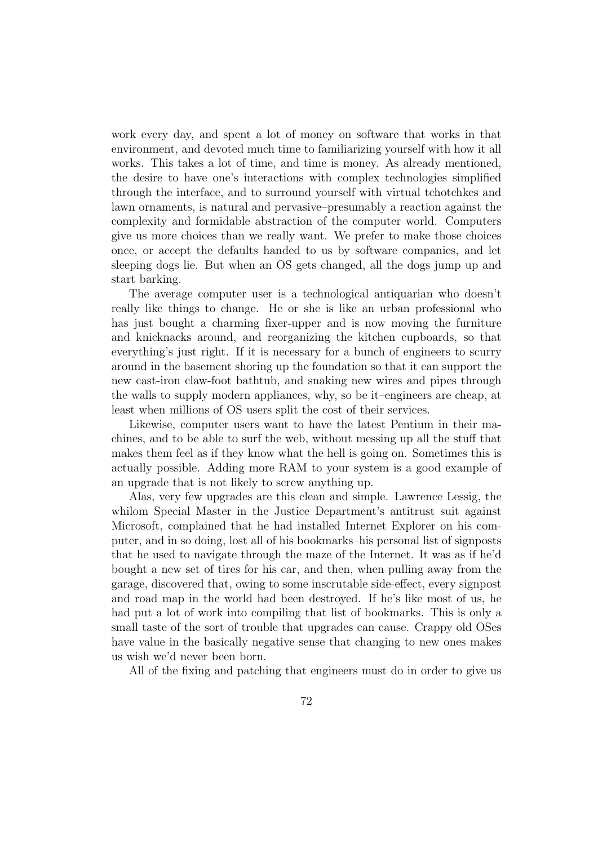work every day, and spent a lot of money on software that works in that environment, and devoted much time to familiarizing yourself with how it all works. This takes a lot of time, and time is money. As already mentioned, the desire to have one's interactions with complex technologies simplified through the interface, and to surround yourself with virtual tchotchkes and lawn ornaments, is natural and pervasive–presumably a reaction against the complexity and formidable abstraction of the computer world. Computers give us more choices than we really want. We prefer to make those choices once, or accept the defaults handed to us by software companies, and let sleeping dogs lie. But when an OS gets changed, all the dogs jump up and start barking.

The average computer user is a technological antiquarian who doesn't really like things to change. He or she is like an urban professional who has just bought a charming fixer-upper and is now moving the furniture and knicknacks around, and reorganizing the kitchen cupboards, so that everything's just right. If it is necessary for a bunch of engineers to scurry around in the basement shoring up the foundation so that it can support the new cast-iron claw-foot bathtub, and snaking new wires and pipes through the walls to supply modern appliances, why, so be it–engineers are cheap, at least when millions of OS users split the cost of their services.

Likewise, computer users want to have the latest Pentium in their machines, and to be able to surf the web, without messing up all the stuff that makes them feel as if they know what the hell is going on. Sometimes this is actually possible. Adding more RAM to your system is a good example of an upgrade that is not likely to screw anything up.

Alas, very few upgrades are this clean and simple. Lawrence Lessig, the whilom Special Master in the Justice Department's antitrust suit against Microsoft, complained that he had installed Internet Explorer on his computer, and in so doing, lost all of his bookmarks–his personal list of signposts that he used to navigate through the maze of the Internet. It was as if he'd bought a new set of tires for his car, and then, when pulling away from the garage, discovered that, owing to some inscrutable side-effect, every signpost and road map in the world had been destroyed. If he's like most of us, he had put a lot of work into compiling that list of bookmarks. This is only a small taste of the sort of trouble that upgrades can cause. Crappy old OSes have value in the basically negative sense that changing to new ones makes us wish we'd never been born.

All of the fixing and patching that engineers must do in order to give us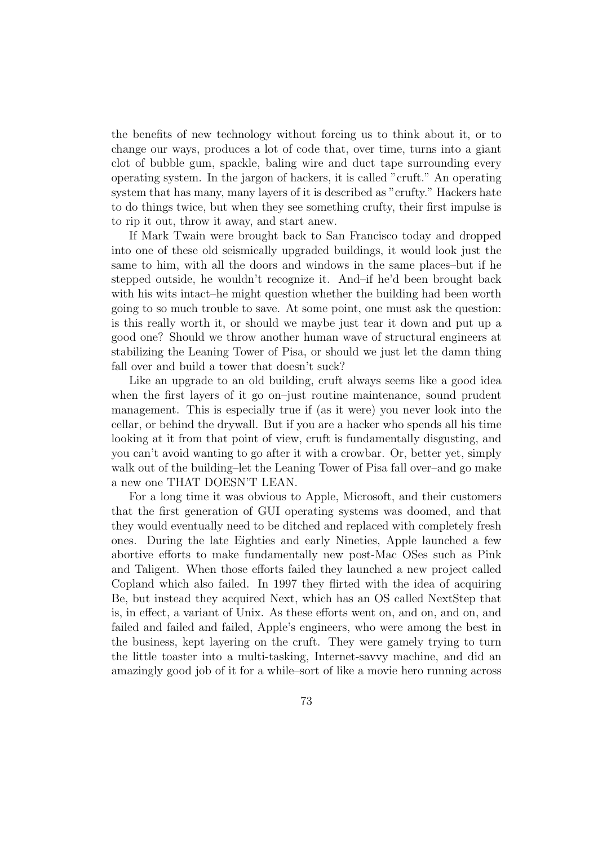the benefits of new technology without forcing us to think about it, or to change our ways, produces a lot of code that, over time, turns into a giant clot of bubble gum, spackle, baling wire and duct tape surrounding every operating system. In the jargon of hackers, it is called "cruft." An operating system that has many, many layers of it is described as "crufty." Hackers hate to do things twice, but when they see something crufty, their first impulse is to rip it out, throw it away, and start anew.

If Mark Twain were brought back to San Francisco today and dropped into one of these old seismically upgraded buildings, it would look just the same to him, with all the doors and windows in the same places–but if he stepped outside, he wouldn't recognize it. And–if he'd been brought back with his wits intact–he might question whether the building had been worth going to so much trouble to save. At some point, one must ask the question: is this really worth it, or should we maybe just tear it down and put up a good one? Should we throw another human wave of structural engineers at stabilizing the Leaning Tower of Pisa, or should we just let the damn thing fall over and build a tower that doesn't suck?

Like an upgrade to an old building, cruft always seems like a good idea when the first layers of it go on–just routine maintenance, sound prudent management. This is especially true if (as it were) you never look into the cellar, or behind the drywall. But if you are a hacker who spends all his time looking at it from that point of view, cruft is fundamentally disgusting, and you can't avoid wanting to go after it with a crowbar. Or, better yet, simply walk out of the building–let the Leaning Tower of Pisa fall over–and go make a new one THAT DOESN'T LEAN.

For a long time it was obvious to Apple, Microsoft, and their customers that the first generation of GUI operating systems was doomed, and that they would eventually need to be ditched and replaced with completely fresh ones. During the late Eighties and early Nineties, Apple launched a few abortive efforts to make fundamentally new post-Mac OSes such as Pink and Taligent. When those efforts failed they launched a new project called Copland which also failed. In 1997 they flirted with the idea of acquiring Be, but instead they acquired Next, which has an OS called NextStep that is, in effect, a variant of Unix. As these efforts went on, and on, and on, and failed and failed and failed, Apple's engineers, who were among the best in the business, kept layering on the cruft. They were gamely trying to turn the little toaster into a multi-tasking, Internet-savvy machine, and did an amazingly good job of it for a while–sort of like a movie hero running across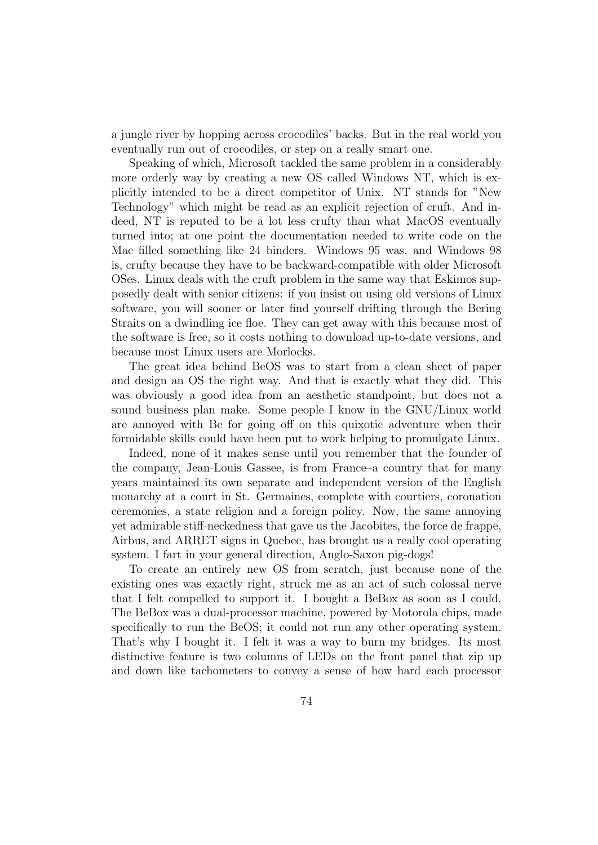a jungle river by hopping across crocodiles' backs. But in the real world you eventually run out of crocodiles, or step on a really smart one.

Speaking of which, Microsoft tackled the same problem in a considerably more orderly way by creating a new OS called Windows NT, which is explicitly intended to be a direct competitor of Unix. NT stands for "New Technology" which might be read as an explicit rejection of cruft. And indeed, NT is reputed to be a lot less crufty than what MacOS eventually turned into; at one point the documentation needed to write code on the Mac filled something like 24 binders. Windows 95 was, and Windows 98 is, crufty because they have to be backward-compatible with older Microsoft OSes. Linux deals with the cruft problem in the same way that Eskimos supposedly dealt with senior citizens: if you insist on using old versions of Linux software, you will sooner or later find yourself drifting through the Bering Straits on a dwindling ice floe. They can get away with this because most of the software is free, so it costs nothing to download up-to-date versions, and because most Linux users are Morlocks.

The great idea behind BeOS was to start from a clean sheet of paper and design an OS the right way. And that is exactly what they did. This was obviously a good idea from an aesthetic standpoint, but does not a sound business plan make. Some people I know in the GNU/Linux world are annoyed with Be for going off on this quixotic adventure when their formidable skills could have been put to work helping to promulgate Linux.

Indeed, none of it makes sense until you remember that the founder of the company, Jean-Louis Gassee, is from France–a country that for many years maintained its own separate and independent version of the English monarchy at a court in St. Germaines, complete with courtiers, coronation ceremonies, a state religion and a foreign policy. Now, the same annoying yet admirable stiff-neckedness that gave us the Jacobites, the force de frappe, Airbus, and ARRET signs in Quebec, has brought us a really cool operating system. I fart in your general direction, Anglo-Saxon pig-dogs!

To create an entirely new OS from scratch, just because none of the existing ones was exactly right, struck me as an act of such colossal nerve that I felt compelled to support it. I bought a BeBox as soon as I could. The BeBox was a dual-processor machine, powered by Motorola chips, made specifically to run the BeOS; it could not run any other operating system. That's why I bought it. I felt it was a way to burn my bridges. Its most distinctive feature is two columns of LEDs on the front panel that zip up and down like tachometers to convey a sense of how hard each processor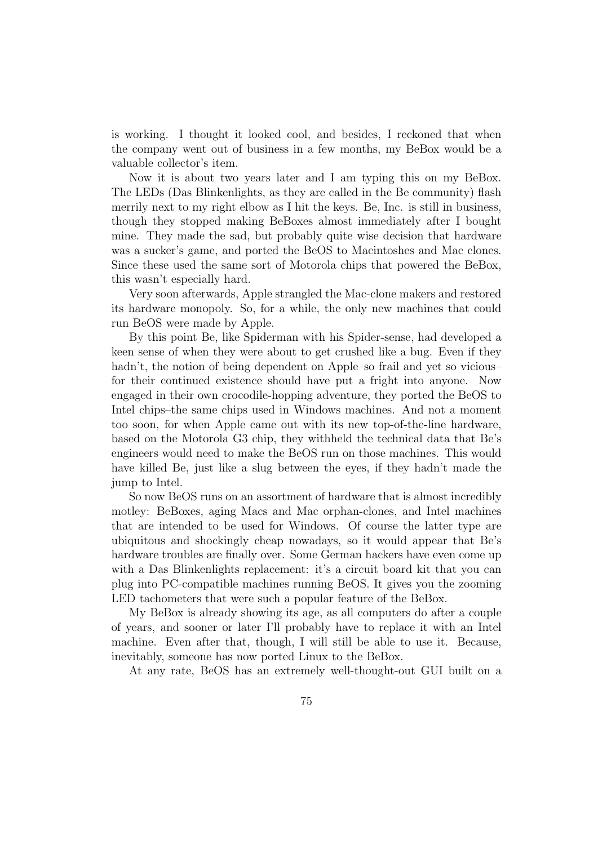is working. I thought it looked cool, and besides, I reckoned that when the company went out of business in a few months, my BeBox would be a valuable collector's item.

Now it is about two years later and I am typing this on my BeBox. The LEDs (Das Blinkenlights, as they are called in the Be community) flash merrily next to my right elbow as I hit the keys. Be, Inc. is still in business, though they stopped making BeBoxes almost immediately after I bought mine. They made the sad, but probably quite wise decision that hardware was a sucker's game, and ported the BeOS to Macintoshes and Mac clones. Since these used the same sort of Motorola chips that powered the BeBox, this wasn't especially hard.

Very soon afterwards, Apple strangled the Mac-clone makers and restored its hardware monopoly. So, for a while, the only new machines that could run BeOS were made by Apple.

By this point Be, like Spiderman with his Spider-sense, had developed a keen sense of when they were about to get crushed like a bug. Even if they hadn't, the notion of being dependent on Apple–so frail and yet so vicious– for their continued existence should have put a fright into anyone. Now engaged in their own crocodile-hopping adventure, they ported the BeOS to Intel chips–the same chips used in Windows machines. And not a moment too soon, for when Apple came out with its new top-of-the-line hardware, based on the Motorola G3 chip, they withheld the technical data that Be's engineers would need to make the BeOS run on those machines. This would have killed Be, just like a slug between the eyes, if they hadn't made the jump to Intel.

So now BeOS runs on an assortment of hardware that is almost incredibly motley: BeBoxes, aging Macs and Mac orphan-clones, and Intel machines that are intended to be used for Windows. Of course the latter type are ubiquitous and shockingly cheap nowadays, so it would appear that Be's hardware troubles are finally over. Some German hackers have even come up with a Das Blinkenlights replacement: it's a circuit board kit that you can plug into PC-compatible machines running BeOS. It gives you the zooming LED tachometers that were such a popular feature of the BeBox.

My BeBox is already showing its age, as all computers do after a couple of years, and sooner or later I'll probably have to replace it with an Intel machine. Even after that, though, I will still be able to use it. Because, inevitably, someone has now ported Linux to the BeBox.

At any rate, BeOS has an extremely well-thought-out GUI built on a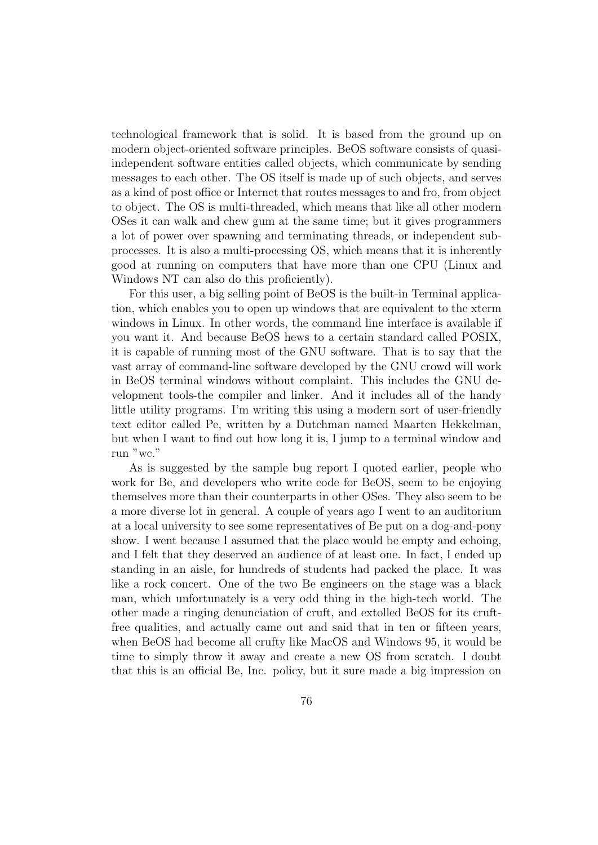technological framework that is solid. It is based from the ground up on modern object-oriented software principles. BeOS software consists of quasiindependent software entities called objects, which communicate by sending messages to each other. The OS itself is made up of such objects, and serves as a kind of post office or Internet that routes messages to and fro, from object to object. The OS is multi-threaded, which means that like all other modern OSes it can walk and chew gum at the same time; but it gives programmers a lot of power over spawning and terminating threads, or independent subprocesses. It is also a multi-processing OS, which means that it is inherently good at running on computers that have more than one CPU (Linux and Windows NT can also do this proficiently).

For this user, a big selling point of BeOS is the built-in Terminal application, which enables you to open up windows that are equivalent to the xterm windows in Linux. In other words, the command line interface is available if you want it. And because BeOS hews to a certain standard called POSIX, it is capable of running most of the GNU software. That is to say that the vast array of command-line software developed by the GNU crowd will work in BeOS terminal windows without complaint. This includes the GNU development tools-the compiler and linker. And it includes all of the handy little utility programs. I'm writing this using a modern sort of user-friendly text editor called Pe, written by a Dutchman named Maarten Hekkelman, but when I want to find out how long it is, I jump to a terminal window and run "wc."

As is suggested by the sample bug report I quoted earlier, people who work for Be, and developers who write code for BeOS, seem to be enjoying themselves more than their counterparts in other OSes. They also seem to be a more diverse lot in general. A couple of years ago I went to an auditorium at a local university to see some representatives of Be put on a dog-and-pony show. I went because I assumed that the place would be empty and echoing, and I felt that they deserved an audience of at least one. In fact, I ended up standing in an aisle, for hundreds of students had packed the place. It was like a rock concert. One of the two Be engineers on the stage was a black man, which unfortunately is a very odd thing in the high-tech world. The other made a ringing denunciation of cruft, and extolled BeOS for its cruftfree qualities, and actually came out and said that in ten or fifteen years, when BeOS had become all crufty like MacOS and Windows 95, it would be time to simply throw it away and create a new OS from scratch. I doubt that this is an official Be, Inc. policy, but it sure made a big impression on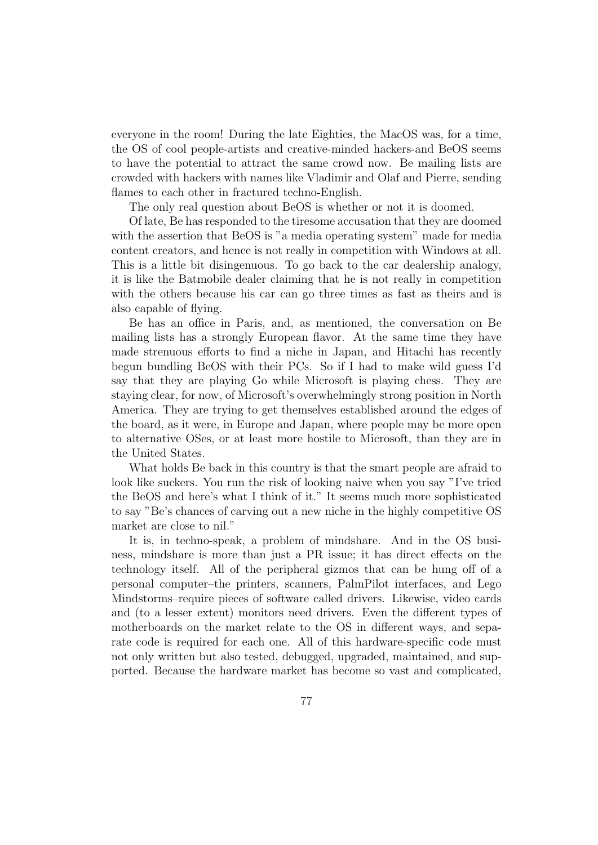everyone in the room! During the late Eighties, the MacOS was, for a time, the OS of cool people-artists and creative-minded hackers-and BeOS seems to have the potential to attract the same crowd now. Be mailing lists are crowded with hackers with names like Vladimir and Olaf and Pierre, sending flames to each other in fractured techno-English.

The only real question about BeOS is whether or not it is doomed.

Of late, Be has responded to the tiresome accusation that they are doomed with the assertion that BeOS is "a media operating system" made for media content creators, and hence is not really in competition with Windows at all. This is a little bit disingenuous. To go back to the car dealership analogy, it is like the Batmobile dealer claiming that he is not really in competition with the others because his car can go three times as fast as theirs and is also capable of flying.

Be has an office in Paris, and, as mentioned, the conversation on Be mailing lists has a strongly European flavor. At the same time they have made strenuous efforts to find a niche in Japan, and Hitachi has recently begun bundling BeOS with their PCs. So if I had to make wild guess I'd say that they are playing Go while Microsoft is playing chess. They are staying clear, for now, of Microsoft's overwhelmingly strong position in North America. They are trying to get themselves established around the edges of the board, as it were, in Europe and Japan, where people may be more open to alternative OSes, or at least more hostile to Microsoft, than they are in the United States.

What holds Be back in this country is that the smart people are afraid to look like suckers. You run the risk of looking naive when you say "I've tried the BeOS and here's what I think of it." It seems much more sophisticated to say "Be's chances of carving out a new niche in the highly competitive OS market are close to nil."

It is, in techno-speak, a problem of mindshare. And in the OS business, mindshare is more than just a PR issue; it has direct effects on the technology itself. All of the peripheral gizmos that can be hung off of a personal computer–the printers, scanners, PalmPilot interfaces, and Lego Mindstorms–require pieces of software called drivers. Likewise, video cards and (to a lesser extent) monitors need drivers. Even the different types of motherboards on the market relate to the OS in different ways, and separate code is required for each one. All of this hardware-specific code must not only written but also tested, debugged, upgraded, maintained, and supported. Because the hardware market has become so vast and complicated,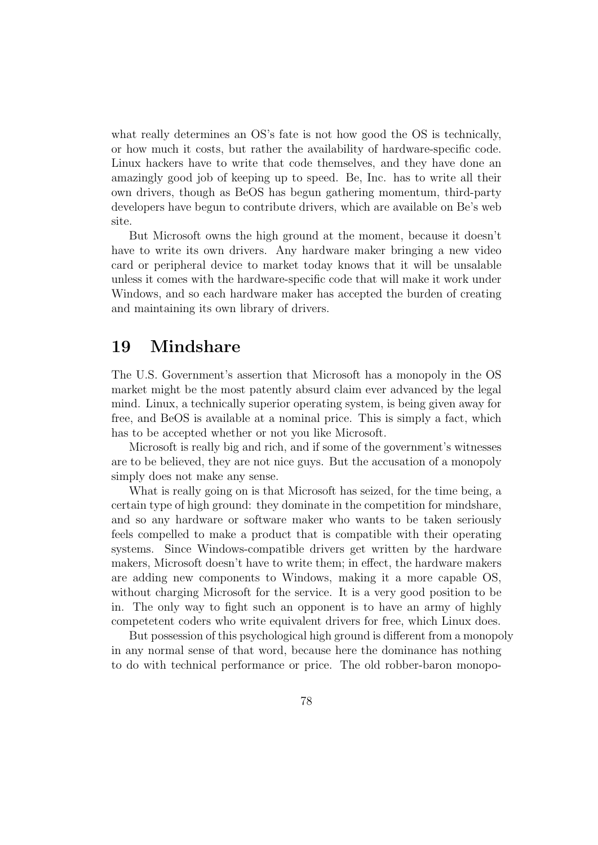what really determines an OS's fate is not how good the OS is technically, or how much it costs, but rather the availability of hardware-specific code. Linux hackers have to write that code themselves, and they have done an amazingly good job of keeping up to speed. Be, Inc. has to write all their own drivers, though as BeOS has begun gathering momentum, third-party developers have begun to contribute drivers, which are available on Be's web site.

But Microsoft owns the high ground at the moment, because it doesn't have to write its own drivers. Any hardware maker bringing a new video card or peripheral device to market today knows that it will be unsalable unless it comes with the hardware-specific code that will make it work under Windows, and so each hardware maker has accepted the burden of creating and maintaining its own library of drivers.

## 19 Mindshare

The U.S. Government's assertion that Microsoft has a monopoly in the OS market might be the most patently absurd claim ever advanced by the legal mind. Linux, a technically superior operating system, is being given away for free, and BeOS is available at a nominal price. This is simply a fact, which has to be accepted whether or not you like Microsoft.

Microsoft is really big and rich, and if some of the government's witnesses are to be believed, they are not nice guys. But the accusation of a monopoly simply does not make any sense.

What is really going on is that Microsoft has seized, for the time being, a certain type of high ground: they dominate in the competition for mindshare, and so any hardware or software maker who wants to be taken seriously feels compelled to make a product that is compatible with their operating systems. Since Windows-compatible drivers get written by the hardware makers, Microsoft doesn't have to write them; in effect, the hardware makers are adding new components to Windows, making it a more capable OS, without charging Microsoft for the service. It is a very good position to be in. The only way to fight such an opponent is to have an army of highly competetent coders who write equivalent drivers for free, which Linux does.

But possession of this psychological high ground is different from a monopoly in any normal sense of that word, because here the dominance has nothing to do with technical performance or price. The old robber-baron monopo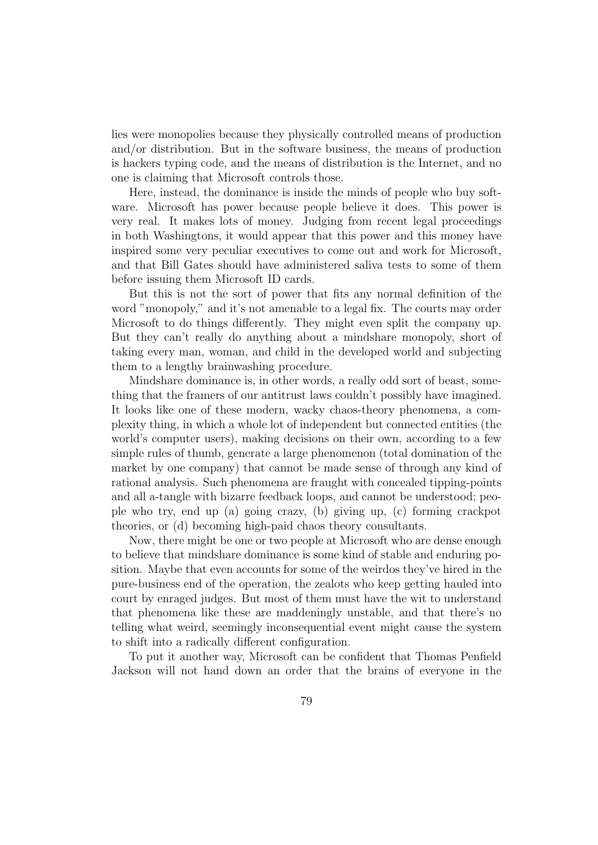lies were monopolies because they physically controlled means of production and/or distribution. But in the software business, the means of production is hackers typing code, and the means of distribution is the Internet, and no one is claiming that Microsoft controls those.

Here, instead, the dominance is inside the minds of people who buy software. Microsoft has power because people believe it does. This power is very real. It makes lots of money. Judging from recent legal proceedings in both Washingtons, it would appear that this power and this money have inspired some very peculiar executives to come out and work for Microsoft, and that Bill Gates should have administered saliva tests to some of them before issuing them Microsoft ID cards.

But this is not the sort of power that fits any normal definition of the word "monopoly," and it's not amenable to a legal fix. The courts may order Microsoft to do things differently. They might even split the company up. But they can't really do anything about a mindshare monopoly, short of taking every man, woman, and child in the developed world and subjecting them to a lengthy brainwashing procedure.

Mindshare dominance is, in other words, a really odd sort of beast, something that the framers of our antitrust laws couldn't possibly have imagined. It looks like one of these modern, wacky chaos-theory phenomena, a complexity thing, in which a whole lot of independent but connected entities (the world's computer users), making decisions on their own, according to a few simple rules of thumb, generate a large phenomenon (total domination of the market by one company) that cannot be made sense of through any kind of rational analysis. Such phenomena are fraught with concealed tipping-points and all a-tangle with bizarre feedback loops, and cannot be understood; people who try, end up (a) going crazy, (b) giving up, (c) forming crackpot theories, or (d) becoming high-paid chaos theory consultants.

Now, there might be one or two people at Microsoft who are dense enough to believe that mindshare dominance is some kind of stable and enduring position. Maybe that even accounts for some of the weirdos they've hired in the pure-business end of the operation, the zealots who keep getting hauled into court by enraged judges. But most of them must have the wit to understand that phenomena like these are maddeningly unstable, and that there's no telling what weird, seemingly inconsequential event might cause the system to shift into a radically different configuration.

To put it another way, Microsoft can be confident that Thomas Penfield Jackson will not hand down an order that the brains of everyone in the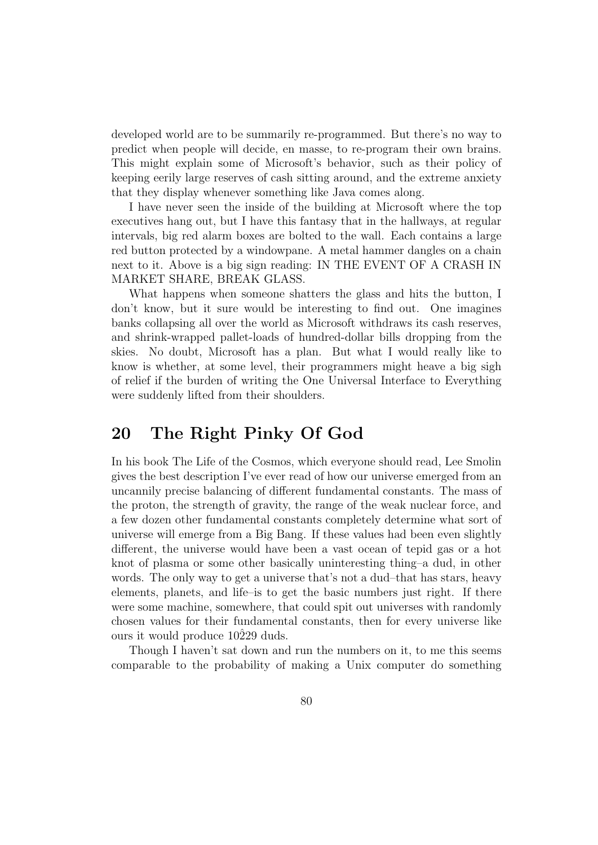developed world are to be summarily re-programmed. But there's no way to predict when people will decide, en masse, to re-program their own brains. This might explain some of Microsoft's behavior, such as their policy of keeping eerily large reserves of cash sitting around, and the extreme anxiety that they display whenever something like Java comes along.

I have never seen the inside of the building at Microsoft where the top executives hang out, but I have this fantasy that in the hallways, at regular intervals, big red alarm boxes are bolted to the wall. Each contains a large red button protected by a windowpane. A metal hammer dangles on a chain next to it. Above is a big sign reading: IN THE EVENT OF A CRASH IN MARKET SHARE, BREAK GLASS.

What happens when someone shatters the glass and hits the button, I don't know, but it sure would be interesting to find out. One imagines banks collapsing all over the world as Microsoft withdraws its cash reserves, and shrink-wrapped pallet-loads of hundred-dollar bills dropping from the skies. No doubt, Microsoft has a plan. But what I would really like to know is whether, at some level, their programmers might heave a big sigh of relief if the burden of writing the One Universal Interface to Everything were suddenly lifted from their shoulders.

## 20 The Right Pinky Of God

In his book The Life of the Cosmos, which everyone should read, Lee Smolin gives the best description I've ever read of how our universe emerged from an uncannily precise balancing of different fundamental constants. The mass of the proton, the strength of gravity, the range of the weak nuclear force, and a few dozen other fundamental constants completely determine what sort of universe will emerge from a Big Bang. If these values had been even slightly different, the universe would have been a vast ocean of tepid gas or a hot knot of plasma or some other basically uninteresting thing–a dud, in other words. The only way to get a universe that's not a dud–that has stars, heavy elements, planets, and life–is to get the basic numbers just right. If there were some machine, somewhere, that could spit out universes with randomly chosen values for their fundamental constants, then for every universe like ours it would produce 10229 duds.

Though I haven't sat down and run the numbers on it, to me this seems comparable to the probability of making a Unix computer do something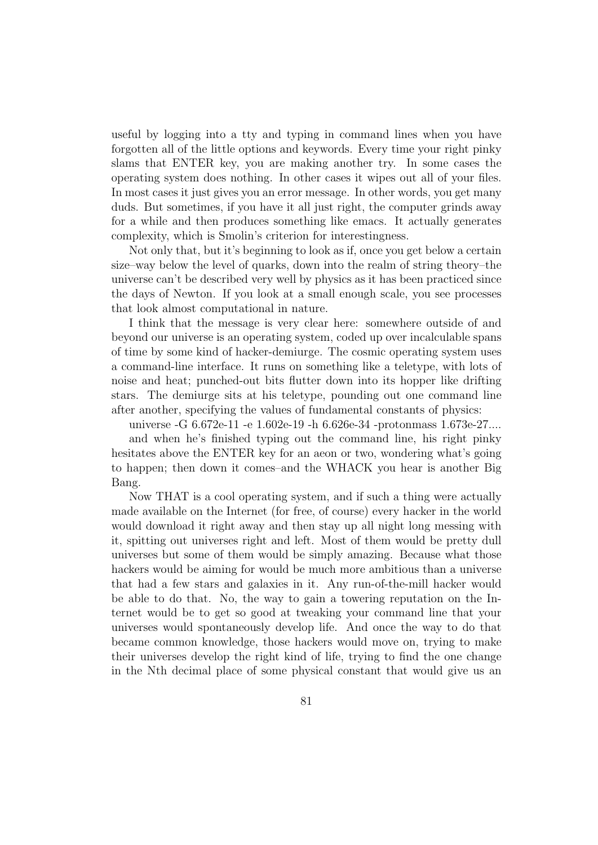useful by logging into a tty and typing in command lines when you have forgotten all of the little options and keywords. Every time your right pinky slams that ENTER key, you are making another try. In some cases the operating system does nothing. In other cases it wipes out all of your files. In most cases it just gives you an error message. In other words, you get many duds. But sometimes, if you have it all just right, the computer grinds away for a while and then produces something like emacs. It actually generates complexity, which is Smolin's criterion for interestingness.

Not only that, but it's beginning to look as if, once you get below a certain size–way below the level of quarks, down into the realm of string theory–the universe can't be described very well by physics as it has been practiced since the days of Newton. If you look at a small enough scale, you see processes that look almost computational in nature.

I think that the message is very clear here: somewhere outside of and beyond our universe is an operating system, coded up over incalculable spans of time by some kind of hacker-demiurge. The cosmic operating system uses a command-line interface. It runs on something like a teletype, with lots of noise and heat; punched-out bits flutter down into its hopper like drifting stars. The demiurge sits at his teletype, pounding out one command line after another, specifying the values of fundamental constants of physics:

universe -G 6.672e-11 -e 1.602e-19 -h 6.626e-34 -protonmass 1.673e-27....

and when he's finished typing out the command line, his right pinky hesitates above the ENTER key for an aeon or two, wondering what's going to happen; then down it comes–and the WHACK you hear is another Big Bang.

Now THAT is a cool operating system, and if such a thing were actually made available on the Internet (for free, of course) every hacker in the world would download it right away and then stay up all night long messing with it, spitting out universes right and left. Most of them would be pretty dull universes but some of them would be simply amazing. Because what those hackers would be aiming for would be much more ambitious than a universe that had a few stars and galaxies in it. Any run-of-the-mill hacker would be able to do that. No, the way to gain a towering reputation on the Internet would be to get so good at tweaking your command line that your universes would spontaneously develop life. And once the way to do that became common knowledge, those hackers would move on, trying to make their universes develop the right kind of life, trying to find the one change in the Nth decimal place of some physical constant that would give us an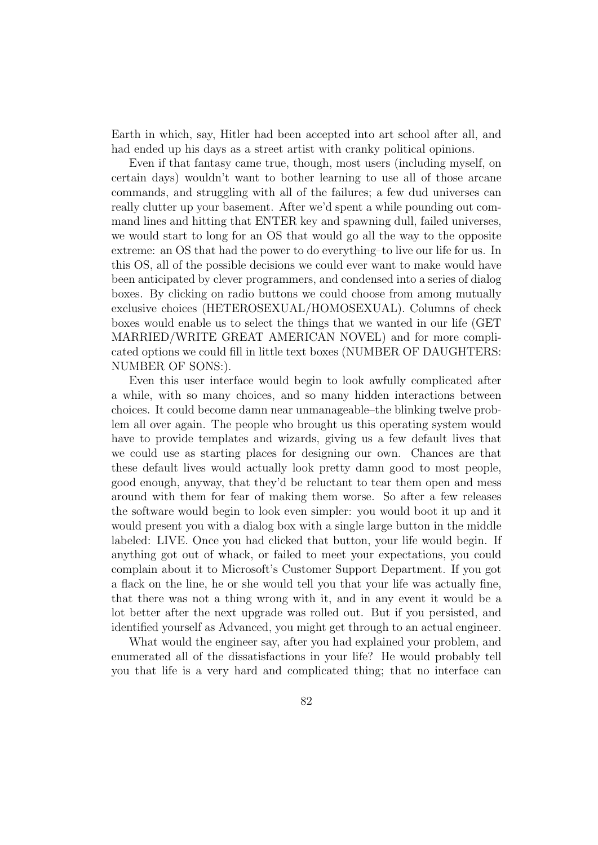Earth in which, say, Hitler had been accepted into art school after all, and had ended up his days as a street artist with cranky political opinions.

Even if that fantasy came true, though, most users (including myself, on certain days) wouldn't want to bother learning to use all of those arcane commands, and struggling with all of the failures; a few dud universes can really clutter up your basement. After we'd spent a while pounding out command lines and hitting that ENTER key and spawning dull, failed universes, we would start to long for an OS that would go all the way to the opposite extreme: an OS that had the power to do everything–to live our life for us. In this OS, all of the possible decisions we could ever want to make would have been anticipated by clever programmers, and condensed into a series of dialog boxes. By clicking on radio buttons we could choose from among mutually exclusive choices (HETEROSEXUAL/HOMOSEXUAL). Columns of check boxes would enable us to select the things that we wanted in our life (GET MARRIED/WRITE GREAT AMERICAN NOVEL) and for more complicated options we could fill in little text boxes (NUMBER OF DAUGHTERS: NUMBER OF SONS:).

Even this user interface would begin to look awfully complicated after a while, with so many choices, and so many hidden interactions between choices. It could become damn near unmanageable–the blinking twelve problem all over again. The people who brought us this operating system would have to provide templates and wizards, giving us a few default lives that we could use as starting places for designing our own. Chances are that these default lives would actually look pretty damn good to most people, good enough, anyway, that they'd be reluctant to tear them open and mess around with them for fear of making them worse. So after a few releases the software would begin to look even simpler: you would boot it up and it would present you with a dialog box with a single large button in the middle labeled: LIVE. Once you had clicked that button, your life would begin. If anything got out of whack, or failed to meet your expectations, you could complain about it to Microsoft's Customer Support Department. If you got a flack on the line, he or she would tell you that your life was actually fine, that there was not a thing wrong with it, and in any event it would be a lot better after the next upgrade was rolled out. But if you persisted, and identified yourself as Advanced, you might get through to an actual engineer.

What would the engineer say, after you had explained your problem, and enumerated all of the dissatisfactions in your life? He would probably tell you that life is a very hard and complicated thing; that no interface can